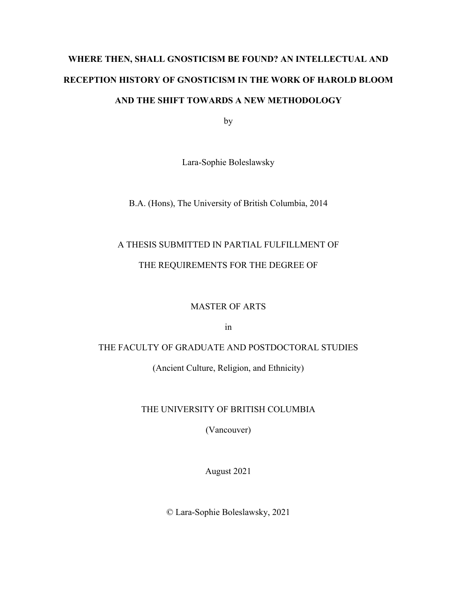# **WHERE THEN, SHALL GNOSTICISM BE FOUND? AN INTELLECTUAL AND RECEPTION HISTORY OF GNOSTICISM IN THE WORK OF HAROLD BLOOM AND THE SHIFT TOWARDS A NEW METHODOLOGY**

by

Lara-Sophie Boleslawsky

B.A. (Hons), The University of British Columbia, 2014

### A THESIS SUBMITTED IN PARTIAL FULFILLMENT OF

### THE REQUIREMENTS FOR THE DEGREE OF

### MASTER OF ARTS

in

### THE FACULTY OF GRADUATE AND POSTDOCTORAL STUDIES

(Ancient Culture, Religion, and Ethnicity)

### THE UNIVERSITY OF BRITISH COLUMBIA

(Vancouver)

August 2021

© Lara-Sophie Boleslawsky, 2021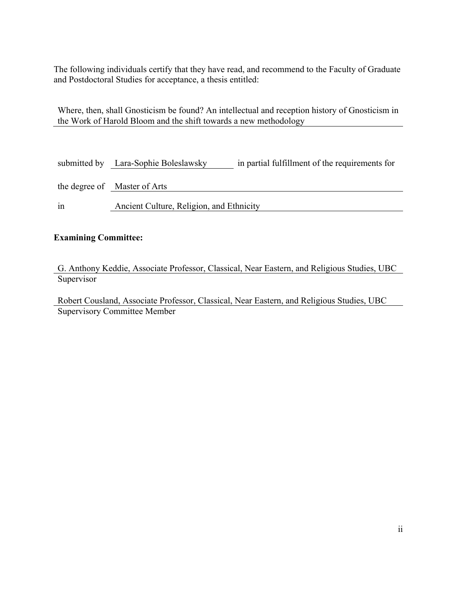The following individuals certify that they have read, and recommend to the Faculty of Graduate and Postdoctoral Studies for acceptance, a thesis entitled:

Where, then, shall Gnosticism be found? An intellectual and reception history of Gnosticism in the Work of Harold Bloom and the shift towards a new methodology

|    | submitted by Lara-Sophie Boleslawsky     | in partial fulfillment of the requirements for |
|----|------------------------------------------|------------------------------------------------|
|    | the degree of Master of Arts             |                                                |
| in | Ancient Culture, Religion, and Ethnicity |                                                |

### **Examining Committee:**

G. Anthony Keddie, Associate Professor, Classical, Near Eastern, and Religious Studies, UBC Supervisor

Robert Cousland, Associate Professor, Classical, Near Eastern, and Religious Studies, UBC Supervisory Committee Member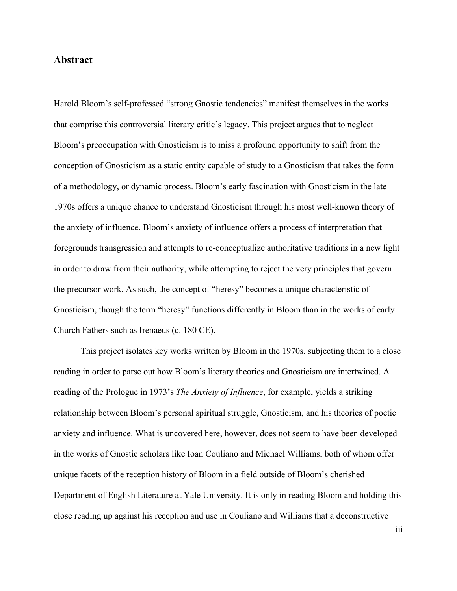### **Abstract**

Harold Bloom's self-professed "strong Gnostic tendencies" manifest themselves in the works that comprise this controversial literary critic's legacy. This project argues that to neglect Bloom's preoccupation with Gnosticism is to miss a profound opportunity to shift from the conception of Gnosticism as a static entity capable of study to a Gnosticism that takes the form of a methodology, or dynamic process. Bloom's early fascination with Gnosticism in the late 1970s offers a unique chance to understand Gnosticism through his most well-known theory of the anxiety of influence. Bloom's anxiety of influence offers a process of interpretation that foregrounds transgression and attempts to re-conceptualize authoritative traditions in a new light in order to draw from their authority, while attempting to reject the very principles that govern the precursor work. As such, the concept of "heresy" becomes a unique characteristic of Gnosticism, though the term "heresy" functions differently in Bloom than in the works of early Church Fathers such as Irenaeus (c. 180 CE).

This project isolates key works written by Bloom in the 1970s, subjecting them to a close reading in order to parse out how Bloom's literary theories and Gnosticism are intertwined. A reading of the Prologue in 1973's *The Anxiety of Influence*, for example, yields a striking relationship between Bloom's personal spiritual struggle, Gnosticism, and his theories of poetic anxiety and influence. What is uncovered here, however, does not seem to have been developed in the works of Gnostic scholars like Ioan Couliano and Michael Williams, both of whom offer unique facets of the reception history of Bloom in a field outside of Bloom's cherished Department of English Literature at Yale University. It is only in reading Bloom and holding this close reading up against his reception and use in Couliano and Williams that a deconstructive

iii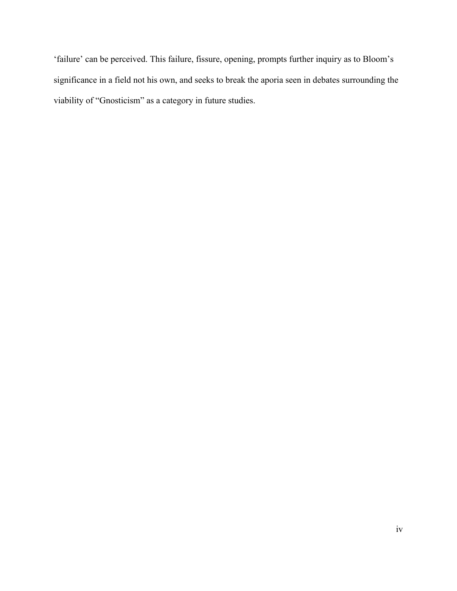'failure' can be perceived. This failure, fissure, opening, prompts further inquiry as to Bloom's significance in a field not his own, and seeks to break the aporia seen in debates surrounding the viability of "Gnosticism" as a category in future studies.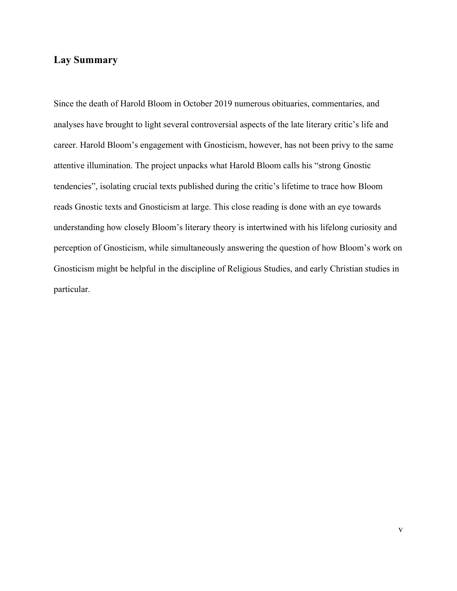### **Lay Summary**

Since the death of Harold Bloom in October 2019 numerous obituaries, commentaries, and analyses have brought to light several controversial aspects of the late literary critic's life and career. Harold Bloom's engagement with Gnosticism, however, has not been privy to the same attentive illumination. The project unpacks what Harold Bloom calls his "strong Gnostic tendencies", isolating crucial texts published during the critic's lifetime to trace how Bloom reads Gnostic texts and Gnosticism at large. This close reading is done with an eye towards understanding how closely Bloom's literary theory is intertwined with his lifelong curiosity and perception of Gnosticism, while simultaneously answering the question of how Bloom's work on Gnosticism might be helpful in the discipline of Religious Studies, and early Christian studies in particular.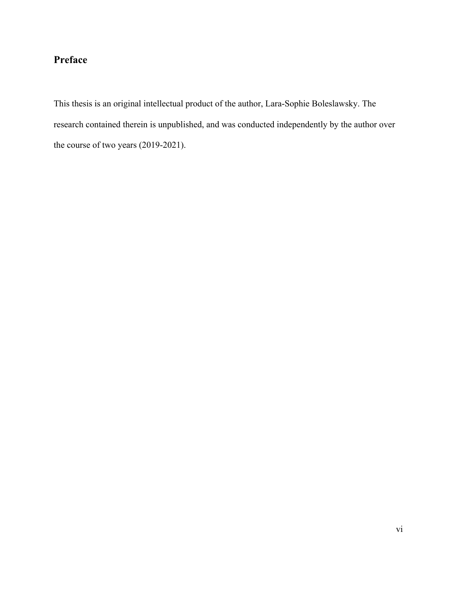### **Preface**

This thesis is an original intellectual product of the author, Lara-Sophie Boleslawsky. The research contained therein is unpublished, and was conducted independently by the author over the course of two years (2019-2021).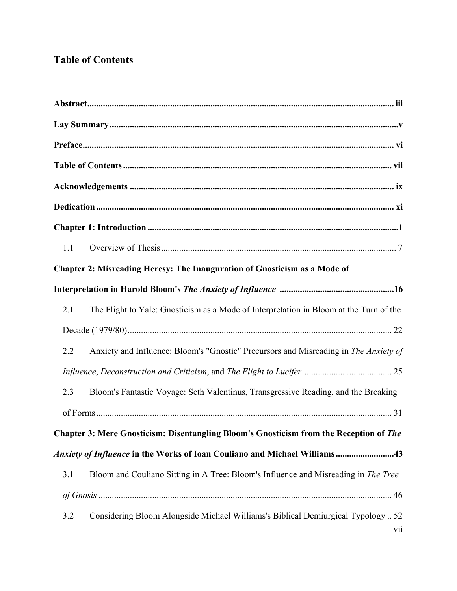### **Table of Contents**

| 1.1 |                                                                                         |
|-----|-----------------------------------------------------------------------------------------|
|     | <b>Chapter 2: Misreading Heresy: The Inauguration of Gnosticism as a Mode of</b>        |
|     |                                                                                         |
| 2.1 | The Flight to Yale: Gnosticism as a Mode of Interpretation in Bloom at the Turn of the  |
|     |                                                                                         |
| 2.2 | Anxiety and Influence: Bloom's "Gnostic" Precursors and Misreading in The Anxiety of    |
|     |                                                                                         |
| 2.3 | Bloom's Fantastic Voyage: Seth Valentinus, Transgressive Reading, and the Breaking      |
|     |                                                                                         |
|     | Chapter 3: Mere Gnosticism: Disentangling Bloom's Gnosticism from the Reception of The  |
|     | Anxiety of Influence in the Works of Ioan Couliano and Michael Williams43               |
| 3.1 | Bloom and Couliano Sitting in A Tree: Bloom's Influence and Misreading in The Tree      |
|     |                                                                                         |
| 3.2 | Considering Bloom Alongside Michael Williams's Biblical Demiurgical Typology  52<br>V11 |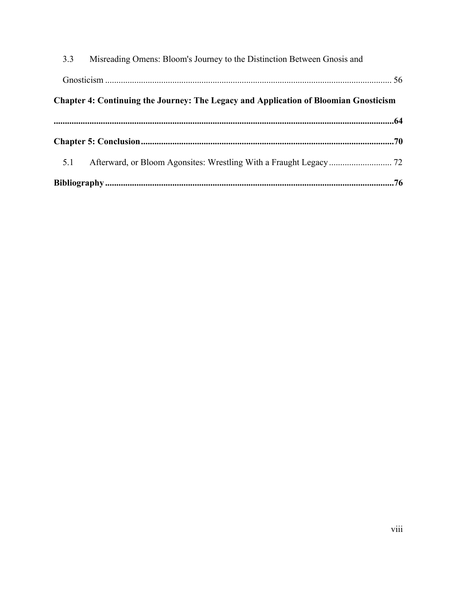| 3.3 | Misreading Omens: Bloom's Journey to the Distinction Between Gnosis and              |  |
|-----|--------------------------------------------------------------------------------------|--|
|     |                                                                                      |  |
|     | Chapter 4: Continuing the Journey: The Legacy and Application of Bloomian Gnosticism |  |
|     |                                                                                      |  |
|     |                                                                                      |  |
| 5.1 |                                                                                      |  |
|     |                                                                                      |  |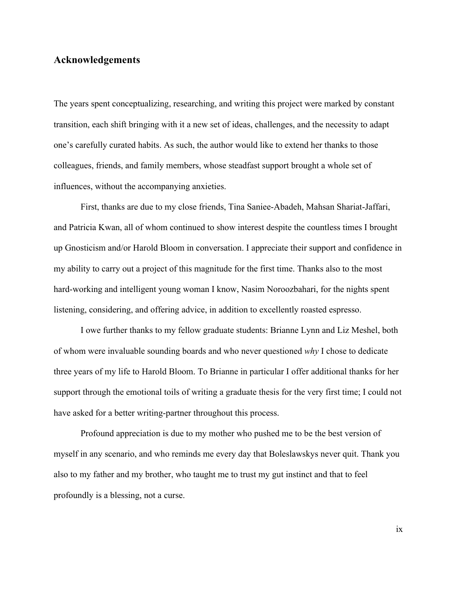### **Acknowledgements**

The years spent conceptualizing, researching, and writing this project were marked by constant transition, each shift bringing with it a new set of ideas, challenges, and the necessity to adapt one's carefully curated habits. As such, the author would like to extend her thanks to those colleagues, friends, and family members, whose steadfast support brought a whole set of influences, without the accompanying anxieties.

First, thanks are due to my close friends, Tina Saniee-Abadeh, Mahsan Shariat-Jaffari, and Patricia Kwan, all of whom continued to show interest despite the countless times I brought up Gnosticism and/or Harold Bloom in conversation. I appreciate their support and confidence in my ability to carry out a project of this magnitude for the first time. Thanks also to the most hard-working and intelligent young woman I know, Nasim Noroozbahari, for the nights spent listening, considering, and offering advice, in addition to excellently roasted espresso.

I owe further thanks to my fellow graduate students: Brianne Lynn and Liz Meshel, both of whom were invaluable sounding boards and who never questioned *why* I chose to dedicate three years of my life to Harold Bloom. To Brianne in particular I offer additional thanks for her support through the emotional toils of writing a graduate thesis for the very first time; I could not have asked for a better writing-partner throughout this process.

Profound appreciation is due to my mother who pushed me to be the best version of myself in any scenario, and who reminds me every day that Boleslawskys never quit. Thank you also to my father and my brother, who taught me to trust my gut instinct and that to feel profoundly is a blessing, not a curse.

ix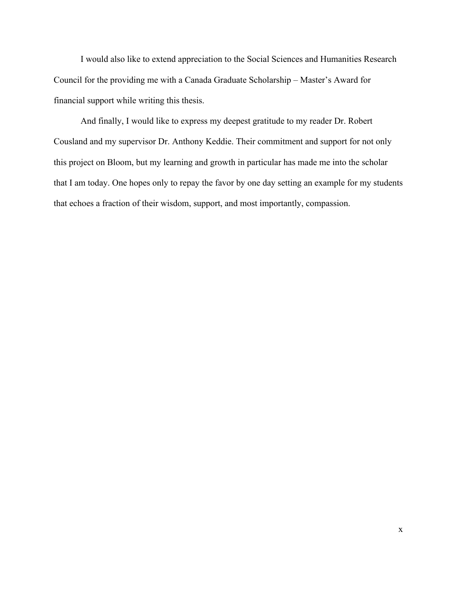I would also like to extend appreciation to the Social Sciences and Humanities Research Council for the providing me with a Canada Graduate Scholarship – Master's Award for financial support while writing this thesis.

And finally, I would like to express my deepest gratitude to my reader Dr. Robert Cousland and my supervisor Dr. Anthony Keddie. Their commitment and support for not only this project on Bloom, but my learning and growth in particular has made me into the scholar that I am today. One hopes only to repay the favor by one day setting an example for my students that echoes a fraction of their wisdom, support, and most importantly, compassion.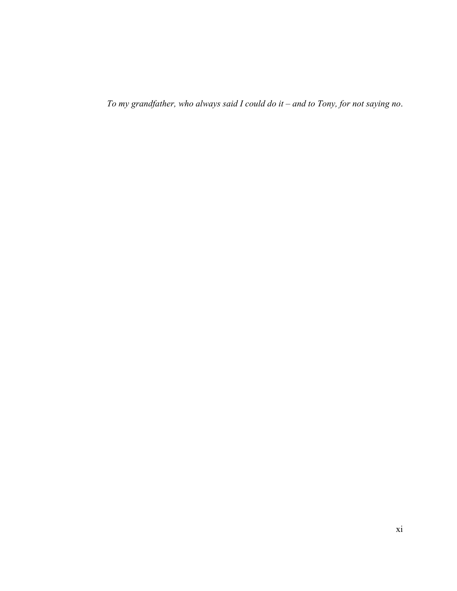*To my grandfather, who always said I could do it – and to Tony, for not saying no*.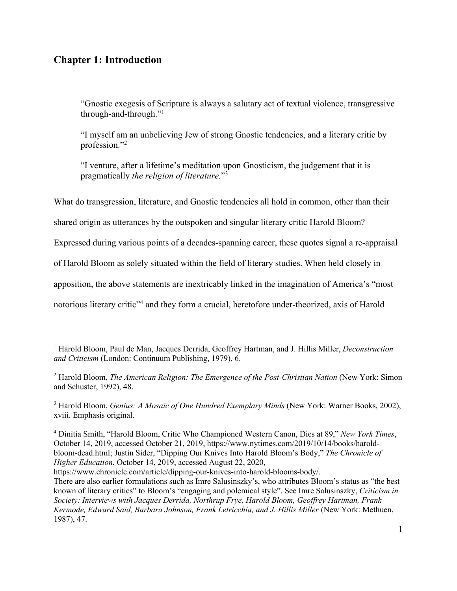### **Chapter 1: Introduction**

"Gnostic exegesis of Scripture is always a salutary act of textual violence, transgressive through-and-through."1

"I myself am an unbelieving Jew of strong Gnostic tendencies, and a literary critic by profession."2

"I venture, after a lifetime's meditation upon Gnosticism, the judgement that it is pragmatically *the religion of literature.*"3

What do transgression, literature, and Gnostic tendencies all hold in common, other than their

shared origin as utterances by the outspoken and singular literary critic Harold Bloom?

Expressed during various points of a decades-spanning career, these quotes signal a re-appraisal

of Harold Bloom as solely situated within the field of literary studies. When held closely in

apposition, the above statements are inextricably linked in the imagination of America's "most

notorious literary critic<sup>"4</sup> and they form a crucial, heretofore under-theorized, axis of Harold

<sup>3</sup> Harold Bloom, *Genius: A Mosaic of One Hundred Exemplary Minds* (New York: Warner Books, 2002), xviii. Emphasis original.

<sup>4</sup> Dinitia Smith, "Harold Bloom, Critic Who Championed Western Canon, Dies at 89," *New York Times*, October 14, 2019, accessed October 21, 2019, https://www.nytimes.com/2019/10/14/books/haroldbloom-dead.html; Justin Sider, "Dipping Our Knives Into Harold Bloom's Body," *The Chronicle of Higher Education*, October 14, 2019, accessed August 22, 2020,

https://www.chronicle.com/article/dipping-our-knives-into-harold-blooms-body/.

<sup>1</sup> Harold Bloom, Paul de Man, Jacques Derrida, Geoffrey Hartman, and J. Hillis Miller, *Deconstruction and Criticism* (London: Continuum Publishing, 1979), 6.

<sup>2</sup> Harold Bloom, *The American Religion: The Emergence of the Post-Christian Nation* (New York: Simon and Schuster, 1992), 48.

There are also earlier formulations such as Imre Salusinszky's, who attributes Bloom's status as "the best known of literary critics" to Bloom's "engaging and polemical style". See Imre Salusinszky, *Criticism in Society: Interviews with Jacques Derrida, Northrup Frye, Harold Bloom, Geoffrey Hartman, Frank Kermode, Edward Said, Barbara Johnson, Frank Letricchia, and J. Hillis Miller* (New York: Methuen, 1987), 47.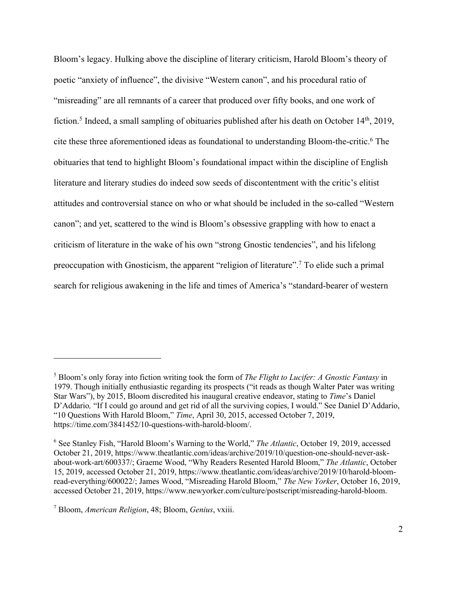Bloom's legacy. Hulking above the discipline of literary criticism, Harold Bloom's theory of poetic "anxiety of influence", the divisive "Western canon", and his procedural ratio of "misreading" are all remnants of a career that produced over fifty books, and one work of fiction.<sup>5</sup> Indeed, a small sampling of obituaries published after his death on October 14<sup>th</sup>, 2019, cite these three aforementioned ideas as foundational to understanding Bloom-the-critic.6 The obituaries that tend to highlight Bloom's foundational impact within the discipline of English literature and literary studies do indeed sow seeds of discontentment with the critic's elitist attitudes and controversial stance on who or what should be included in the so-called "Western canon"; and yet, scattered to the wind is Bloom's obsessive grappling with how to enact a criticism of literature in the wake of his own "strong Gnostic tendencies", and his lifelong preoccupation with Gnosticism, the apparent "religion of literature".7 To elide such a primal search for religious awakening in the life and times of America's "standard-bearer of western

<sup>5</sup> Bloom's only foray into fiction writing took the form of *The Flight to Lucifer: A Gnostic Fantasy* in 1979. Though initially enthusiastic regarding its prospects ("it reads as though Walter Pater was writing Star Wars"), by 2015, Bloom discredited his inaugural creative endeavor, stating to *Time*'s Daniel D'Addario, "If I could go around and get rid of all the surviving copies, I would." See Daniel D'Addario, "10 Questions With Harold Bloom," *Time*, April 30, 2015, accessed October 7, 2019, https://time.com/3841452/10-questions-with-harold-bloom/.

<sup>6</sup> See Stanley Fish, "Harold Bloom's Warning to the World," *The Atlantic*, October 19, 2019, accessed October 21, 2019, https://www.theatlantic.com/ideas/archive/2019/10/question-one-should-never-askabout-work-art/600337/; Graeme Wood, "Why Readers Resented Harold Bloom," *The Atlantic*, October 15, 2019, accessed October 21, 2019, https://www.theatlantic.com/ideas/archive/2019/10/harold-bloomread-everything/600022/; James Wood, "Misreading Harold Bloom," *The New Yorker*, October 16, 2019, accessed October 21, 2019, https://www.newyorker.com/culture/postscript/misreading-harold-bloom.

<sup>7</sup> Bloom, *American Religion*, 48; Bloom, *Genius*, vxiii.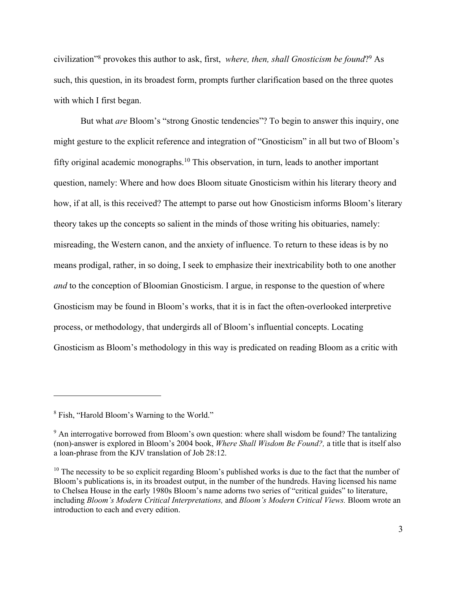civilization"8 provokes this author to ask, first, *where, then, shall Gnosticism be found*?9 As such, this question, in its broadest form, prompts further clarification based on the three quotes with which I first began.

But what *are* Bloom's "strong Gnostic tendencies"? To begin to answer this inquiry, one might gesture to the explicit reference and integration of "Gnosticism" in all but two of Bloom's fifty original academic monographs.10 This observation, in turn, leads to another important question, namely: Where and how does Bloom situate Gnosticism within his literary theory and how, if at all, is this received? The attempt to parse out how Gnosticism informs Bloom's literary theory takes up the concepts so salient in the minds of those writing his obituaries, namely: misreading, the Western canon, and the anxiety of influence. To return to these ideas is by no means prodigal, rather, in so doing, I seek to emphasize their inextricability both to one another *and* to the conception of Bloomian Gnosticism. I argue, in response to the question of where Gnosticism may be found in Bloom's works, that it is in fact the often-overlooked interpretive process, or methodology, that undergirds all of Bloom's influential concepts. Locating Gnosticism as Bloom's methodology in this way is predicated on reading Bloom as a critic with

<sup>8</sup> Fish, "Harold Bloom's Warning to the World."

<sup>&</sup>lt;sup>9</sup> An interrogative borrowed from Bloom's own question: where shall wisdom be found? The tantalizing (non)-answer is explored in Bloom's 2004 book, *Where Shall Wisdom Be Found?,* a title that is itself also a loan-phrase from the KJV translation of Job 28:12.

<sup>&</sup>lt;sup>10</sup> The necessity to be so explicit regarding Bloom's published works is due to the fact that the number of Bloom's publications is, in its broadest output, in the number of the hundreds. Having licensed his name to Chelsea House in the early 1980s Bloom's name adorns two series of "critical guides" to literature, including *Bloom's Modern Critical Interpretations,* and *Bloom's Modern Critical Views.* Bloom wrote an introduction to each and every edition.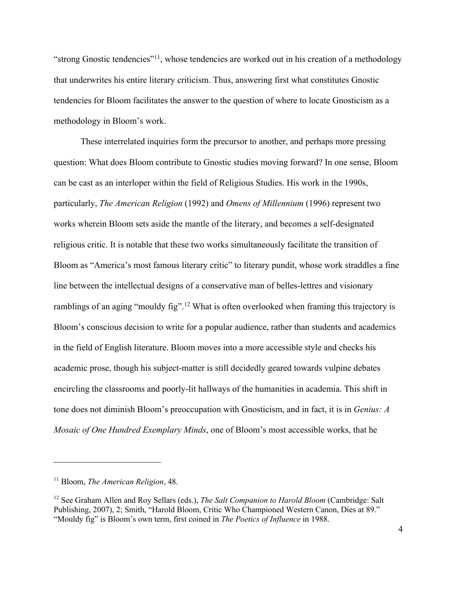"strong Gnostic tendencies"<sup>11</sup>, whose tendencies are worked out in his creation of a methodology that underwrites his entire literary criticism. Thus, answering first what constitutes Gnostic tendencies for Bloom facilitates the answer to the question of where to locate Gnosticism as a methodology in Bloom's work.

These interrelated inquiries form the precursor to another, and perhaps more pressing question: What does Bloom contribute to Gnostic studies moving forward? In one sense, Bloom can be cast as an interloper within the field of Religious Studies. His work in the 1990s, particularly, *The American Religion* (1992) and *Omens of Millennium* (1996) represent two works wherein Bloom sets aside the mantle of the literary, and becomes a self-designated religious critic. It is notable that these two works simultaneously facilitate the transition of Bloom as "America's most famous literary critic" to literary pundit, whose work straddles a fine line between the intellectual designs of a conservative man of belles-lettres and visionary ramblings of an aging "mouldy fig".<sup>12</sup> What is often overlooked when framing this trajectory is Bloom's conscious decision to write for a popular audience, rather than students and academics in the field of English literature. Bloom moves into a more accessible style and checks his academic prose, though his subject-matter is still decidedly geared towards vulpine debates encircling the classrooms and poorly-lit hallways of the humanities in academia. This shift in tone does not diminish Bloom's preoccupation with Gnosticism, and in fact, it is in *Genius: A Mosaic of One Hundred Exemplary Minds*, one of Bloom's most accessible works, that he

<sup>11</sup> Bloom, *The American Religion*, 48.

<sup>12</sup> See Graham Allen and Roy Sellars (eds.), *The Salt Companion to Harold Bloom* (Cambridge: Salt Publishing, 2007), 2; Smith, "Harold Bloom, Critic Who Championed Western Canon, Dies at 89." "Mouldy fig" is Bloom's own term, first coined in *The Poetics of Influence* in 1988.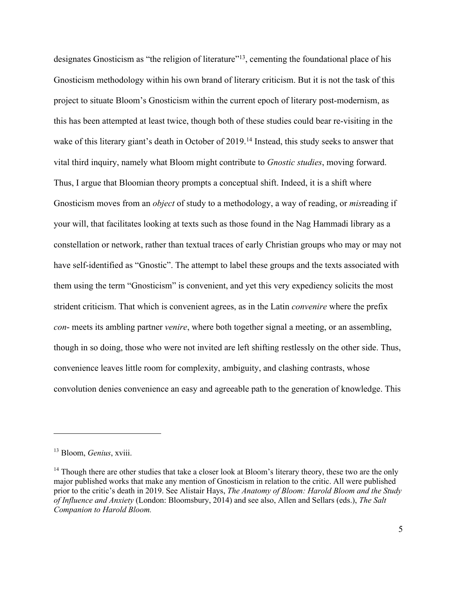designates Gnosticism as "the religion of literature"<sup>13</sup>, cementing the foundational place of his Gnosticism methodology within his own brand of literary criticism. But it is not the task of this project to situate Bloom's Gnosticism within the current epoch of literary post-modernism, as this has been attempted at least twice, though both of these studies could bear re-visiting in the wake of this literary giant's death in October of 2019.<sup>14</sup> Instead, this study seeks to answer that vital third inquiry, namely what Bloom might contribute to *Gnostic studies*, moving forward. Thus, I argue that Bloomian theory prompts a conceptual shift. Indeed, it is a shift where Gnosticism moves from an *object* of study to a methodology, a way of reading, or *mis*reading if your will, that facilitates looking at texts such as those found in the Nag Hammadi library as a constellation or network, rather than textual traces of early Christian groups who may or may not have self-identified as "Gnostic". The attempt to label these groups and the texts associated with them using the term "Gnosticism" is convenient, and yet this very expediency solicits the most strident criticism. That which is convenient agrees, as in the Latin *convenire* where the prefix *con*- meets its ambling partner *venire*, where both together signal a meeting, or an assembling, though in so doing, those who were not invited are left shifting restlessly on the other side. Thus, convenience leaves little room for complexity, ambiguity, and clashing contrasts, whose convolution denies convenience an easy and agreeable path to the generation of knowledge. This

<sup>13</sup> Bloom, *Genius*, xviii.

<sup>&</sup>lt;sup>14</sup> Though there are other studies that take a closer look at Bloom's literary theory, these two are the only major published works that make any mention of Gnosticism in relation to the critic. All were published prior to the critic's death in 2019. See Alistair Hays, *The Anatomy of Bloom: Harold Bloom and the Study of Influence and Anxiety* (London: Bloomsbury, 2014) and see also, Allen and Sellars (eds.), *The Salt Companion to Harold Bloom.*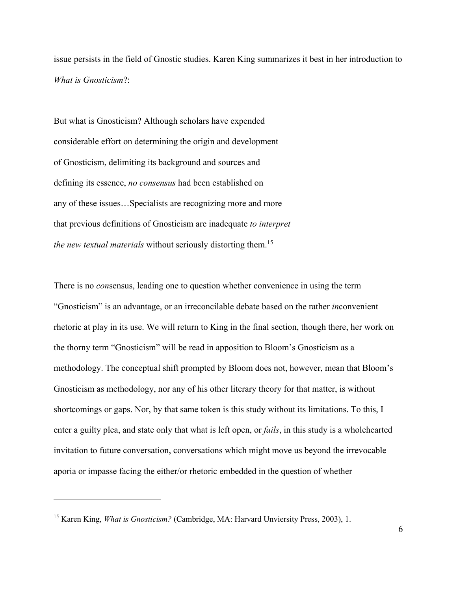issue persists in the field of Gnostic studies. Karen King summarizes it best in her introduction to *What is Gnosticism*?:

But what is Gnosticism? Although scholars have expended considerable effort on determining the origin and development of Gnosticism, delimiting its background and sources and defining its essence, *no consensus* had been established on any of these issues…Specialists are recognizing more and more that previous definitions of Gnosticism are inadequate *to interpret the new textual materials* without seriously distorting them.<sup>15</sup>

There is no *con*sensus, leading one to question whether convenience in using the term "Gnosticism" is an advantage, or an irreconcilable debate based on the rather *in*convenient rhetoric at play in its use. We will return to King in the final section, though there, her work on the thorny term "Gnosticism" will be read in apposition to Bloom's Gnosticism as a methodology. The conceptual shift prompted by Bloom does not, however, mean that Bloom's Gnosticism as methodology, nor any of his other literary theory for that matter, is without shortcomings or gaps. Nor, by that same token is this study without its limitations. To this, I enter a guilty plea, and state only that what is left open, or *fails*, in this study is a wholehearted invitation to future conversation, conversations which might move us beyond the irrevocable aporia or impasse facing the either/or rhetoric embedded in the question of whether

<sup>&</sup>lt;sup>15</sup> Karen King, *What is Gnosticism?* (Cambridge, MA: Harvard Unviersity Press, 2003), 1.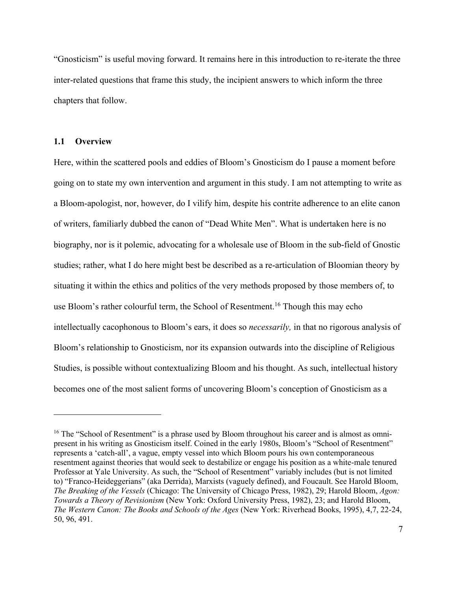"Gnosticism" is useful moving forward. It remains here in this introduction to re-iterate the three inter-related questions that frame this study, the incipient answers to which inform the three chapters that follow.

#### **1.1 Overview**

Here, within the scattered pools and eddies of Bloom's Gnosticism do I pause a moment before going on to state my own intervention and argument in this study. I am not attempting to write as a Bloom-apologist, nor, however, do I vilify him, despite his contrite adherence to an elite canon of writers, familiarly dubbed the canon of "Dead White Men". What is undertaken here is no biography, nor is it polemic, advocating for a wholesale use of Bloom in the sub-field of Gnostic studies; rather, what I do here might best be described as a re-articulation of Bloomian theory by situating it within the ethics and politics of the very methods proposed by those members of, to use Bloom's rather colourful term, the School of Resentment.<sup>16</sup> Though this may echo intellectually cacophonous to Bloom's ears, it does so *necessarily,* in that no rigorous analysis of Bloom's relationship to Gnosticism, nor its expansion outwards into the discipline of Religious Studies, is possible without contextualizing Bloom and his thought. As such, intellectual history becomes one of the most salient forms of uncovering Bloom's conception of Gnosticism as a

 $16$  The "School of Resentment" is a phrase used by Bloom throughout his career and is almost as omnipresent in his writing as Gnosticism itself. Coined in the early 1980s, Bloom's "School of Resentment" represents a 'catch-all', a vague, empty vessel into which Bloom pours his own contemporaneous resentment against theories that would seek to destabilize or engage his position as a white-male tenured Professor at Yale University. As such, the "School of Resentment" variably includes (but is not limited to) "Franco-Heideggerians" (aka Derrida), Marxists (vaguely defined), and Foucault. See Harold Bloom, *The Breaking of the Vessels* (Chicago: The University of Chicago Press, 1982), 29; Harold Bloom, *Agon: Towards a Theory of Revisionism* (New York: Oxford University Press, 1982), 23; and Harold Bloom, *The Western Canon: The Books and Schools of the Ages* (New York: Riverhead Books, 1995), 4,7, 22-24, 50, 96, 491.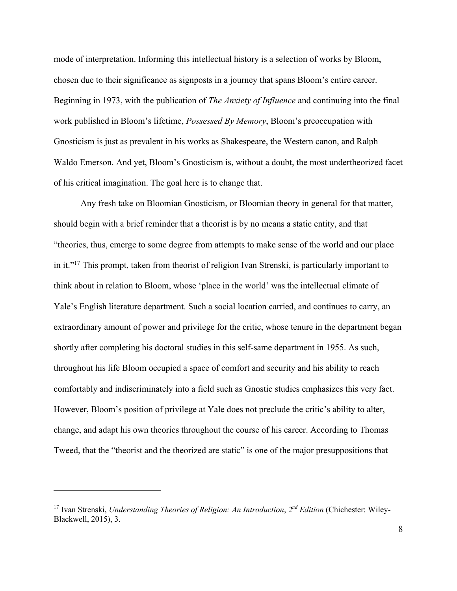mode of interpretation. Informing this intellectual history is a selection of works by Bloom, chosen due to their significance as signposts in a journey that spans Bloom's entire career. Beginning in 1973, with the publication of *The Anxiety of Influence* and continuing into the final work published in Bloom's lifetime, *Possessed By Memory*, Bloom's preoccupation with Gnosticism is just as prevalent in his works as Shakespeare, the Western canon, and Ralph Waldo Emerson. And yet, Bloom's Gnosticism is, without a doubt, the most undertheorized facet of his critical imagination. The goal here is to change that.

Any fresh take on Bloomian Gnosticism, or Bloomian theory in general for that matter, should begin with a brief reminder that a theorist is by no means a static entity, and that "theories, thus, emerge to some degree from attempts to make sense of the world and our place in it."<sup>17</sup> This prompt, taken from theorist of religion Ivan Strenski, is particularly important to think about in relation to Bloom, whose 'place in the world' was the intellectual climate of Yale's English literature department. Such a social location carried, and continues to carry, an extraordinary amount of power and privilege for the critic, whose tenure in the department began shortly after completing his doctoral studies in this self-same department in 1955. As such, throughout his life Bloom occupied a space of comfort and security and his ability to reach comfortably and indiscriminately into a field such as Gnostic studies emphasizes this very fact. However, Bloom's position of privilege at Yale does not preclude the critic's ability to alter, change, and adapt his own theories throughout the course of his career. According to Thomas Tweed, that the "theorist and the theorized are static" is one of the major presuppositions that

<sup>17</sup> Ivan Strenski, *Understanding Theories of Religion: An Introduction*, *2nd Edition* (Chichester: Wiley-Blackwell, 2015), 3.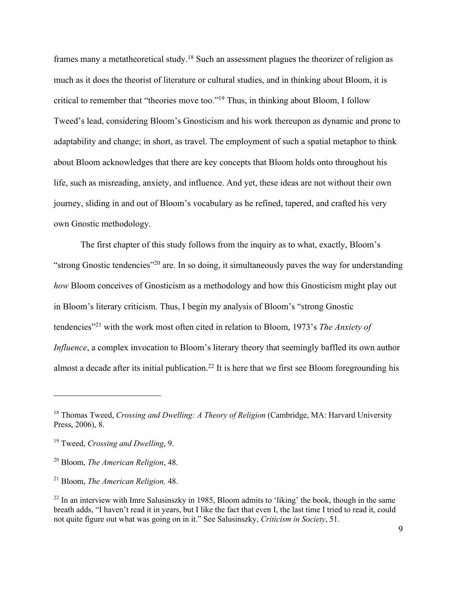frames many a metatheoretical study.18 Such an assessment plagues the theorizer of religion as much as it does the theorist of literature or cultural studies, and in thinking about Bloom, it is critical to remember that "theories move too."19 Thus, in thinking about Bloom, I follow Tweed's lead, considering Bloom's Gnosticism and his work thereupon as dynamic and prone to adaptability and change; in short, as travel. The employment of such a spatial metaphor to think about Bloom acknowledges that there are key concepts that Bloom holds onto throughout his life, such as misreading, anxiety, and influence. And yet, these ideas are not without their own journey, sliding in and out of Bloom's vocabulary as he refined, tapered, and crafted his very own Gnostic methodology.

The first chapter of this study follows from the inquiry as to what, exactly, Bloom's "strong Gnostic tendencies"20 are. In so doing, it simultaneously paves the way for understanding *how* Bloom conceives of Gnosticism as a methodology and how this Gnosticism might play out in Bloom's literary criticism. Thus, I begin my analysis of Bloom's "strong Gnostic tendencies"21 with the work most often cited in relation to Bloom, 1973's *The Anxiety of Influence*, a complex invocation to Bloom's literary theory that seemingly baffled its own author almost a decade after its initial publication.<sup>22</sup> It is here that we first see Bloom foregrounding his

<sup>18</sup> Thomas Tweed, *Crossing and Dwelling: A Theory of Religion* (Cambridge, MA: Harvard University Press, 2006), 8.

<sup>19</sup> Tweed, *Crossing and Dwelling*, 9.

<sup>20</sup> Bloom, *The American Religion*, 48.

<sup>21</sup> Bloom, *The American Religion,* 48.

 $^{22}$  In an interview with Imre Salusinszky in 1985, Bloom admits to 'liking' the book, though in the same breath adds, "I haven't read it in years, but I like the fact that even I, the last time I tried to read it, could not quite figure out what was going on in it." See Salusinszky, *Criticism in Society*, 51.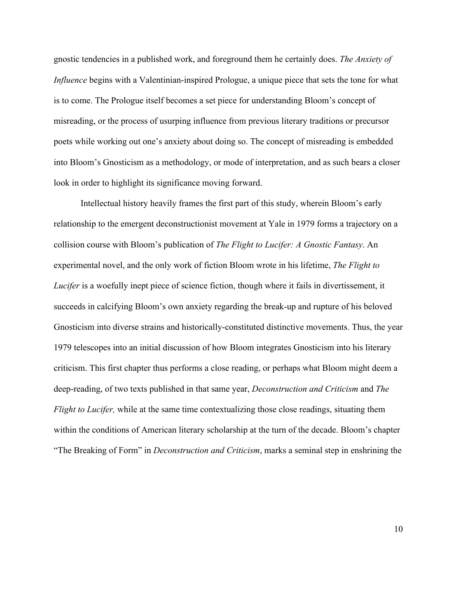gnostic tendencies in a published work, and foreground them he certainly does. *The Anxiety of Influence* begins with a Valentinian-inspired Prologue, a unique piece that sets the tone for what is to come. The Prologue itself becomes a set piece for understanding Bloom's concept of misreading, or the process of usurping influence from previous literary traditions or precursor poets while working out one's anxiety about doing so. The concept of misreading is embedded into Bloom's Gnosticism as a methodology, or mode of interpretation, and as such bears a closer look in order to highlight its significance moving forward.

Intellectual history heavily frames the first part of this study, wherein Bloom's early relationship to the emergent deconstructionist movement at Yale in 1979 forms a trajectory on a collision course with Bloom's publication of *The Flight to Lucifer: A Gnostic Fantasy*. An experimental novel, and the only work of fiction Bloom wrote in his lifetime, *The Flight to Lucifer* is a woefully inept piece of science fiction, though where it fails in divertissement, it succeeds in calcifying Bloom's own anxiety regarding the break-up and rupture of his beloved Gnosticism into diverse strains and historically-constituted distinctive movements. Thus, the year 1979 telescopes into an initial discussion of how Bloom integrates Gnosticism into his literary criticism. This first chapter thus performs a close reading, or perhaps what Bloom might deem a deep-reading, of two texts published in that same year, *Deconstruction and Criticism* and *The Flight to Lucifer,* while at the same time contextualizing those close readings, situating them within the conditions of American literary scholarship at the turn of the decade. Bloom's chapter "The Breaking of Form" in *Deconstruction and Criticism*, marks a seminal step in enshrining the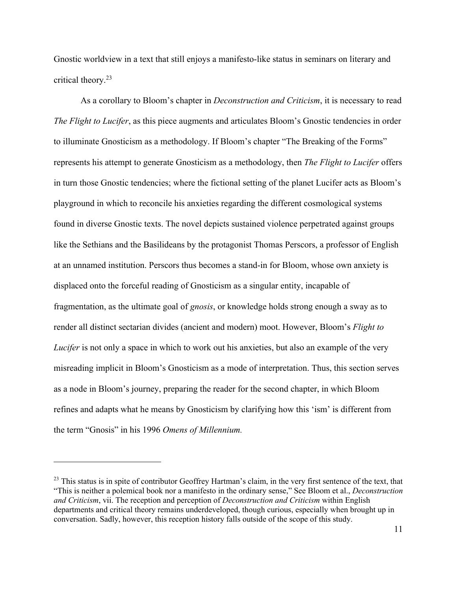Gnostic worldview in a text that still enjoys a manifesto-like status in seminars on literary and critical theory.23

As a corollary to Bloom's chapter in *Deconstruction and Criticism*, it is necessary to read *The Flight to Lucifer*, as this piece augments and articulates Bloom's Gnostic tendencies in order to illuminate Gnosticism as a methodology. If Bloom's chapter "The Breaking of the Forms" represents his attempt to generate Gnosticism as a methodology, then *The Flight to Lucifer* offers in turn those Gnostic tendencies; where the fictional setting of the planet Lucifer acts as Bloom's playground in which to reconcile his anxieties regarding the different cosmological systems found in diverse Gnostic texts. The novel depicts sustained violence perpetrated against groups like the Sethians and the Basilideans by the protagonist Thomas Perscors, a professor of English at an unnamed institution. Perscors thus becomes a stand-in for Bloom, whose own anxiety is displaced onto the forceful reading of Gnosticism as a singular entity, incapable of fragmentation, as the ultimate goal of *gnosis*, or knowledge holds strong enough a sway as to render all distinct sectarian divides (ancient and modern) moot. However, Bloom's *Flight to Lucifer* is not only a space in which to work out his anxieties, but also an example of the very misreading implicit in Bloom's Gnosticism as a mode of interpretation. Thus, this section serves as a node in Bloom's journey, preparing the reader for the second chapter, in which Bloom refines and adapts what he means by Gnosticism by clarifying how this 'ism' is different from the term "Gnosis" in his 1996 *Omens of Millennium.* 

<sup>&</sup>lt;sup>23</sup> This status is in spite of contributor Geoffrey Hartman's claim, in the very first sentence of the text, that "This is neither a polemical book nor a manifesto in the ordinary sense," See Bloom et al., *Deconstruction and Criticism*, vii. The reception and perception of *Deconstruction and Criticism* within English departments and critical theory remains underdeveloped, though curious, especially when brought up in conversation. Sadly, however, this reception history falls outside of the scope of this study.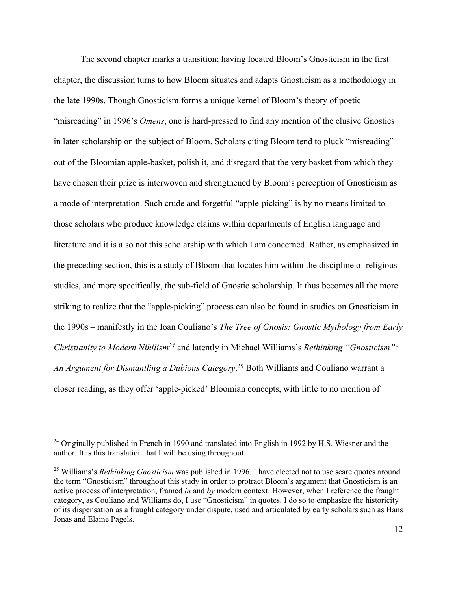The second chapter marks a transition; having located Bloom's Gnosticism in the first chapter, the discussion turns to how Bloom situates and adapts Gnosticism as a methodology in the late 1990s. Though Gnosticism forms a unique kernel of Bloom's theory of poetic "misreading" in 1996's *Omens*, one is hard-pressed to find any mention of the elusive Gnostics in later scholarship on the subject of Bloom. Scholars citing Bloom tend to pluck "misreading" out of the Bloomian apple-basket, polish it, and disregard that the very basket from which they have chosen their prize is interwoven and strengthened by Bloom's perception of Gnosticism as a mode of interpretation. Such crude and forgetful "apple-picking" is by no means limited to those scholars who produce knowledge claims within departments of English language and literature and it is also not this scholarship with which I am concerned. Rather, as emphasized in the preceding section, this is a study of Bloom that locates him within the discipline of religious studies, and more specifically, the sub-field of Gnostic scholarship. It thus becomes all the more striking to realize that the "apple-picking" process can also be found in studies on Gnosticism in the 1990s – manifestly in the Ioan Couliano's *The Tree of Gnosis: Gnostic Mythology from Early Christianity to Modern Nihilism24* and latently in Michael Williams's *Rethinking "Gnosticism": An Argument for Dismantling a Dubious Category*. <sup>25</sup> Both Williams and Couliano warrant a closer reading, as they offer 'apple-picked' Bloomian concepts, with little to no mention of

<sup>&</sup>lt;sup>24</sup> Originally published in French in 1990 and translated into English in 1992 by H.S. Wiesner and the author. It is this translation that I will be using throughout.

<sup>25</sup> Williams's *Rethinking Gnosticism* was published in 1996. I have elected not to use scare quotes around the term "Gnosticism" throughout this study in order to protract Bloom's argument that Gnosticism is an active process of interpretation, framed *in* and *by* modern context. However, when I reference the fraught category, as Couliano and Williams do, I use "Gnosticism" in quotes. I do so to emphasize the historicity of its dispensation as a fraught category under dispute, used and articulated by early scholars such as Hans Jonas and Elaine Pagels.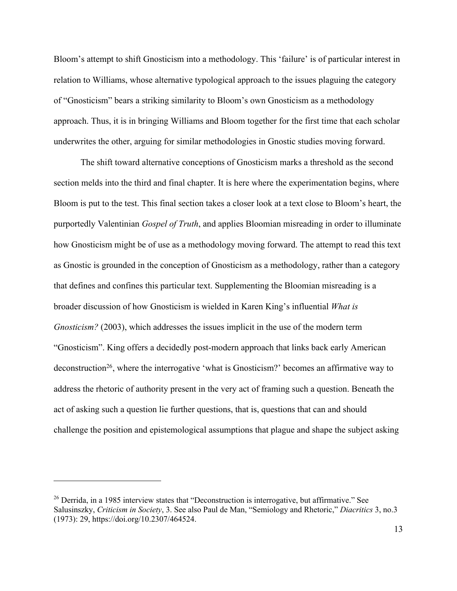Bloom's attempt to shift Gnosticism into a methodology. This 'failure' is of particular interest in relation to Williams, whose alternative typological approach to the issues plaguing the category of "Gnosticism" bears a striking similarity to Bloom's own Gnosticism as a methodology approach. Thus, it is in bringing Williams and Bloom together for the first time that each scholar underwrites the other, arguing for similar methodologies in Gnostic studies moving forward.

The shift toward alternative conceptions of Gnosticism marks a threshold as the second section melds into the third and final chapter. It is here where the experimentation begins, where Bloom is put to the test. This final section takes a closer look at a text close to Bloom's heart, the purportedly Valentinian *Gospel of Truth*, and applies Bloomian misreading in order to illuminate how Gnosticism might be of use as a methodology moving forward. The attempt to read this text as Gnostic is grounded in the conception of Gnosticism as a methodology, rather than a category that defines and confines this particular text. Supplementing the Bloomian misreading is a broader discussion of how Gnosticism is wielded in Karen King's influential *What is Gnosticism?* (2003), which addresses the issues implicit in the use of the modern term "Gnosticism". King offers a decidedly post-modern approach that links back early American deconstruction<sup>26</sup>, where the interrogative 'what is Gnosticism?' becomes an affirmative way to address the rhetoric of authority present in the very act of framing such a question. Beneath the act of asking such a question lie further questions, that is, questions that can and should challenge the position and epistemological assumptions that plague and shape the subject asking

<sup>&</sup>lt;sup>26</sup> Derrida, in a 1985 interview states that "Deconstruction is interrogative, but affirmative." See Salusinszky, *Criticism in Society*, 3. See also Paul de Man, "Semiology and Rhetoric," *Diacritics* 3, no.3 (1973): 29, https://doi.org/10.2307/464524.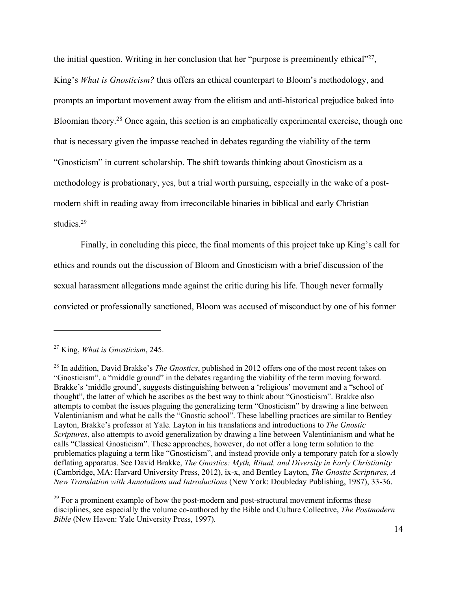the initial question. Writing in her conclusion that her "purpose is preeminently ethical" $^{27}$ , King's *What is Gnosticism?* thus offers an ethical counterpart to Bloom's methodology, and prompts an important movement away from the elitism and anti-historical prejudice baked into Bloomian theory.28 Once again, this section is an emphatically experimental exercise, though one that is necessary given the impasse reached in debates regarding the viability of the term "Gnosticism" in current scholarship. The shift towards thinking about Gnosticism as a methodology is probationary, yes, but a trial worth pursuing, especially in the wake of a postmodern shift in reading away from irreconcilable binaries in biblical and early Christian studies.29

Finally, in concluding this piece, the final moments of this project take up King's call for ethics and rounds out the discussion of Bloom and Gnosticism with a brief discussion of the sexual harassment allegations made against the critic during his life. Though never formally convicted or professionally sanctioned, Bloom was accused of misconduct by one of his former

<sup>27</sup> King, *What is Gnosticism*, 245.

<sup>28</sup> In addition, David Brakke's *The Gnostics*, published in 2012 offers one of the most recent takes on "Gnosticism", a "middle ground" in the debates regarding the viability of the term moving forward. Brakke's 'middle ground', suggests distinguishing between a 'religious' movement and a "school of thought", the latter of which he ascribes as the best way to think about "Gnosticism". Brakke also attempts to combat the issues plaguing the generalizing term "Gnosticism" by drawing a line between Valentinianism and what he calls the "Gnostic school". These labelling practices are similar to Bentley Layton, Brakke's professor at Yale. Layton in his translations and introductions to *The Gnostic Scriptures*, also attempts to avoid generalization by drawing a line between Valentinianism and what he calls "Classical Gnosticism". These approaches, however, do not offer a long term solution to the problematics plaguing a term like "Gnosticism", and instead provide only a temporary patch for a slowly deflating apparatus. See David Brakke, *The Gnostics: Myth, Ritual, and Diversity in Early Christianity* (Cambridge, MA: Harvard University Press, 2012), ix-x, and Bentley Layton, *The Gnostic Scriptures, A New Translation with Annotations and Introductions* (New York: Doubleday Publishing, 1987), 33-36.

 $29$  For a prominent example of how the post-modern and post-structural movement informs these disciplines, see especially the volume co-authored by the Bible and Culture Collective, *The Postmodern Bible* (New Haven: Yale University Press, 1997)*.*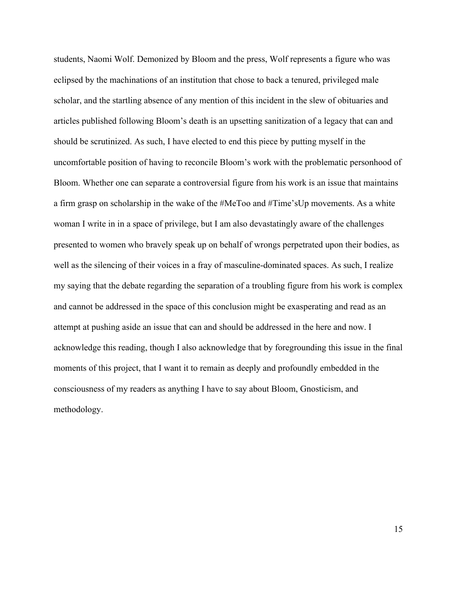students, Naomi Wolf. Demonized by Bloom and the press, Wolf represents a figure who was eclipsed by the machinations of an institution that chose to back a tenured, privileged male scholar, and the startling absence of any mention of this incident in the slew of obituaries and articles published following Bloom's death is an upsetting sanitization of a legacy that can and should be scrutinized. As such, I have elected to end this piece by putting myself in the uncomfortable position of having to reconcile Bloom's work with the problematic personhood of Bloom. Whether one can separate a controversial figure from his work is an issue that maintains a firm grasp on scholarship in the wake of the #MeToo and #Time'sUp movements. As a white woman I write in in a space of privilege, but I am also devastatingly aware of the challenges presented to women who bravely speak up on behalf of wrongs perpetrated upon their bodies, as well as the silencing of their voices in a fray of masculine-dominated spaces. As such, I realize my saying that the debate regarding the separation of a troubling figure from his work is complex and cannot be addressed in the space of this conclusion might be exasperating and read as an attempt at pushing aside an issue that can and should be addressed in the here and now. I acknowledge this reading, though I also acknowledge that by foregrounding this issue in the final moments of this project, that I want it to remain as deeply and profoundly embedded in the consciousness of my readers as anything I have to say about Bloom, Gnosticism, and methodology.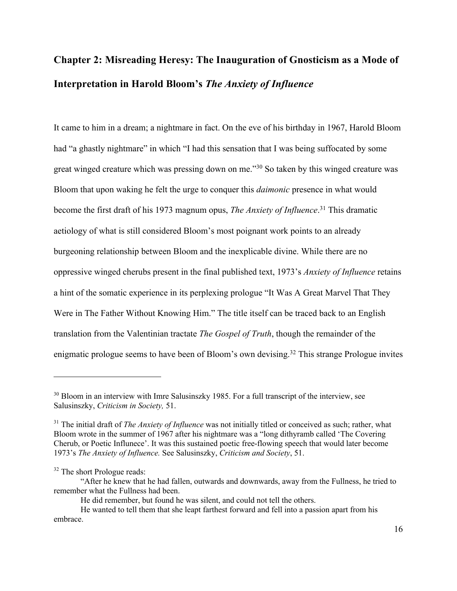# **Chapter 2: Misreading Heresy: The Inauguration of Gnosticism as a Mode of Interpretation in Harold Bloom's** *The Anxiety of Influence*

It came to him in a dream; a nightmare in fact. On the eve of his birthday in 1967, Harold Bloom had "a ghastly nightmare" in which "I had this sensation that I was being suffocated by some great winged creature which was pressing down on me."30 So taken by this winged creature was Bloom that upon waking he felt the urge to conquer this *daimonic* presence in what would become the first draft of his 1973 magnum opus, *The Anxiety of Influence*. <sup>31</sup> This dramatic aetiology of what is still considered Bloom's most poignant work points to an already burgeoning relationship between Bloom and the inexplicable divine. While there are no oppressive winged cherubs present in the final published text, 1973's *Anxiety of Influence* retains a hint of the somatic experience in its perplexing prologue "It Was A Great Marvel That They Were in The Father Without Knowing Him." The title itself can be traced back to an English translation from the Valentinian tractate *The Gospel of Truth*, though the remainder of the enigmatic prologue seems to have been of Bloom's own devising.<sup>32</sup> This strange Prologue invites

<sup>&</sup>lt;sup>30</sup> Bloom in an interview with Imre Salusinszky 1985. For a full transcript of the interview, see Salusinszky, *Criticism in Society,* 51.

<sup>&</sup>lt;sup>31</sup> The initial draft of *The Anxiety of Influence* was not initially titled or conceived as such; rather, what Bloom wrote in the summer of 1967 after his nightmare was a "long dithyramb called 'The Covering Cherub, or Poetic Influnece'. It was this sustained poetic free-flowing speech that would later become 1973's *The Anxiety of Influence.* See Salusinszky, *Criticism and Society*, 51.

<sup>&</sup>lt;sup>32</sup> The short Prologue reads:

<sup>&</sup>quot;After he knew that he had fallen, outwards and downwards, away from the Fullness, he tried to remember what the Fullness had been.

He did remember, but found he was silent, and could not tell the others.

He wanted to tell them that she leapt farthest forward and fell into a passion apart from his embrace.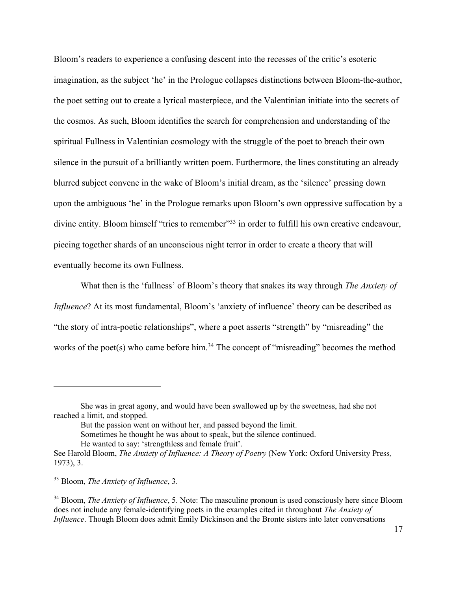Bloom's readers to experience a confusing descent into the recesses of the critic's esoteric imagination, as the subject 'he' in the Prologue collapses distinctions between Bloom-the-author, the poet setting out to create a lyrical masterpiece, and the Valentinian initiate into the secrets of the cosmos. As such, Bloom identifies the search for comprehension and understanding of the spiritual Fullness in Valentinian cosmology with the struggle of the poet to breach their own silence in the pursuit of a brilliantly written poem. Furthermore, the lines constituting an already blurred subject convene in the wake of Bloom's initial dream, as the 'silence' pressing down upon the ambiguous 'he' in the Prologue remarks upon Bloom's own oppressive suffocation by a divine entity. Bloom himself "tries to remember"<sup>33</sup> in order to fulfill his own creative endeavour, piecing together shards of an unconscious night terror in order to create a theory that will eventually become its own Fullness.

What then is the 'fullness' of Bloom's theory that snakes its way through *The Anxiety of Influence*? At its most fundamental, Bloom's 'anxiety of influence' theory can be described as "the story of intra-poetic relationships", where a poet asserts "strength" by "misreading" the works of the poet(s) who came before him.<sup>34</sup> The concept of "misreading" becomes the method

Sometimes he thought he was about to speak, but the silence continued.

She was in great agony, and would have been swallowed up by the sweetness, had she not reached a limit, and stopped.

But the passion went on without her, and passed beyond the limit.

He wanted to say: 'strengthless and female fruit'.

See Harold Bloom, *The Anxiety of Influence: A Theory of Poetry* (New York: Oxford University Press*,*  1973), 3.

<sup>33</sup> Bloom, *The Anxiety of Influence*, 3.

<sup>&</sup>lt;sup>34</sup> Bloom, *The Anxiety of Influence*, 5. Note: The masculine pronoun is used consciously here since Bloom does not include any female-identifying poets in the examples cited in throughout *The Anxiety of Influence*. Though Bloom does admit Emily Dickinson and the Bronte sisters into later conversations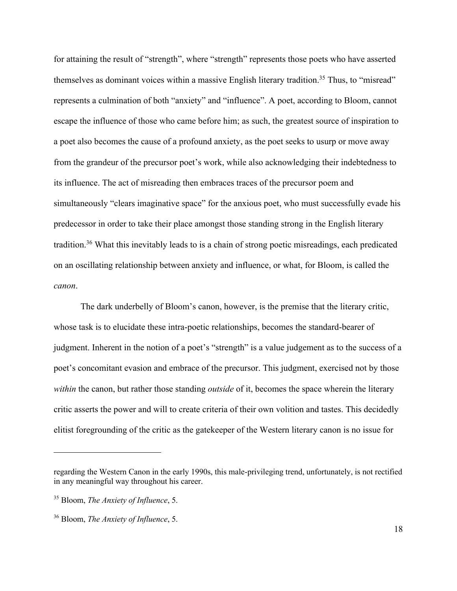for attaining the result of "strength", where "strength" represents those poets who have asserted themselves as dominant voices within a massive English literary tradition.<sup>35</sup> Thus, to "misread" represents a culmination of both "anxiety" and "influence". A poet, according to Bloom, cannot escape the influence of those who came before him; as such, the greatest source of inspiration to a poet also becomes the cause of a profound anxiety, as the poet seeks to usurp or move away from the grandeur of the precursor poet's work, while also acknowledging their indebtedness to its influence. The act of misreading then embraces traces of the precursor poem and simultaneously "clears imaginative space" for the anxious poet, who must successfully evade his predecessor in order to take their place amongst those standing strong in the English literary tradition.36 What this inevitably leads to is a chain of strong poetic misreadings, each predicated on an oscillating relationship between anxiety and influence, or what, for Bloom, is called the *canon*.

The dark underbelly of Bloom's canon, however, is the premise that the literary critic, whose task is to elucidate these intra-poetic relationships, becomes the standard-bearer of judgment. Inherent in the notion of a poet's "strength" is a value judgement as to the success of a poet's concomitant evasion and embrace of the precursor. This judgment, exercised not by those *within* the canon, but rather those standing *outside* of it, becomes the space wherein the literary critic asserts the power and will to create criteria of their own volition and tastes. This decidedly elitist foregrounding of the critic as the gatekeeper of the Western literary canon is no issue for

regarding the Western Canon in the early 1990s, this male-privileging trend, unfortunately, is not rectified in any meaningful way throughout his career.

<sup>35</sup> Bloom, *The Anxiety of Influence*, 5.

<sup>36</sup> Bloom, *The Anxiety of Influence*, 5.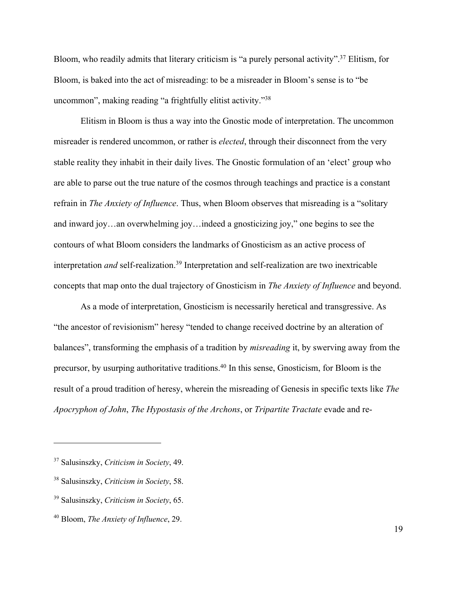Bloom, who readily admits that literary criticism is "a purely personal activity".<sup>37</sup> Elitism, for Bloom, is baked into the act of misreading: to be a misreader in Bloom's sense is to "be uncommon", making reading "a frightfully elitist activity."38

Elitism in Bloom is thus a way into the Gnostic mode of interpretation. The uncommon misreader is rendered uncommon, or rather is *elected*, through their disconnect from the very stable reality they inhabit in their daily lives. The Gnostic formulation of an 'elect' group who are able to parse out the true nature of the cosmos through teachings and practice is a constant refrain in *The Anxiety of Influence*. Thus, when Bloom observes that misreading is a "solitary and inward joy…an overwhelming joy…indeed a gnosticizing joy," one begins to see the contours of what Bloom considers the landmarks of Gnosticism as an active process of interpretation *and* self-realization.39 Interpretation and self-realization are two inextricable concepts that map onto the dual trajectory of Gnosticism in *The Anxiety of Influence* and beyond.

As a mode of interpretation, Gnosticism is necessarily heretical and transgressive. As "the ancestor of revisionism" heresy "tended to change received doctrine by an alteration of balances", transforming the emphasis of a tradition by *misreading* it, by swerving away from the precursor, by usurping authoritative traditions.40 In this sense, Gnosticism, for Bloom is the result of a proud tradition of heresy, wherein the misreading of Genesis in specific texts like *The Apocryphon of John*, *The Hypostasis of the Archons*, or *Tripartite Tractate* evade and re-

<sup>37</sup> Salusinszky, *Criticism in Society*, 49.

<sup>38</sup> Salusinszky, *Criticism in Society*, 58.

<sup>39</sup> Salusinszky, *Criticism in Society*, 65.

<sup>40</sup> Bloom, *The Anxiety of Influence*, 29.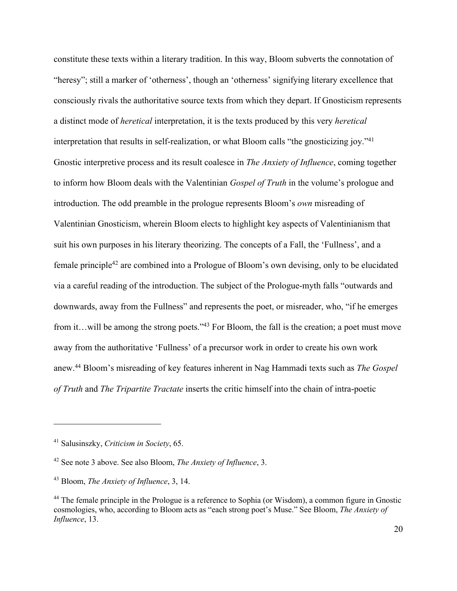constitute these texts within a literary tradition. In this way, Bloom subverts the connotation of "heresy"; still a marker of 'otherness', though an 'otherness' signifying literary excellence that consciously rivals the authoritative source texts from which they depart. If Gnosticism represents a distinct mode of *heretical* interpretation, it is the texts produced by this very *heretical* interpretation that results in self-realization, or what Bloom calls "the gnosticizing joy."41 Gnostic interpretive process and its result coalesce in *The Anxiety of Influence*, coming together to inform how Bloom deals with the Valentinian *Gospel of Truth* in the volume's prologue and introduction. The odd preamble in the prologue represents Bloom's *own* misreading of Valentinian Gnosticism, wherein Bloom elects to highlight key aspects of Valentinianism that suit his own purposes in his literary theorizing. The concepts of a Fall, the 'Fullness', and a female principle42 are combined into a Prologue of Bloom's own devising, only to be elucidated via a careful reading of the introduction. The subject of the Prologue-myth falls "outwards and downwards, away from the Fullness" and represents the poet, or misreader, who, "if he emerges from it...will be among the strong poets."<sup>43</sup> For Bloom, the fall is the creation; a poet must move away from the authoritative 'Fullness' of a precursor work in order to create his own work anew.44 Bloom's misreading of key features inherent in Nag Hammadi texts such as *The Gospel of Truth* and *The Tripartite Tractate* inserts the critic himself into the chain of intra-poetic

<sup>41</sup> Salusinszky, *Criticism in Society*, 65.

<sup>42</sup> See note 3 above. See also Bloom, *The Anxiety of Influence*, 3.

<sup>43</sup> Bloom, *The Anxiety of Influence*, 3, 14.

<sup>&</sup>lt;sup>44</sup> The female principle in the Prologue is a reference to Sophia (or Wisdom), a common figure in Gnostic cosmologies, who, according to Bloom acts as "each strong poet's Muse." See Bloom, *The Anxiety of Influence*, 13.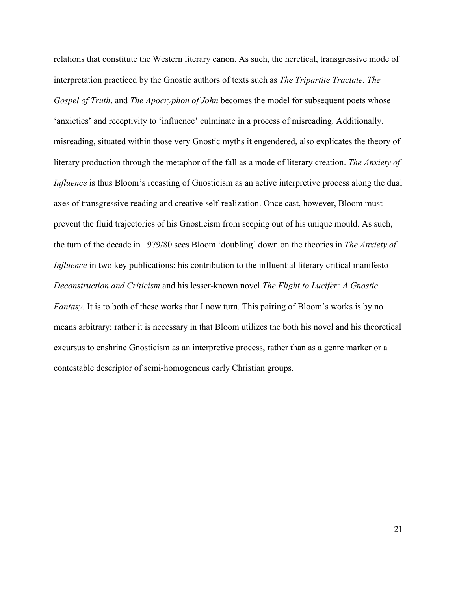relations that constitute the Western literary canon. As such, the heretical, transgressive mode of interpretation practiced by the Gnostic authors of texts such as *The Tripartite Tractate*, *The Gospel of Truth*, and *The Apocryphon of John* becomes the model for subsequent poets whose 'anxieties' and receptivity to 'influence' culminate in a process of misreading. Additionally, misreading, situated within those very Gnostic myths it engendered, also explicates the theory of literary production through the metaphor of the fall as a mode of literary creation. *The Anxiety of Influence* is thus Bloom's recasting of Gnosticism as an active interpretive process along the dual axes of transgressive reading and creative self-realization. Once cast, however, Bloom must prevent the fluid trajectories of his Gnosticism from seeping out of his unique mould. As such, the turn of the decade in 1979/80 sees Bloom 'doubling' down on the theories in *The Anxiety of Influence* in two key publications: his contribution to the influential literary critical manifesto *Deconstruction and Criticism* and his lesser-known novel *The Flight to Lucifer: A Gnostic Fantasy*. It is to both of these works that I now turn. This pairing of Bloom's works is by no means arbitrary; rather it is necessary in that Bloom utilizes the both his novel and his theoretical excursus to enshrine Gnosticism as an interpretive process, rather than as a genre marker or a contestable descriptor of semi-homogenous early Christian groups.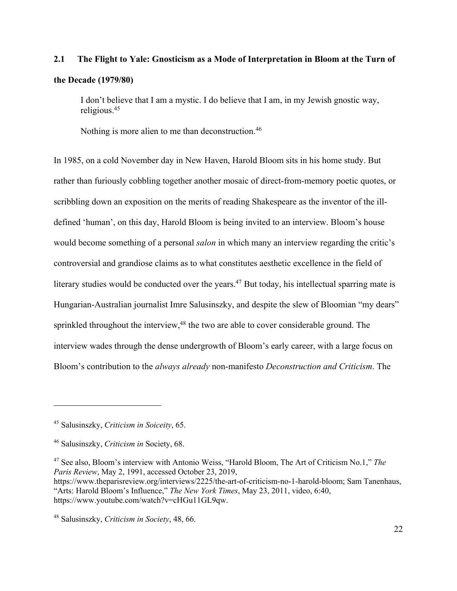## **2.1 The Flight to Yale: Gnosticism as a Mode of Interpretation in Bloom at the Turn of the Decade (1979/80)**

I don't believe that I am a mystic. I do believe that I am, in my Jewish gnostic way, religious.45

Nothing is more alien to me than deconstruction.<sup>46</sup>

In 1985, on a cold November day in New Haven, Harold Bloom sits in his home study. But rather than furiously cobbling together another mosaic of direct-from-memory poetic quotes, or scribbling down an exposition on the merits of reading Shakespeare as the inventor of the illdefined 'human', on this day, Harold Bloom is being invited to an interview. Bloom's house would become something of a personal *salon* in which many an interview regarding the critic's controversial and grandiose claims as to what constitutes aesthetic excellence in the field of literary studies would be conducted over the years.<sup>47</sup> But today, his intellectual sparring mate is Hungarian-Australian journalist Imre Salusinszky, and despite the slew of Bloomian "my dears" sprinkled throughout the interview,<sup>48</sup> the two are able to cover considerable ground. The interview wades through the dense undergrowth of Bloom's early career, with a large focus on Bloom's contribution to the *always already* non-manifesto *Deconstruction and Criticism*. The

<sup>45</sup> Salusinszky, *Criticism in Soiceity*, 65.

<sup>46</sup> Salusinszky, *Criticism in* Society, 68.

<sup>47</sup> See also, Bloom's interview with Antonio Weiss, "Harold Bloom, The Art of Criticism No.1," *The Paris Review*, May 2, 1991, accessed October 23, 2019,

https://www.theparisreview.org/interviews/2225/the-art-of-criticism-no-1-harold-bloom; Sam Tanenhaus, "Arts: Harold Bloom's Influence," *The New York Times*, May 23, 2011, video, 6:40, https://www.youtube.com/watch?v=cHGu11GL9qw.

<sup>48</sup> Salusinszky, *Criticism in Society*, 48, 66.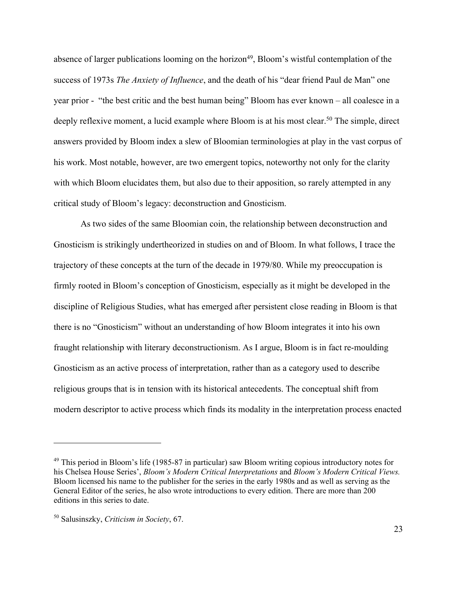absence of larger publications looming on the horizon<sup>49</sup>, Bloom's wistful contemplation of the success of 1973s *The Anxiety of Influence*, and the death of his "dear friend Paul de Man" one year prior - "the best critic and the best human being" Bloom has ever known – all coalesce in a deeply reflexive moment, a lucid example where Bloom is at his most clear.<sup>50</sup> The simple, direct answers provided by Bloom index a slew of Bloomian terminologies at play in the vast corpus of his work. Most notable, however, are two emergent topics, noteworthy not only for the clarity with which Bloom elucidates them, but also due to their apposition, so rarely attempted in any critical study of Bloom's legacy: deconstruction and Gnosticism.

As two sides of the same Bloomian coin, the relationship between deconstruction and Gnosticism is strikingly undertheorized in studies on and of Bloom. In what follows, I trace the trajectory of these concepts at the turn of the decade in 1979/80. While my preoccupation is firmly rooted in Bloom's conception of Gnosticism, especially as it might be developed in the discipline of Religious Studies, what has emerged after persistent close reading in Bloom is that there is no "Gnosticism" without an understanding of how Bloom integrates it into his own fraught relationship with literary deconstructionism. As I argue, Bloom is in fact re-moulding Gnosticism as an active process of interpretation, rather than as a category used to describe religious groups that is in tension with its historical antecedents. The conceptual shift from modern descriptor to active process which finds its modality in the interpretation process enacted

<sup>&</sup>lt;sup>49</sup> This period in Bloom's life (1985-87 in particular) saw Bloom writing copious introductory notes for his Chelsea House Series', *Bloom's Modern Critical Interpretations* and *Bloom's Modern Critical Views.* Bloom licensed his name to the publisher for the series in the early 1980s and as well as serving as the General Editor of the series, he also wrote introductions to every edition. There are more than 200 editions in this series to date.

<sup>50</sup> Salusinszky, *Criticism in Society*, 67.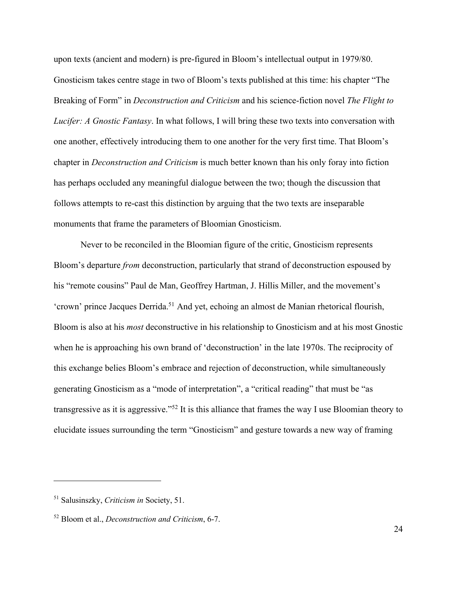upon texts (ancient and modern) is pre-figured in Bloom's intellectual output in 1979/80. Gnosticism takes centre stage in two of Bloom's texts published at this time: his chapter "The Breaking of Form" in *Deconstruction and Criticism* and his science-fiction novel *The Flight to Lucifer: A Gnostic Fantasy*. In what follows, I will bring these two texts into conversation with one another, effectively introducing them to one another for the very first time. That Bloom's chapter in *Deconstruction and Criticism* is much better known than his only foray into fiction has perhaps occluded any meaningful dialogue between the two; though the discussion that follows attempts to re-cast this distinction by arguing that the two texts are inseparable monuments that frame the parameters of Bloomian Gnosticism.

Never to be reconciled in the Bloomian figure of the critic, Gnosticism represents Bloom's departure *from* deconstruction, particularly that strand of deconstruction espoused by his "remote cousins" Paul de Man, Geoffrey Hartman, J. Hillis Miller, and the movement's 'crown' prince Jacques Derrida.51 And yet, echoing an almost de Manian rhetorical flourish, Bloom is also at his *most* deconstructive in his relationship to Gnosticism and at his most Gnostic when he is approaching his own brand of 'deconstruction' in the late 1970s. The reciprocity of this exchange belies Bloom's embrace and rejection of deconstruction, while simultaneously generating Gnosticism as a "mode of interpretation", a "critical reading" that must be "as transgressive as it is aggressive."52 It is this alliance that frames the way I use Bloomian theory to elucidate issues surrounding the term "Gnosticism" and gesture towards a new way of framing

<sup>51</sup> Salusinszky, *Criticism in* Society, 51.

<sup>52</sup> Bloom et al., *Deconstruction and Criticism*, 6-7.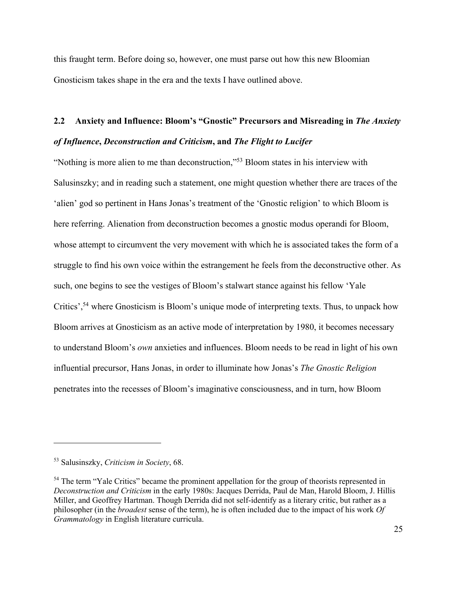this fraught term. Before doing so, however, one must parse out how this new Bloomian Gnosticism takes shape in the era and the texts I have outlined above.

## **2.2 Anxiety and Influence: Bloom's "Gnostic" Precursors and Misreading in** *The Anxiety of Influence***,** *Deconstruction and Criticism***, and** *The Flight to Lucifer*

"Nothing is more alien to me than deconstruction,"53 Bloom states in his interview with Salusinszky; and in reading such a statement, one might question whether there are traces of the 'alien' god so pertinent in Hans Jonas's treatment of the 'Gnostic religion' to which Bloom is here referring. Alienation from deconstruction becomes a gnostic modus operandi for Bloom, whose attempt to circumvent the very movement with which he is associated takes the form of a struggle to find his own voice within the estrangement he feels from the deconstructive other. As such, one begins to see the vestiges of Bloom's stalwart stance against his fellow 'Yale Critics',<sup>54</sup> where Gnosticism is Bloom's unique mode of interpreting texts. Thus, to unpack how Bloom arrives at Gnosticism as an active mode of interpretation by 1980, it becomes necessary to understand Bloom's *own* anxieties and influences. Bloom needs to be read in light of his own influential precursor, Hans Jonas, in order to illuminate how Jonas's *The Gnostic Religion* penetrates into the recesses of Bloom's imaginative consciousness, and in turn, how Bloom

<sup>53</sup> Salusinszky, *Criticism in Society*, 68.

<sup>&</sup>lt;sup>54</sup> The term "Yale Critics" became the prominent appellation for the group of theorists represented in *Deconstruction and Criticism* in the early 1980s: Jacques Derrida, Paul de Man, Harold Bloom, J. Hillis Miller, and Geoffrey Hartman. Though Derrida did not self-identify as a literary critic, but rather as a philosopher (in the *broadest* sense of the term), he is often included due to the impact of his work *Of Grammatology* in English literature curricula.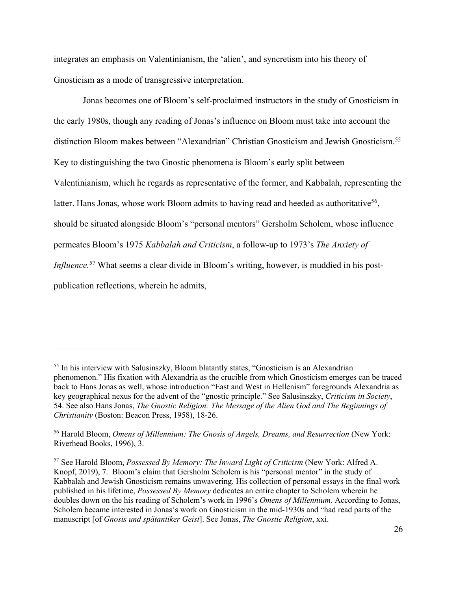integrates an emphasis on Valentinianism, the 'alien', and syncretism into his theory of Gnosticism as a mode of transgressive interpretation.

Jonas becomes one of Bloom's self-proclaimed instructors in the study of Gnosticism in the early 1980s, though any reading of Jonas's influence on Bloom must take into account the distinction Bloom makes between "Alexandrian" Christian Gnosticism and Jewish Gnosticism.55 Key to distinguishing the two Gnostic phenomena is Bloom's early split between Valentinianism, which he regards as representative of the former, and Kabbalah, representing the latter. Hans Jonas, whose work Bloom admits to having read and heeded as authoritative<sup>56</sup>, should be situated alongside Bloom's "personal mentors" Gersholm Scholem, whose influence permeates Bloom's 1975 *Kabbalah and Criticism*, a follow-up to 1973's *The Anxiety of Influence*.<sup>57</sup> What seems a clear divide in Bloom's writing, however, is muddied in his postpublication reflections, wherein he admits,

<sup>&</sup>lt;sup>55</sup> In his interview with Salusinszky, Bloom blatantly states, "Gnosticism is an Alexandrian" phenomenon." His fixation with Alexandria as the crucible from which Gnosticism emerges can be traced back to Hans Jonas as well, whose introduction "East and West in Hellenism" foregrounds Alexandria as key geographical nexus for the advent of the "gnostic principle." See Salusinszky, *Criticism in Society*, 54. See also Hans Jonas, *The Gnostic Religion: The Message of the Alien God and The Beginnings of Christianity* (Boston: Beacon Press, 1958), 18-26.

<sup>56</sup> Harold Bloom, *Omens of Millennium: The Gnosis of Angels, Dreams, and Resurrection* (New York: Riverhead Books, 1996), 3.

<sup>57</sup> See Harold Bloom, *Possessed By Memory: The Inward Light of Criticism* (New York: Alfred A. Knopf, 2019), 7. Bloom's claim that Gersholm Scholem is his "personal mentor" in the study of Kabbalah and Jewish Gnosticism remains unwavering. His collection of personal essays in the final work published in his lifetime, *Possessed By Memory* dedicates an entire chapter to Scholem wherein he doubles down on the his reading of Scholem's work in 1996's *Omens of Millennium.* According to Jonas, Scholem became interested in Jonas's work on Gnosticism in the mid-1930s and "had read parts of the manuscript [of *Gnosis und spätantiker Geist*]. See Jonas, *The Gnostic Religion*, xxi.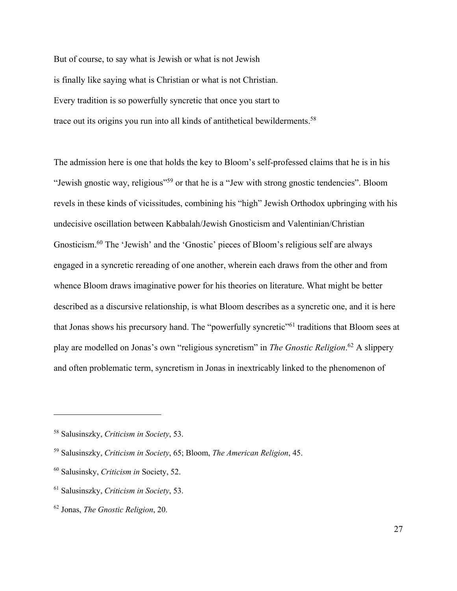But of course, to say what is Jewish or what is not Jewish is finally like saying what is Christian or what is not Christian. Every tradition is so powerfully syncretic that once you start to trace out its origins you run into all kinds of antithetical bewilderments.<sup>58</sup>

The admission here is one that holds the key to Bloom's self-professed claims that he is in his "Jewish gnostic way, religious"59 or that he is a "Jew with strong gnostic tendencies". Bloom revels in these kinds of vicissitudes, combining his "high" Jewish Orthodox upbringing with his undecisive oscillation between Kabbalah/Jewish Gnosticism and Valentinian/Christian Gnosticism.60 The 'Jewish' and the 'Gnostic' pieces of Bloom's religious self are always engaged in a syncretic rereading of one another, wherein each draws from the other and from whence Bloom draws imaginative power for his theories on literature. What might be better described as a discursive relationship, is what Bloom describes as a syncretic one, and it is here that Jonas shows his precursory hand. The "powerfully syncretic"61 traditions that Bloom sees at play are modelled on Jonas's own "religious syncretism" in *The Gnostic Religion*. <sup>62</sup> A slippery and often problematic term, syncretism in Jonas in inextricably linked to the phenomenon of

<sup>58</sup> Salusinszky, *Criticism in Society*, 53.

<sup>59</sup> Salusinszky, *Criticism in Society*, 65; Bloom, *The American Religion*, 45.

<sup>60</sup> Salusinsky, *Criticism in* Society, 52.

<sup>61</sup> Salusinszky, *Criticism in Society*, 53.

<sup>62</sup> Jonas, *The Gnostic Religion*, 20.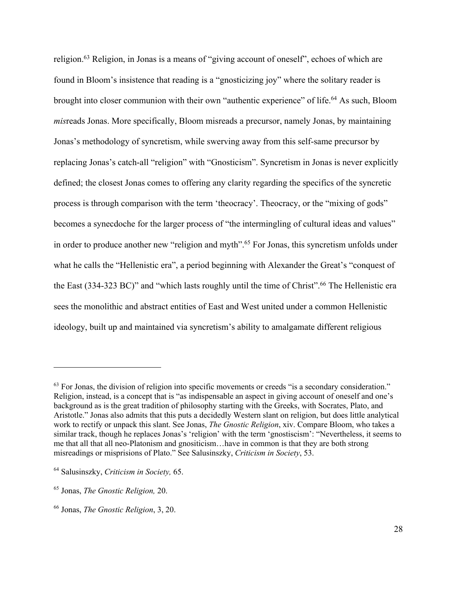religion.<sup>63</sup> Religion, in Jonas is a means of "giving account of oneself", echoes of which are found in Bloom's insistence that reading is a "gnosticizing joy" where the solitary reader is brought into closer communion with their own "authentic experience" of life.<sup>64</sup> As such, Bloom *mis*reads Jonas. More specifically, Bloom misreads a precursor, namely Jonas, by maintaining Jonas's methodology of syncretism, while swerving away from this self-same precursor by replacing Jonas's catch-all "religion" with "Gnosticism". Syncretism in Jonas is never explicitly defined; the closest Jonas comes to offering any clarity regarding the specifics of the syncretic process is through comparison with the term 'theocracy'. Theocracy, or the "mixing of gods" becomes a synecdoche for the larger process of "the intermingling of cultural ideas and values" in order to produce another new "religion and myth".65 For Jonas, this syncretism unfolds under what he calls the "Hellenistic era", a period beginning with Alexander the Great's "conquest of the East (334-323 BC)" and "which lasts roughly until the time of Christ".<sup>66</sup> The Hellenistic era sees the monolithic and abstract entities of East and West united under a common Hellenistic ideology, built up and maintained via syncretism's ability to amalgamate different religious

<sup>&</sup>lt;sup>63</sup> For Jonas, the division of religion into specific movements or creeds "is a secondary consideration." Religion, instead, is a concept that is "as indispensable an aspect in giving account of oneself and one's background as is the great tradition of philosophy starting with the Greeks, with Socrates, Plato, and Aristotle." Jonas also admits that this puts a decidedly Western slant on religion, but does little analytical work to rectify or unpack this slant. See Jonas, *The Gnostic Religion*, xiv. Compare Bloom, who takes a similar track, though he replaces Jonas's 'religion' with the term 'gnostiscism': "Nevertheless, it seems to me that all that all neo-Platonism and gnositicism…have in common is that they are both strong misreadings or misprisions of Plato." See Salusinszky, *Criticism in Society*, 53.

<sup>64</sup> Salusinszky, *Criticism in Society,* 65.

<sup>65</sup> Jonas, *The Gnostic Religion,* 20.

<sup>66</sup> Jonas, *The Gnostic Religion*, 3, 20.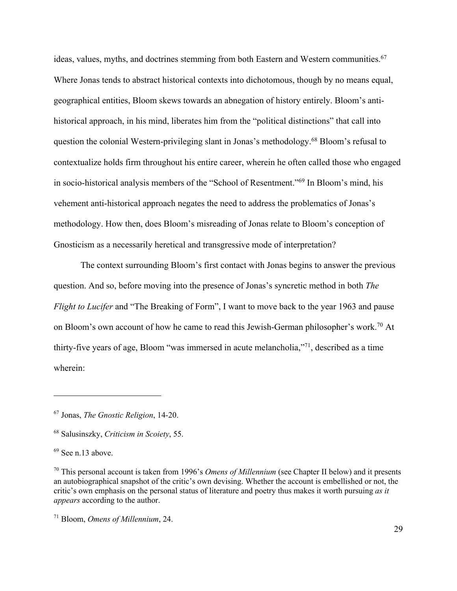ideas, values, myths, and doctrines stemming from both Eastern and Western communities.<sup>67</sup> Where Jonas tends to abstract historical contexts into dichotomous, though by no means equal, geographical entities, Bloom skews towards an abnegation of history entirely. Bloom's antihistorical approach, in his mind, liberates him from the "political distinctions" that call into question the colonial Western-privileging slant in Jonas's methodology.68 Bloom's refusal to contextualize holds firm throughout his entire career, wherein he often called those who engaged in socio-historical analysis members of the "School of Resentment."69 In Bloom's mind, his vehement anti-historical approach negates the need to address the problematics of Jonas's methodology. How then, does Bloom's misreading of Jonas relate to Bloom's conception of Gnosticism as a necessarily heretical and transgressive mode of interpretation?

The context surrounding Bloom's first contact with Jonas begins to answer the previous question. And so, before moving into the presence of Jonas's syncretic method in both *The Flight to Lucifer* and "The Breaking of Form", I want to move back to the year 1963 and pause on Bloom's own account of how he came to read this Jewish-German philosopher's work.70 At thirty-five years of age, Bloom "was immersed in acute melancholia,"71, described as a time wherein:

<sup>67</sup> Jonas, *The Gnostic Religion*, 14-20.

<sup>68</sup> Salusinszky, *Criticism in Scoiety*, 55.

 $69$  See n.13 above.

<sup>70</sup> This personal account is taken from 1996's *Omens of Millennium* (see Chapter II below) and it presents an autobiographical snapshot of the critic's own devising. Whether the account is embellished or not, the critic's own emphasis on the personal status of literature and poetry thus makes it worth pursuing *as it appears* according to the author.

<sup>71</sup> Bloom, *Omens of Millennium*, 24.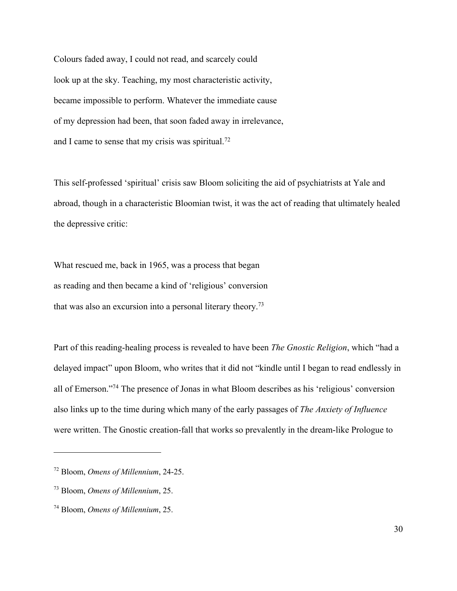Colours faded away, I could not read, and scarcely could look up at the sky. Teaching, my most characteristic activity, became impossible to perform. Whatever the immediate cause of my depression had been, that soon faded away in irrelevance, and I came to sense that my crisis was spiritual.72

This self-professed 'spiritual' crisis saw Bloom soliciting the aid of psychiatrists at Yale and abroad, though in a characteristic Bloomian twist, it was the act of reading that ultimately healed the depressive critic:

What rescued me, back in 1965, was a process that began as reading and then became a kind of 'religious' conversion that was also an excursion into a personal literary theory.73

Part of this reading-healing process is revealed to have been *The Gnostic Religion*, which "had a delayed impact" upon Bloom, who writes that it did not "kindle until I began to read endlessly in all of Emerson."74 The presence of Jonas in what Bloom describes as his 'religious' conversion also links up to the time during which many of the early passages of *The Anxiety of Influence*  were written. The Gnostic creation-fall that works so prevalently in the dream-like Prologue to

<sup>72</sup> Bloom, *Omens of Millennium*, 24-25.

<sup>73</sup> Bloom, *Omens of Millennium*, 25.

<sup>74</sup> Bloom, *Omens of Millennium*, 25.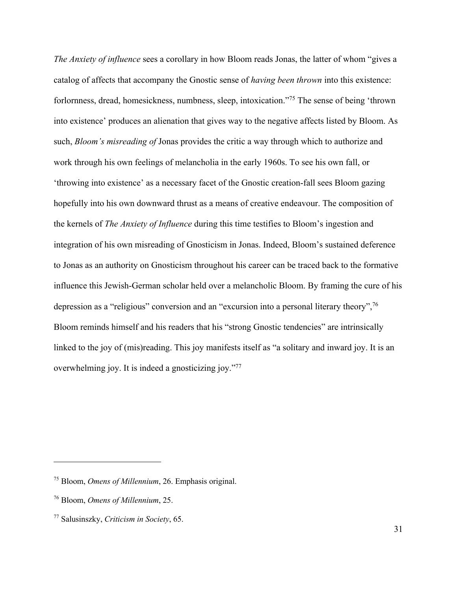*The Anxiety of influence* sees a corollary in how Bloom reads Jonas, the latter of whom "gives a catalog of affects that accompany the Gnostic sense of *having been thrown* into this existence: forlornness, dread, homesickness, numbness, sleep, intoxication."75 The sense of being 'thrown into existence' produces an alienation that gives way to the negative affects listed by Bloom. As such, *Bloom's misreading of* Jonas provides the critic a way through which to authorize and work through his own feelings of melancholia in the early 1960s. To see his own fall, or 'throwing into existence' as a necessary facet of the Gnostic creation-fall sees Bloom gazing hopefully into his own downward thrust as a means of creative endeavour. The composition of the kernels of *The Anxiety of Influence* during this time testifies to Bloom's ingestion and integration of his own misreading of Gnosticism in Jonas. Indeed, Bloom's sustained deference to Jonas as an authority on Gnosticism throughout his career can be traced back to the formative influence this Jewish-German scholar held over a melancholic Bloom. By framing the cure of his depression as a "religious" conversion and an "excursion into a personal literary theory",<sup>76</sup> Bloom reminds himself and his readers that his "strong Gnostic tendencies" are intrinsically linked to the joy of (mis)reading. This joy manifests itself as "a solitary and inward joy. It is an overwhelming joy. It is indeed a gnosticizing joy."77

<sup>75</sup> Bloom, *Omens of Millennium*, 26. Emphasis original.

<sup>76</sup> Bloom, *Omens of Millennium*, 25.

<sup>77</sup> Salusinszky, *Criticism in Society*, 65.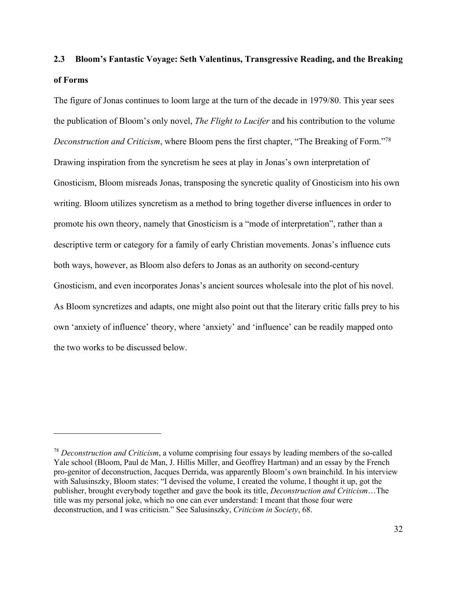### **2.3 Bloom's Fantastic Voyage: Seth Valentinus, Transgressive Reading, and the Breaking of Forms**

The figure of Jonas continues to loom large at the turn of the decade in 1979/80. This year sees the publication of Bloom's only novel, *The Flight to Lucifer* and his contribution to the volume *Deconstruction and Criticism*, where Bloom pens the first chapter, "The Breaking of Form."78 Drawing inspiration from the syncretism he sees at play in Jonas's own interpretation of Gnosticism, Bloom misreads Jonas, transposing the syncretic quality of Gnosticism into his own writing. Bloom utilizes syncretism as a method to bring together diverse influences in order to promote his own theory, namely that Gnosticism is a "mode of interpretation", rather than a descriptive term or category for a family of early Christian movements. Jonas's influence cuts both ways, however, as Bloom also defers to Jonas as an authority on second-century Gnosticism, and even incorporates Jonas's ancient sources wholesale into the plot of his novel. As Bloom syncretizes and adapts, one might also point out that the literary critic falls prey to his own 'anxiety of influence' theory, where 'anxiety' and 'influence' can be readily mapped onto the two works to be discussed below.

<sup>78</sup> *Deconstruction and Criticism*, a volume comprising four essays by leading members of the so-called Yale school (Bloom, Paul de Man, J. Hillis Miller, and Geoffrey Hartman) and an essay by the French pro-genitor of deconstruction, Jacques Derrida, was apparently Bloom's own brainchild. In his interview with Salusinszky, Bloom states: "I devised the volume, I created the volume, I thought it up, got the publisher, brought everybody together and gave the book its title, *Deconstruction and Criticism*…The title was my personal joke, which no one can ever understand: I meant that those four were deconstruction, and I was criticism." See Salusinszky, *Criticism in Society*, 68.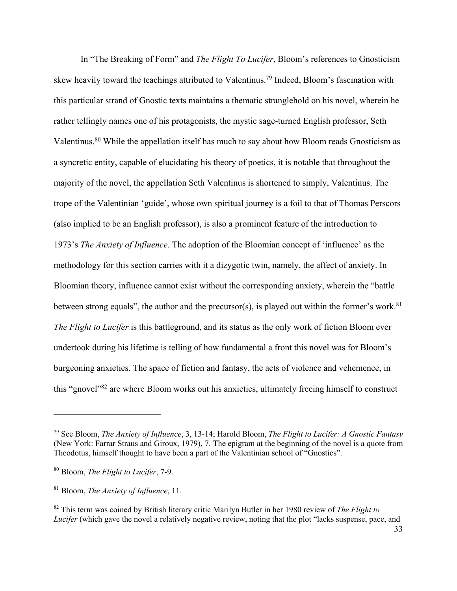In "The Breaking of Form" and *The Flight To Lucifer*, Bloom's references to Gnosticism skew heavily toward the teachings attributed to Valentinus.79 Indeed, Bloom's fascination with this particular strand of Gnostic texts maintains a thematic stranglehold on his novel, wherein he rather tellingly names one of his protagonists, the mystic sage-turned English professor, Seth Valentinus.<sup>80</sup> While the appellation itself has much to say about how Bloom reads Gnosticism as a syncretic entity, capable of elucidating his theory of poetics, it is notable that throughout the majority of the novel, the appellation Seth Valentinus is shortened to simply, Valentinus. The trope of the Valentinian 'guide', whose own spiritual journey is a foil to that of Thomas Perscors (also implied to be an English professor), is also a prominent feature of the introduction to 1973's *The Anxiety of Influence*. The adoption of the Bloomian concept of 'influence' as the methodology for this section carries with it a dizygotic twin, namely, the affect of anxiety. In Bloomian theory, influence cannot exist without the corresponding anxiety, wherein the "battle between strong equals", the author and the precursor(s), is played out within the former's work.<sup>81</sup> *The Flight to Lucifer* is this battleground, and its status as the only work of fiction Bloom ever undertook during his lifetime is telling of how fundamental a front this novel was for Bloom's burgeoning anxieties. The space of fiction and fantasy, the acts of violence and vehemence, in this "gnovel"82 are where Bloom works out his anxieties, ultimately freeing himself to construct

<sup>79</sup> See Bloom, *The Anxiety of Influence*, 3, 13-14; Harold Bloom, *The Flight to Lucifer: A Gnostic Fantasy* (New York: Farrar Straus and Giroux, 1979), 7. The epigram at the beginning of the novel is a quote from Theodotus, himself thought to have been a part of the Valentinian school of "Gnostics".

<sup>80</sup> Bloom, *The Flight to Lucifer*, 7-9.

<sup>81</sup> Bloom, *The Anxiety of Influence*, 11.

<sup>82</sup> This term was coined by British literary critic Marilyn Butler in her 1980 review of *The Flight to Lucifer* (which gave the novel a relatively negative review, noting that the plot "lacks suspense, pace, and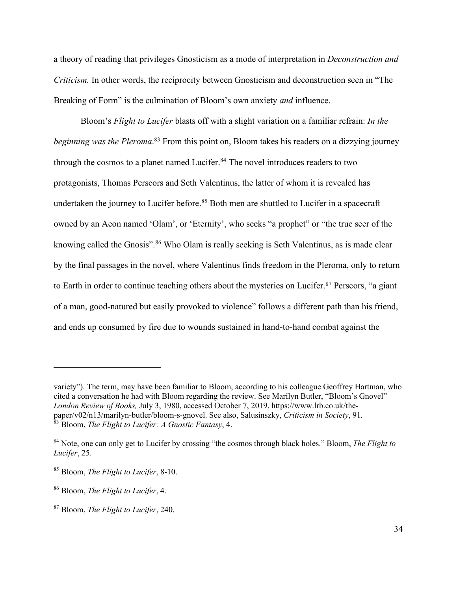a theory of reading that privileges Gnosticism as a mode of interpretation in *Deconstruction and Criticism.* In other words, the reciprocity between Gnosticism and deconstruction seen in "The Breaking of Form" is the culmination of Bloom's own anxiety *and* influence.

Bloom's *Flight to Lucifer* blasts off with a slight variation on a familiar refrain: *In the beginning was the Pleroma*. <sup>83</sup> From this point on, Bloom takes his readers on a dizzying journey through the cosmos to a planet named Lucifer. <sup>84</sup> The novel introduces readers to two protagonists, Thomas Perscors and Seth Valentinus, the latter of whom it is revealed has undertaken the journey to Lucifer before.<sup>85</sup> Both men are shuttled to Lucifer in a spacecraft owned by an Aeon named 'Olam', or 'Eternity', who seeks "a prophet" or "the true seer of the knowing called the Gnosis".<sup>86</sup> Who Olam is really seeking is Seth Valentinus, as is made clear by the final passages in the novel, where Valentinus finds freedom in the Pleroma, only to return to Earth in order to continue teaching others about the mysteries on Lucifer.<sup>87</sup> Perscors, "a giant of a man, good-natured but easily provoked to violence" follows a different path than his friend, and ends up consumed by fire due to wounds sustained in hand-to-hand combat against the

variety"). The term, may have been familiar to Bloom, according to his colleague Geoffrey Hartman, who cited a conversation he had with Bloom regarding the review. See Marilyn Butler, "Bloom's Gnovel" *London Review of Books,* July 3, 1980, accessed October 7, 2019, https://www.lrb.co.uk/thepaper/v02/n13/marilyn-butler/bloom-s-gnovel. See also, Salusinszky, *Criticism in Society*, 91. <sup>83</sup> Bloom, *The Flight to Lucifer: A Gnostic Fantasy*, 4.

<sup>84</sup> Note, one can only get to Lucifer by crossing "the cosmos through black holes." Bloom, *The Flight to Lucifer*, 25.

<sup>85</sup> Bloom, *The Flight to Lucifer*, 8-10.

<sup>86</sup> Bloom, *The Flight to Lucifer*, 4.

<sup>87</sup> Bloom, *The Flight to Lucifer*, 240.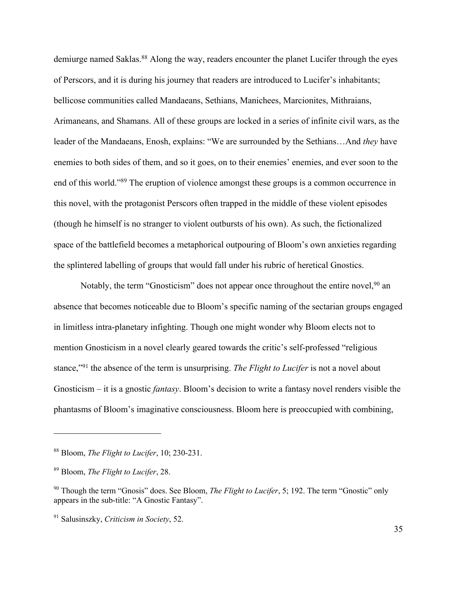demiurge named Saklas.<sup>88</sup> Along the way, readers encounter the planet Lucifer through the eyes of Perscors, and it is during his journey that readers are introduced to Lucifer's inhabitants; bellicose communities called Mandaeans, Sethians, Manichees, Marcionites, Mithraians, Arimaneans, and Shamans. All of these groups are locked in a series of infinite civil wars, as the leader of the Mandaeans, Enosh, explains: "We are surrounded by the Sethians…And *they* have enemies to both sides of them, and so it goes, on to their enemies' enemies, and ever soon to the end of this world."89 The eruption of violence amongst these groups is a common occurrence in this novel, with the protagonist Perscors often trapped in the middle of these violent episodes (though he himself is no stranger to violent outbursts of his own). As such, the fictionalized space of the battlefield becomes a metaphorical outpouring of Bloom's own anxieties regarding the splintered labelling of groups that would fall under his rubric of heretical Gnostics.

Notably, the term "Gnosticism" does not appear once throughout the entire novel,<sup>90</sup> an absence that becomes noticeable due to Bloom's specific naming of the sectarian groups engaged in limitless intra-planetary infighting. Though one might wonder why Bloom elects not to mention Gnosticism in a novel clearly geared towards the critic's self-professed "religious stance,"91 the absence of the term is unsurprising. *The Flight to Lucifer* is not a novel about Gnosticism – it is a gnostic *fantasy*. Bloom's decision to write a fantasy novel renders visible the phantasms of Bloom's imaginative consciousness. Bloom here is preoccupied with combining,

<sup>88</sup> Bloom, *The Flight to Lucifer*, 10; 230-231.

<sup>89</sup> Bloom, *The Flight to Lucifer*, 28.

<sup>&</sup>lt;sup>90</sup> Though the term "Gnosis" does. See Bloom, *The Flight to Lucifer*, 5; 192. The term "Gnostic" only appears in the sub-title: "A Gnostic Fantasy".

<sup>91</sup> Salusinszky, *Criticism in Society*, 52.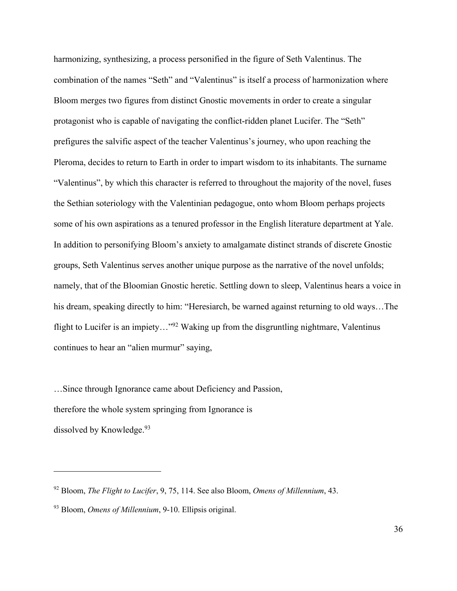harmonizing, synthesizing, a process personified in the figure of Seth Valentinus. The combination of the names "Seth" and "Valentinus" is itself a process of harmonization where Bloom merges two figures from distinct Gnostic movements in order to create a singular protagonist who is capable of navigating the conflict-ridden planet Lucifer. The "Seth" prefigures the salvific aspect of the teacher Valentinus's journey, who upon reaching the Pleroma, decides to return to Earth in order to impart wisdom to its inhabitants. The surname "Valentinus", by which this character is referred to throughout the majority of the novel, fuses the Sethian soteriology with the Valentinian pedagogue, onto whom Bloom perhaps projects some of his own aspirations as a tenured professor in the English literature department at Yale. In addition to personifying Bloom's anxiety to amalgamate distinct strands of discrete Gnostic groups, Seth Valentinus serves another unique purpose as the narrative of the novel unfolds; namely, that of the Bloomian Gnostic heretic. Settling down to sleep, Valentinus hears a voice in his dream, speaking directly to him: "Heresiarch, be warned against returning to old ways...The flight to Lucifer is an impiety…"92 Waking up from the disgruntling nightmare, Valentinus continues to hear an "alien murmur" saying,

…Since through Ignorance came about Deficiency and Passion, therefore the whole system springing from Ignorance is dissolved by Knowledge.<sup>93</sup>

<sup>92</sup> Bloom, *The Flight to Lucifer*, 9, 75, 114. See also Bloom, *Omens of Millennium*, 43.

<sup>93</sup> Bloom, *Omens of Millennium*, 9-10. Ellipsis original.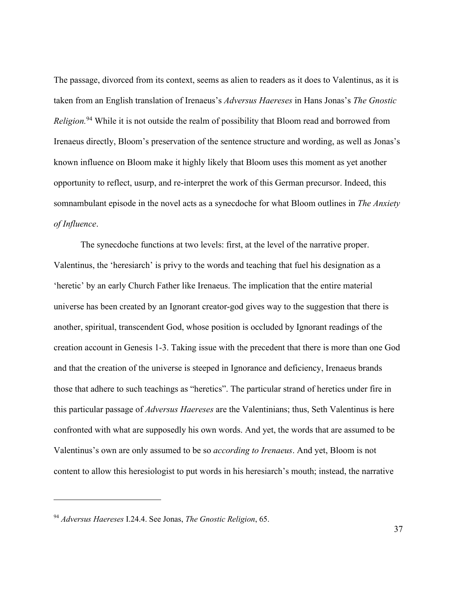The passage, divorced from its context, seems as alien to readers as it does to Valentinus, as it is taken from an English translation of Irenaeus's *Adversus Haereses* in Hans Jonas's *The Gnostic Religion.*<sup>94</sup> While it is not outside the realm of possibility that Bloom read and borrowed from Irenaeus directly, Bloom's preservation of the sentence structure and wording, as well as Jonas's known influence on Bloom make it highly likely that Bloom uses this moment as yet another opportunity to reflect, usurp, and re-interpret the work of this German precursor. Indeed, this somnambulant episode in the novel acts as a synecdoche for what Bloom outlines in *The Anxiety of Influence*.

The synecdoche functions at two levels: first, at the level of the narrative proper. Valentinus, the 'heresiarch' is privy to the words and teaching that fuel his designation as a 'heretic' by an early Church Father like Irenaeus. The implication that the entire material universe has been created by an Ignorant creator-god gives way to the suggestion that there is another, spiritual, transcendent God, whose position is occluded by Ignorant readings of the creation account in Genesis 1-3. Taking issue with the precedent that there is more than one God and that the creation of the universe is steeped in Ignorance and deficiency, Irenaeus brands those that adhere to such teachings as "heretics". The particular strand of heretics under fire in this particular passage of *Adversus Haereses* are the Valentinians; thus, Seth Valentinus is here confronted with what are supposedly his own words. And yet, the words that are assumed to be Valentinus's own are only assumed to be so *according to Irenaeus*. And yet, Bloom is not content to allow this heresiologist to put words in his heresiarch's mouth; instead, the narrative

<sup>94</sup> *Adversus Haereses* I.24.4. See Jonas, *The Gnostic Religion*, 65.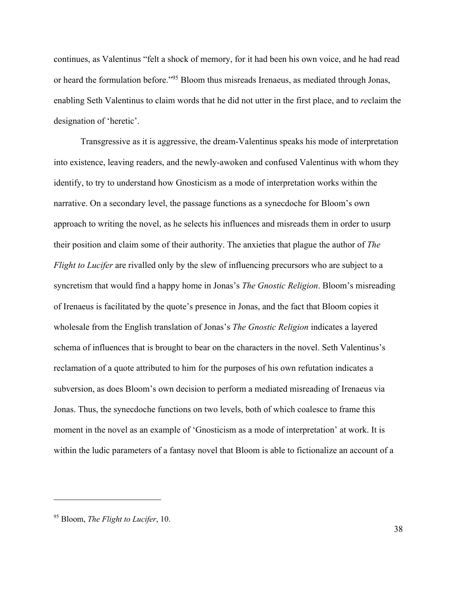continues, as Valentinus "felt a shock of memory, for it had been his own voice, and he had read or heard the formulation before."95 Bloom thus misreads Irenaeus, as mediated through Jonas, enabling Seth Valentinus to claim words that he did not utter in the first place, and to *re*claim the designation of 'heretic'.

Transgressive as it is aggressive, the dream-Valentinus speaks his mode of interpretation into existence, leaving readers, and the newly-awoken and confused Valentinus with whom they identify, to try to understand how Gnosticism as a mode of interpretation works within the narrative. On a secondary level, the passage functions as a synecdoche for Bloom's own approach to writing the novel, as he selects his influences and misreads them in order to usurp their position and claim some of their authority. The anxieties that plague the author of *The Flight to Lucifer* are rivalled only by the slew of influencing precursors who are subject to a syncretism that would find a happy home in Jonas's *The Gnostic Religion*. Bloom's misreading of Irenaeus is facilitated by the quote's presence in Jonas, and the fact that Bloom copies it wholesale from the English translation of Jonas's *The Gnostic Religion* indicates a layered schema of influences that is brought to bear on the characters in the novel. Seth Valentinus's reclamation of a quote attributed to him for the purposes of his own refutation indicates a subversion, as does Bloom's own decision to perform a mediated misreading of Irenaeus via Jonas. Thus, the synecdoche functions on two levels, both of which coalesce to frame this moment in the novel as an example of 'Gnosticism as a mode of interpretation' at work. It is within the ludic parameters of a fantasy novel that Bloom is able to fictionalize an account of a

<sup>95</sup> Bloom, *The Flight to Lucifer*, 10.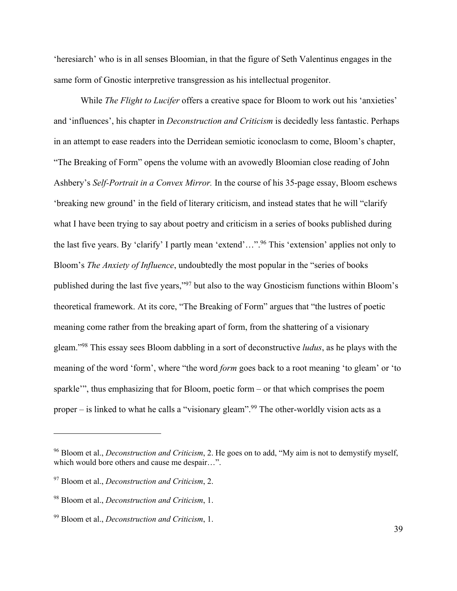'heresiarch' who is in all senses Bloomian, in that the figure of Seth Valentinus engages in the same form of Gnostic interpretive transgression as his intellectual progenitor.

While *The Flight to Lucifer* offers a creative space for Bloom to work out his 'anxieties' and 'influences', his chapter in *Deconstruction and Criticism* is decidedly less fantastic. Perhaps in an attempt to ease readers into the Derridean semiotic iconoclasm to come, Bloom's chapter, "The Breaking of Form" opens the volume with an avowedly Bloomian close reading of John Ashbery's *Self-Portrait in a Convex Mirror.* In the course of his 35-page essay, Bloom eschews 'breaking new ground' in the field of literary criticism, and instead states that he will "clarify what I have been trying to say about poetry and criticism in a series of books published during the last five years. By 'clarify' I partly mean 'extend'…".96 This 'extension' applies not only to Bloom's *The Anxiety of Influence*, undoubtedly the most popular in the "series of books published during the last five years,"97 but also to the way Gnosticism functions within Bloom's theoretical framework. At its core, "The Breaking of Form" argues that "the lustres of poetic meaning come rather from the breaking apart of form, from the shattering of a visionary gleam."98 This essay sees Bloom dabbling in a sort of deconstructive *ludus*, as he plays with the meaning of the word 'form', where "the word *form* goes back to a root meaning 'to gleam' or 'to sparkle'", thus emphasizing that for Bloom, poetic form – or that which comprises the poem proper – is linked to what he calls a "visionary gleam".99 The other-worldly vision acts as a

<sup>96</sup> Bloom et al., *Deconstruction and Criticism*, 2. He goes on to add, "My aim is not to demystify myself, which would bore others and cause me despair…".

<sup>97</sup> Bloom et al., *Deconstruction and Criticism*, 2.

<sup>98</sup> Bloom et al., *Deconstruction and Criticism*, 1.

<sup>99</sup> Bloom et al., *Deconstruction and Criticism*, 1.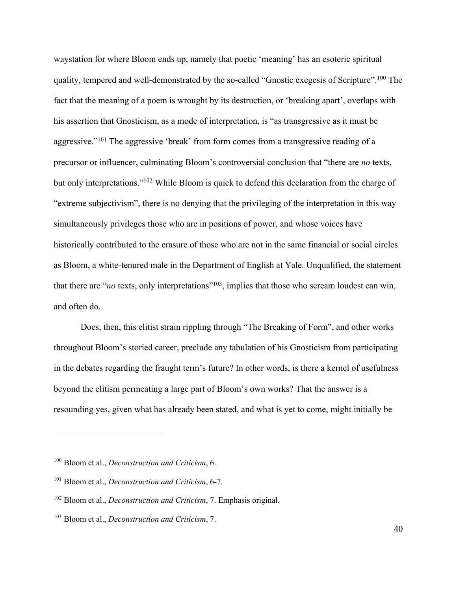waystation for where Bloom ends up, namely that poetic 'meaning' has an esoteric spiritual quality, tempered and well-demonstrated by the so-called "Gnostic exegesis of Scripture".<sup>100</sup> The fact that the meaning of a poem is wrought by its destruction, or 'breaking apart', overlaps with his assertion that Gnosticism, as a mode of interpretation, is "as transgressive as it must be aggressive."101 The aggressive 'break' from form comes from a transgressive reading of a precursor or influencer, culminating Bloom's controversial conclusion that "there are *no* texts, but only interpretations."102 While Bloom is quick to defend this declaration from the charge of "extreme subjectivism", there is no denying that the privileging of the interpretation in this way simultaneously privileges those who are in positions of power, and whose voices have historically contributed to the erasure of those who are not in the same financial or social circles as Bloom, a white-tenured male in the Department of English at Yale. Unqualified, the statement that there are "*no* texts, only interpretations"<sup>103</sup>, implies that those who scream loudest can win, and often do.

Does, then, this elitist strain rippling through "The Breaking of Form", and other works throughout Bloom's storied career, preclude any tabulation of his Gnosticism from participating in the debates regarding the fraught term's future? In other words, is there a kernel of usefulness beyond the elitism permeating a large part of Bloom's own works? That the answer is a resounding yes, given what has already been stated, and what is yet to come, might initially be

<sup>100</sup> Bloom et al., *Deconstruction and Criticism*, 6.

<sup>101</sup> Bloom et al., *Deconstruction and Criticism*, 6-7.

<sup>102</sup> Bloom et al., *Deconstruction and Criticism*, 7. Emphasis original.

<sup>103</sup> Bloom et al., *Deconstruction and Criticism*, 7.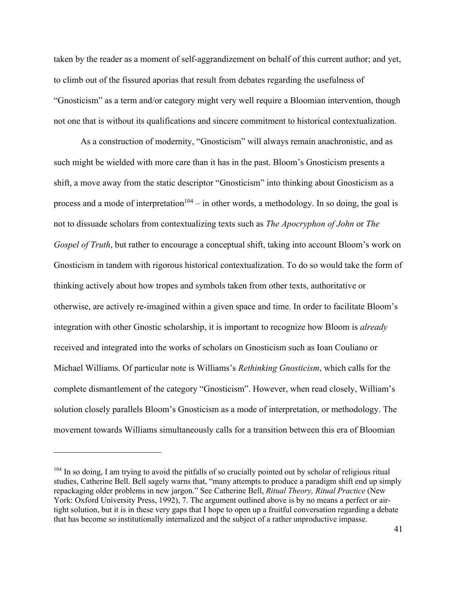taken by the reader as a moment of self-aggrandizement on behalf of this current author; and yet, to climb out of the fissured aporias that result from debates regarding the usefulness of "Gnosticism" as a term and/or category might very well require a Bloomian intervention, though not one that is without its qualifications and sincere commitment to historical contextualization.

As a construction of modernity, "Gnosticism" will always remain anachronistic, and as such might be wielded with more care than it has in the past. Bloom's Gnosticism presents a shift, a move away from the static descriptor "Gnosticism" into thinking about Gnosticism as a process and a mode of interpretation<sup>104</sup> – in other words, a methodology. In so doing, the goal is not to dissuade scholars from contextualizing texts such as *The Apocryphon of John* or *The Gospel of Truth*, but rather to encourage a conceptual shift, taking into account Bloom's work on Gnosticism in tandem with rigorous historical contextualization. To do so would take the form of thinking actively about how tropes and symbols taken from other texts, authoritative or otherwise, are actively re-imagined within a given space and time. In order to facilitate Bloom's integration with other Gnostic scholarship, it is important to recognize how Bloom is *already* received and integrated into the works of scholars on Gnosticism such as Ioan Couliano or Michael Williams. Of particular note is Williams's *Rethinking Gnosticism*, which calls for the complete dismantlement of the category "Gnosticism". However, when read closely, William's solution closely parallels Bloom's Gnosticism as a mode of interpretation, or methodology. The movement towards Williams simultaneously calls for a transition between this era of Bloomian

<sup>&</sup>lt;sup>104</sup> In so doing, I am trying to avoid the pitfalls of so crucially pointed out by scholar of religious ritual studies, Catherine Bell. Bell sagely warns that, "many attempts to produce a paradigm shift end up simply repackaging older problems in new jargon." See Catherine Bell, *Ritual Theory, Ritual Practice* (New York: Oxford University Press, 1992), 7. The argument outlined above is by no means a perfect or airtight solution, but it is in these very gaps that I hope to open up a fruitful conversation regarding a debate that has become so institutionally internalized and the subject of a rather unproductive impasse.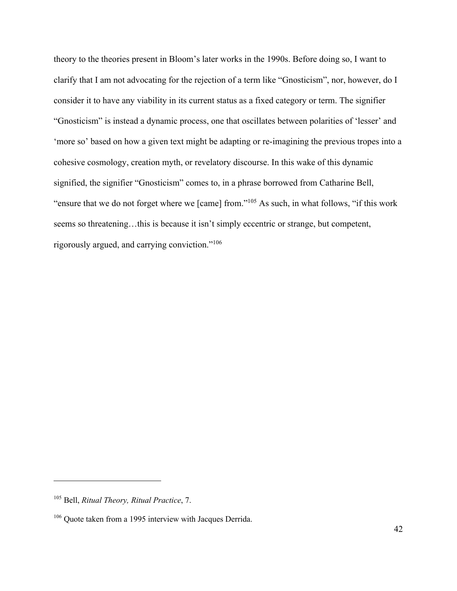theory to the theories present in Bloom's later works in the 1990s. Before doing so, I want to clarify that I am not advocating for the rejection of a term like "Gnosticism", nor, however, do I consider it to have any viability in its current status as a fixed category or term. The signifier "Gnosticism" is instead a dynamic process, one that oscillates between polarities of 'lesser' and 'more so' based on how a given text might be adapting or re-imagining the previous tropes into a cohesive cosmology, creation myth, or revelatory discourse. In this wake of this dynamic signified, the signifier "Gnosticism" comes to, in a phrase borrowed from Catharine Bell, "ensure that we do not forget where we [came] from."105 As such, in what follows, "if this work seems so threatening…this is because it isn't simply eccentric or strange, but competent, rigorously argued, and carrying conviction."106

<sup>105</sup> Bell, *Ritual Theory, Ritual Practice*, 7.

<sup>&</sup>lt;sup>106</sup> Quote taken from a 1995 interview with Jacques Derrida.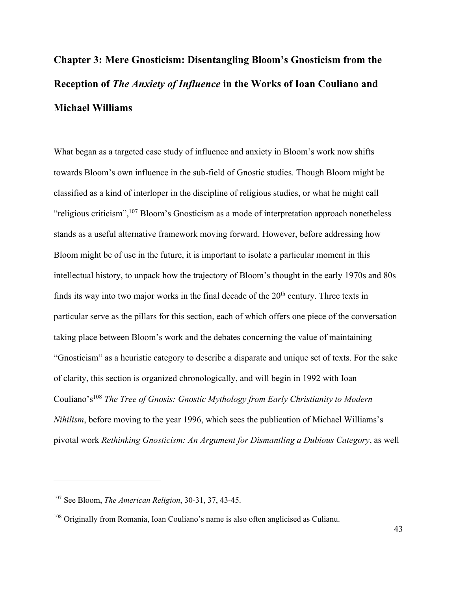# **Chapter 3: Mere Gnosticism: Disentangling Bloom's Gnosticism from the Reception of** *The Anxiety of Influence* **in the Works of Ioan Couliano and Michael Williams**

What began as a targeted case study of influence and anxiety in Bloom's work now shifts towards Bloom's own influence in the sub-field of Gnostic studies. Though Bloom might be classified as a kind of interloper in the discipline of religious studies, or what he might call "religious criticism",107 Bloom's Gnosticism as a mode of interpretation approach nonetheless stands as a useful alternative framework moving forward. However, before addressing how Bloom might be of use in the future, it is important to isolate a particular moment in this intellectual history, to unpack how the trajectory of Bloom's thought in the early 1970s and 80s finds its way into two major works in the final decade of the  $20<sup>th</sup>$  century. Three texts in particular serve as the pillars for this section, each of which offers one piece of the conversation taking place between Bloom's work and the debates concerning the value of maintaining "Gnosticism" as a heuristic category to describe a disparate and unique set of texts. For the sake of clarity, this section is organized chronologically, and will begin in 1992 with Ioan Couliano's<sup>108</sup> *The Tree of Gnosis: Gnostic Mythology from Early Christianity to Modern Nihilism*, before moving to the year 1996, which sees the publication of Michael Williams's pivotal work *Rethinking Gnosticism: An Argument for Dismantling a Dubious Category*, as well

<sup>107</sup> See Bloom, *The American Religion*, 30-31, 37, 43-45.

<sup>&</sup>lt;sup>108</sup> Originally from Romania, Ioan Couliano's name is also often anglicised as Culianu.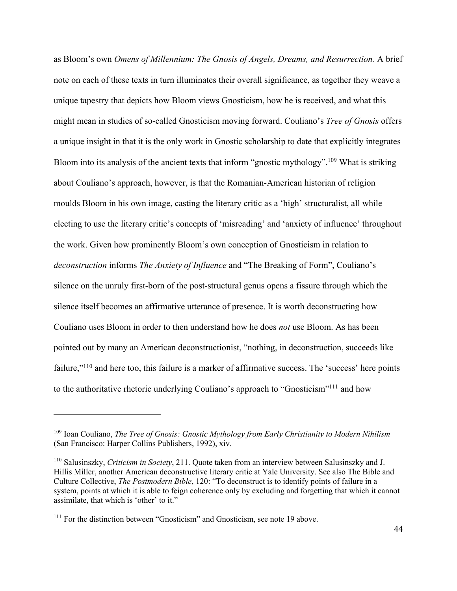as Bloom's own *Omens of Millennium: The Gnosis of Angels, Dreams, and Resurrection.* A brief note on each of these texts in turn illuminates their overall significance, as together they weave a unique tapestry that depicts how Bloom views Gnosticism, how he is received, and what this might mean in studies of so-called Gnosticism moving forward. Couliano's *Tree of Gnosis* offers a unique insight in that it is the only work in Gnostic scholarship to date that explicitly integrates Bloom into its analysis of the ancient texts that inform "gnostic mythology".<sup>109</sup> What is striking about Couliano's approach, however, is that the Romanian-American historian of religion moulds Bloom in his own image, casting the literary critic as a 'high' structuralist, all while electing to use the literary critic's concepts of 'misreading' and 'anxiety of influence' throughout the work. Given how prominently Bloom's own conception of Gnosticism in relation to *deconstruction* informs *The Anxiety of Influence* and "The Breaking of Form", Couliano's silence on the unruly first-born of the post-structural genus opens a fissure through which the silence itself becomes an affirmative utterance of presence. It is worth deconstructing how Couliano uses Bloom in order to then understand how he does *not* use Bloom. As has been pointed out by many an American deconstructionist, "nothing, in deconstruction, succeeds like failure,"<sup>110</sup> and here too, this failure is a marker of affirmative success. The 'success' here points to the authoritative rhetoric underlying Couliano's approach to "Gnosticism"111 and how

<sup>109</sup> Ioan Couliano, *The Tree of Gnosis: Gnostic Mythology from Early Christianity to Modern Nihilism*  (San Francisco: Harper Collins Publishers, 1992), xiv.

<sup>110</sup> Salusinszky, *Criticism in Society*, 211. Quote taken from an interview between Salusinszky and J. Hillis Miller, another American deconstructive literary critic at Yale University. See also The Bible and Culture Collective, *The Postmodern Bible*, 120: "To deconstruct is to identify points of failure in a system, points at which it is able to feign coherence only by excluding and forgetting that which it cannot assimilate, that which is 'other' to it."

<sup>&</sup>lt;sup>111</sup> For the distinction between "Gnosticism" and Gnosticism, see note 19 above.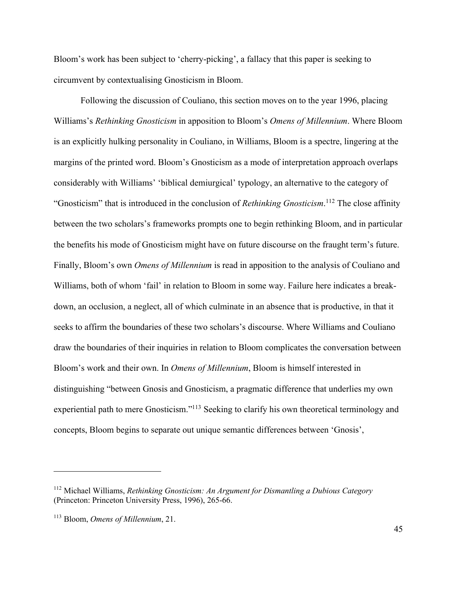Bloom's work has been subject to 'cherry-picking', a fallacy that this paper is seeking to circumvent by contextualising Gnosticism in Bloom.

Following the discussion of Couliano, this section moves on to the year 1996, placing Williams's *Rethinking Gnosticism* in apposition to Bloom's *Omens of Millennium*. Where Bloom is an explicitly hulking personality in Couliano, in Williams, Bloom is a spectre, lingering at the margins of the printed word. Bloom's Gnosticism as a mode of interpretation approach overlaps considerably with Williams' 'biblical demiurgical' typology, an alternative to the category of "Gnosticism" that is introduced in the conclusion of *Rethinking Gnosticism*. <sup>112</sup> The close affinity between the two scholars's frameworks prompts one to begin rethinking Bloom, and in particular the benefits his mode of Gnosticism might have on future discourse on the fraught term's future. Finally, Bloom's own *Omens of Millennium* is read in apposition to the analysis of Couliano and Williams, both of whom 'fail' in relation to Bloom in some way. Failure here indicates a breakdown, an occlusion, a neglect, all of which culminate in an absence that is productive, in that it seeks to affirm the boundaries of these two scholars's discourse. Where Williams and Couliano draw the boundaries of their inquiries in relation to Bloom complicates the conversation between Bloom's work and their own. In *Omens of Millennium*, Bloom is himself interested in distinguishing "between Gnosis and Gnosticism, a pragmatic difference that underlies my own experiential path to mere Gnosticism."113 Seeking to clarify his own theoretical terminology and concepts, Bloom begins to separate out unique semantic differences between 'Gnosis',

<sup>112</sup> Michael Williams, *Rethinking Gnosticism: An Argument for Dismantling a Dubious Category* (Princeton: Princeton University Press, 1996), 265-66.

<sup>113</sup> Bloom, *Omens of Millennium*, 21.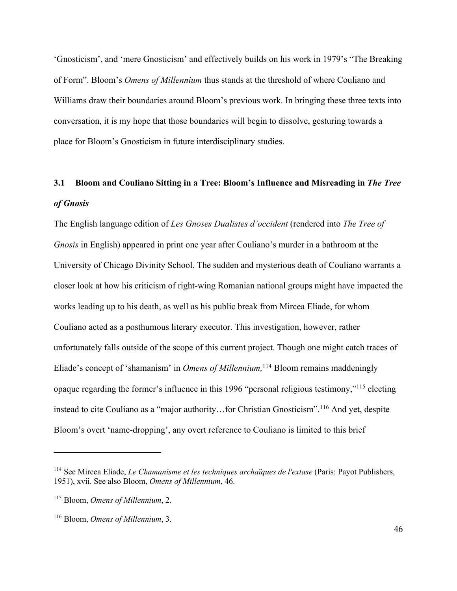'Gnosticism', and 'mere Gnosticism' and effectively builds on his work in 1979's "The Breaking of Form". Bloom's *Omens of Millennium* thus stands at the threshold of where Couliano and Williams draw their boundaries around Bloom's previous work. In bringing these three texts into conversation, it is my hope that those boundaries will begin to dissolve, gesturing towards a place for Bloom's Gnosticism in future interdisciplinary studies.

### **3.1 Bloom and Couliano Sitting in a Tree: Bloom's Influence and Misreading in** *The Tree of Gnosis*

The English language edition of *Les Gnoses Dualistes d'occident* (rendered into *The Tree of Gnosis* in English) appeared in print one year after Couliano's murder in a bathroom at the University of Chicago Divinity School. The sudden and mysterious death of Couliano warrants a closer look at how his criticism of right-wing Romanian national groups might have impacted the works leading up to his death, as well as his public break from Mircea Eliade, for whom Couliano acted as a posthumous literary executor. This investigation, however, rather unfortunately falls outside of the scope of this current project. Though one might catch traces of Eliade's concept of 'shamanism' in *Omens of Millennium,*<sup>114</sup> Bloom remains maddeningly opaque regarding the former's influence in this 1996 "personal religious testimony,"115 electing instead to cite Couliano as a "major authority…for Christian Gnosticism".116 And yet, despite Bloom's overt 'name-dropping', any overt reference to Couliano is limited to this brief

<sup>114</sup> See Mircea Eliade, *Le Chamanisme et les techniques archaïques de l'extase* (Paris: Payot Publishers, 1951), xvii. See also Bloom, *Omens of Millennium*, 46.

<sup>115</sup> Bloom, *Omens of Millennium*, 2.

<sup>116</sup> Bloom, *Omens of Millennium*, 3.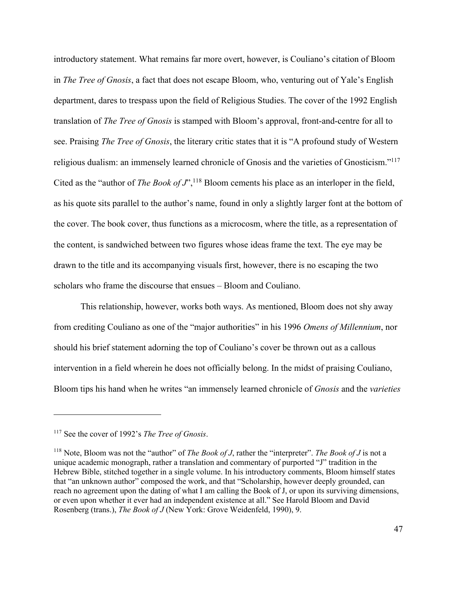introductory statement. What remains far more overt, however, is Couliano's citation of Bloom in *The Tree of Gnosis*, a fact that does not escape Bloom, who, venturing out of Yale's English department, dares to trespass upon the field of Religious Studies. The cover of the 1992 English translation of *The Tree of Gnosis* is stamped with Bloom's approval, front-and-centre for all to see. Praising *The Tree of Gnosis*, the literary critic states that it is "A profound study of Western religious dualism: an immensely learned chronicle of Gnosis and the varieties of Gnosticism."117 Cited as the "author of *The Book of J*",<sup>118</sup> Bloom cements his place as an interloper in the field, as his quote sits parallel to the author's name, found in only a slightly larger font at the bottom of the cover. The book cover, thus functions as a microcosm, where the title, as a representation of the content, is sandwiched between two figures whose ideas frame the text. The eye may be drawn to the title and its accompanying visuals first, however, there is no escaping the two scholars who frame the discourse that ensues – Bloom and Couliano.

This relationship, however, works both ways. As mentioned, Bloom does not shy away from crediting Couliano as one of the "major authorities" in his 1996 *Omens of Millennium*, nor should his brief statement adorning the top of Couliano's cover be thrown out as a callous intervention in a field wherein he does not officially belong. In the midst of praising Couliano, Bloom tips his hand when he writes "an immensely learned chronicle of *Gnosis* and the *varieties* 

<sup>117</sup> See the cover of 1992's *The Tree of Gnosis*.

<sup>118</sup> Note, Bloom was not the "author" of *The Book of J*, rather the "interpreter". *The Book of J* is not a unique academic monograph, rather a translation and commentary of purported "J" tradition in the Hebrew Bible, stitched together in a single volume. In his introductory comments, Bloom himself states that "an unknown author" composed the work, and that "Scholarship, however deeply grounded, can reach no agreement upon the dating of what I am calling the Book of J, or upon its surviving dimensions, or even upon whether it ever had an independent existence at all." See Harold Bloom and David Rosenberg (trans.), *The Book of J* (New York: Grove Weidenfeld, 1990), 9.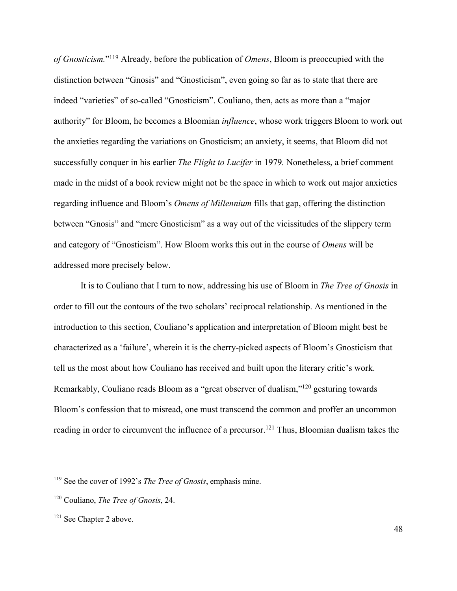*of Gnosticism.*"119 Already, before the publication of *Omens*, Bloom is preoccupied with the distinction between "Gnosis" and "Gnosticism", even going so far as to state that there are indeed "varieties" of so-called "Gnosticism". Couliano, then, acts as more than a "major authority" for Bloom, he becomes a Bloomian *influence*, whose work triggers Bloom to work out the anxieties regarding the variations on Gnosticism; an anxiety, it seems, that Bloom did not successfully conquer in his earlier *The Flight to Lucifer* in 1979*.* Nonetheless, a brief comment made in the midst of a book review might not be the space in which to work out major anxieties regarding influence and Bloom's *Omens of Millennium* fills that gap, offering the distinction between "Gnosis" and "mere Gnosticism" as a way out of the vicissitudes of the slippery term and category of "Gnosticism". How Bloom works this out in the course of *Omens* will be addressed more precisely below.

It is to Couliano that I turn to now, addressing his use of Bloom in *The Tree of Gnosis* in order to fill out the contours of the two scholars' reciprocal relationship. As mentioned in the introduction to this section, Couliano's application and interpretation of Bloom might best be characterized as a 'failure', wherein it is the cherry-picked aspects of Bloom's Gnosticism that tell us the most about how Couliano has received and built upon the literary critic's work. Remarkably, Couliano reads Bloom as a "great observer of dualism,"120 gesturing towards Bloom's confession that to misread, one must transcend the common and proffer an uncommon reading in order to circumvent the influence of a precursor.<sup>121</sup> Thus, Bloomian dualism takes the

<sup>119</sup> See the cover of 1992's *The Tree of Gnosis*, emphasis mine.

<sup>120</sup> Couliano, *The Tree of Gnosis*, 24.

<sup>&</sup>lt;sup>121</sup> See Chapter 2 above.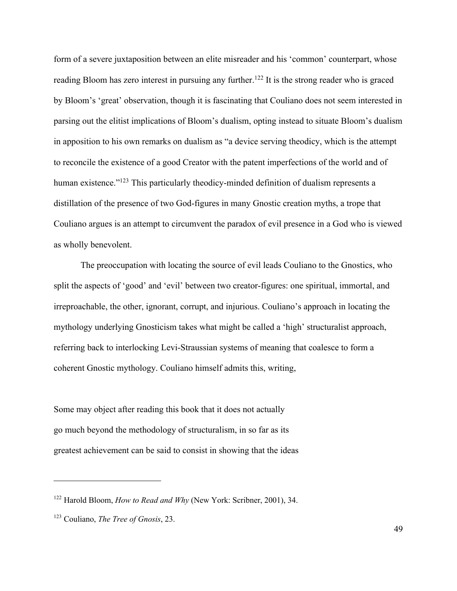form of a severe juxtaposition between an elite misreader and his 'common' counterpart, whose reading Bloom has zero interest in pursuing any further.<sup>122</sup> It is the strong reader who is graced by Bloom's 'great' observation, though it is fascinating that Couliano does not seem interested in parsing out the elitist implications of Bloom's dualism, opting instead to situate Bloom's dualism in apposition to his own remarks on dualism as "a device serving theodicy, which is the attempt to reconcile the existence of a good Creator with the patent imperfections of the world and of human existence."<sup>123</sup> This particularly theodicy-minded definition of dualism represents a distillation of the presence of two God-figures in many Gnostic creation myths, a trope that Couliano argues is an attempt to circumvent the paradox of evil presence in a God who is viewed as wholly benevolent.

The preoccupation with locating the source of evil leads Couliano to the Gnostics, who split the aspects of 'good' and 'evil' between two creator-figures: one spiritual, immortal, and irreproachable, the other, ignorant, corrupt, and injurious. Couliano's approach in locating the mythology underlying Gnosticism takes what might be called a 'high' structuralist approach, referring back to interlocking Levi-Straussian systems of meaning that coalesce to form a coherent Gnostic mythology. Couliano himself admits this, writing,

Some may object after reading this book that it does not actually go much beyond the methodology of structuralism, in so far as its greatest achievement can be said to consist in showing that the ideas

<sup>122</sup> Harold Bloom, *How to Read and Why* (New York: Scribner, 2001), 34.

<sup>123</sup> Couliano, *The Tree of Gnosis*, 23.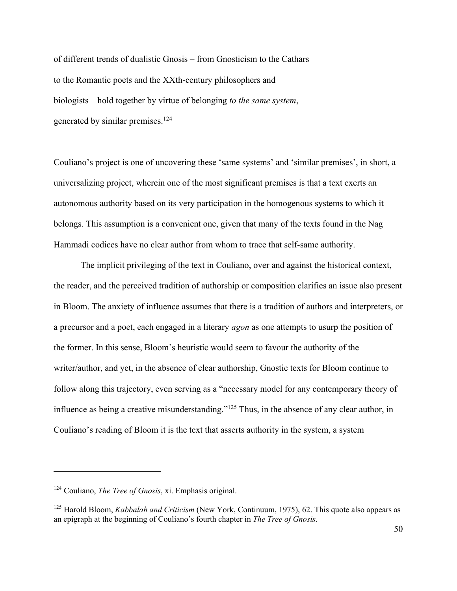of different trends of dualistic Gnosis – from Gnosticism to the Cathars to the Romantic poets and the XXth-century philosophers and biologists – hold together by virtue of belonging *to the same system*, generated by similar premises.124

Couliano's project is one of uncovering these 'same systems' and 'similar premises', in short, a universalizing project, wherein one of the most significant premises is that a text exerts an autonomous authority based on its very participation in the homogenous systems to which it belongs. This assumption is a convenient one, given that many of the texts found in the Nag Hammadi codices have no clear author from whom to trace that self-same authority.

The implicit privileging of the text in Couliano, over and against the historical context, the reader, and the perceived tradition of authorship or composition clarifies an issue also present in Bloom. The anxiety of influence assumes that there is a tradition of authors and interpreters, or a precursor and a poet, each engaged in a literary *agon* as one attempts to usurp the position of the former. In this sense, Bloom's heuristic would seem to favour the authority of the writer/author, and yet, in the absence of clear authorship, Gnostic texts for Bloom continue to follow along this trajectory, even serving as a "necessary model for any contemporary theory of influence as being a creative misunderstanding."<sup>125</sup> Thus, in the absence of any clear author, in Couliano's reading of Bloom it is the text that asserts authority in the system, a system

<sup>124</sup> Couliano, *The Tree of Gnosis*, xi. Emphasis original.

<sup>125</sup> Harold Bloom, *Kabbalah and Criticism* (New York, Continuum, 1975), 62. This quote also appears as an epigraph at the beginning of Couliano's fourth chapter in *The Tree of Gnosis*.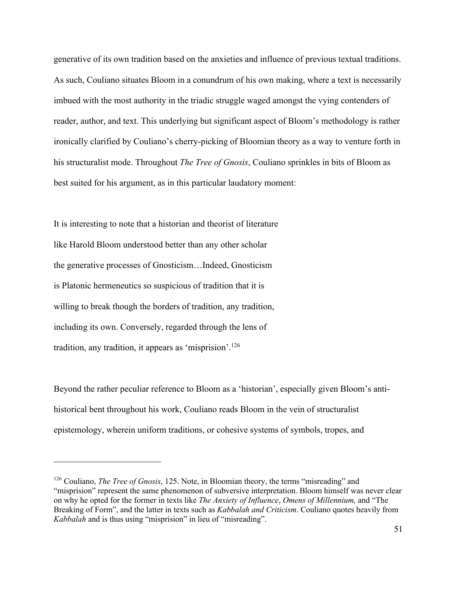generative of its own tradition based on the anxieties and influence of previous textual traditions. As such, Couliano situates Bloom in a conundrum of his own making, where a text is necessarily imbued with the most authority in the triadic struggle waged amongst the vying contenders of reader, author, and text. This underlying but significant aspect of Bloom's methodology is rather ironically clarified by Couliano's cherry-picking of Bloomian theory as a way to venture forth in his structuralist mode. Throughout *The Tree of Gnosis*, Couliano sprinkles in bits of Bloom as best suited for his argument, as in this particular laudatory moment:

It is interesting to note that a historian and theorist of literature like Harold Bloom understood better than any other scholar the generative processes of Gnosticism…Indeed, Gnosticism is Platonic hermeneutics so suspicious of tradition that it is willing to break though the borders of tradition, any tradition, including its own. Conversely, regarded through the lens of tradition, any tradition, it appears as 'misprision'.126

Beyond the rather peculiar reference to Bloom as a 'historian', especially given Bloom's antihistorical bent throughout his work, Couliano reads Bloom in the vein of structuralist epistemology, wherein uniform traditions, or cohesive systems of symbols, tropes, and

<sup>126</sup> Couliano, *The Tree of Gnosis*, 125. Note, in Bloomian theory, the terms "misreading" and "misprision" represent the same phenomenon of subversive interpretation. Bloom himself was never clear on why he opted for the former in texts like *The Anxiety of Influence*, *Omens of Millennium,* and "The Breaking of Form", and the latter in texts such as *Kabbalah and Criticism*. Couliano quotes heavily from *Kabbalah* and is thus using "misprision" in lieu of "misreading".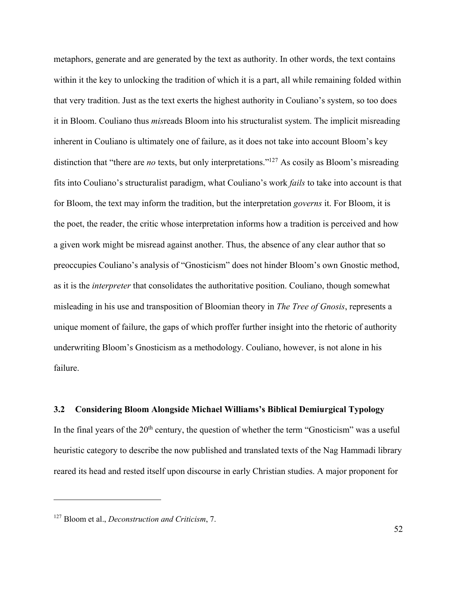metaphors, generate and are generated by the text as authority. In other words, the text contains within it the key to unlocking the tradition of which it is a part, all while remaining folded within that very tradition. Just as the text exerts the highest authority in Couliano's system, so too does it in Bloom. Couliano thus *mis*reads Bloom into his structuralist system. The implicit misreading inherent in Couliano is ultimately one of failure, as it does not take into account Bloom's key distinction that "there are *no* texts, but only interpretations."127 As cosily as Bloom's misreading fits into Couliano's structuralist paradigm, what Couliano's work *fails* to take into account is that for Bloom, the text may inform the tradition, but the interpretation *governs* it. For Bloom, it is the poet, the reader, the critic whose interpretation informs how a tradition is perceived and how a given work might be misread against another. Thus, the absence of any clear author that so preoccupies Couliano's analysis of "Gnosticism" does not hinder Bloom's own Gnostic method, as it is the *interpreter* that consolidates the authoritative position. Couliano, though somewhat misleading in his use and transposition of Bloomian theory in *The Tree of Gnosis*, represents a unique moment of failure, the gaps of which proffer further insight into the rhetoric of authority underwriting Bloom's Gnosticism as a methodology. Couliano, however, is not alone in his failure.

#### **3.2 Considering Bloom Alongside Michael Williams's Biblical Demiurgical Typology**

In the final years of the  $20<sup>th</sup>$  century, the question of whether the term "Gnosticism" was a useful heuristic category to describe the now published and translated texts of the Nag Hammadi library reared its head and rested itself upon discourse in early Christian studies. A major proponent for

<sup>127</sup> Bloom et al., *Deconstruction and Criticism*, 7.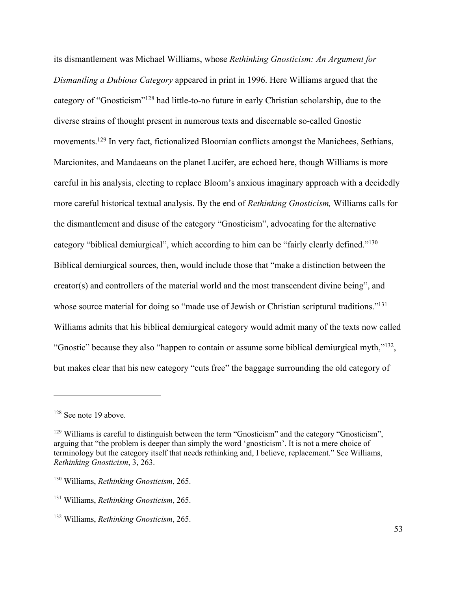its dismantlement was Michael Williams, whose *Rethinking Gnosticism: An Argument for Dismantling a Dubious Category* appeared in print in 1996. Here Williams argued that the category of "Gnosticism"128 had little-to-no future in early Christian scholarship, due to the diverse strains of thought present in numerous texts and discernable so-called Gnostic movements.129 In very fact, fictionalized Bloomian conflicts amongst the Manichees, Sethians, Marcionites, and Mandaeans on the planet Lucifer, are echoed here, though Williams is more careful in his analysis, electing to replace Bloom's anxious imaginary approach with a decidedly more careful historical textual analysis. By the end of *Rethinking Gnosticism,* Williams calls for the dismantlement and disuse of the category "Gnosticism", advocating for the alternative category "biblical demiurgical", which according to him can be "fairly clearly defined."130 Biblical demiurgical sources, then, would include those that "make a distinction between the creator(s) and controllers of the material world and the most transcendent divine being", and whose source material for doing so "made use of Jewish or Christian scriptural traditions."<sup>131</sup> Williams admits that his biblical demiurgical category would admit many of the texts now called "Gnostic" because they also "happen to contain or assume some biblical demiurgical myth,"<sup>132</sup>, but makes clear that his new category "cuts free" the baggage surrounding the old category of

<sup>&</sup>lt;sup>128</sup> See note 19 above.

 $129$  Williams is careful to distinguish between the term "Gnosticism" and the category "Gnosticism", arguing that "the problem is deeper than simply the word 'gnosticism'. It is not a mere choice of terminology but the category itself that needs rethinking and, I believe, replacement." See Williams, *Rethinking Gnosticism*, 3, 263.

<sup>130</sup> Williams, *Rethinking Gnosticism*, 265.

<sup>131</sup> Williams, *Rethinking Gnosticism*, 265.

<sup>132</sup> Williams, *Rethinking Gnosticism*, 265.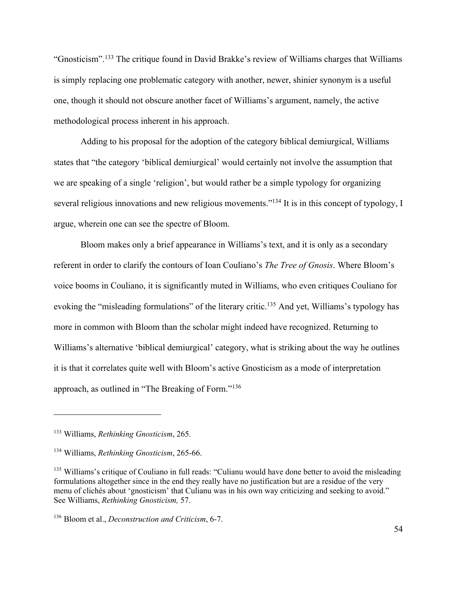"Gnosticism".133 The critique found in David Brakke's review of Williams charges that Williams is simply replacing one problematic category with another, newer, shinier synonym is a useful one, though it should not obscure another facet of Williams's argument, namely, the active methodological process inherent in his approach.

Adding to his proposal for the adoption of the category biblical demiurgical, Williams states that "the category 'biblical demiurgical' would certainly not involve the assumption that we are speaking of a single 'religion', but would rather be a simple typology for organizing several religious innovations and new religious movements."<sup>134</sup> It is in this concept of typology, I argue, wherein one can see the spectre of Bloom.

Bloom makes only a brief appearance in Williams's text, and it is only as a secondary referent in order to clarify the contours of Ioan Couliano's *The Tree of Gnosis*. Where Bloom's voice booms in Couliano, it is significantly muted in Williams, who even critiques Couliano for evoking the "misleading formulations" of the literary critic.<sup>135</sup> And yet, Williams's typology has more in common with Bloom than the scholar might indeed have recognized. Returning to Williams's alternative 'biblical demiurgical' category, what is striking about the way he outlines it is that it correlates quite well with Bloom's active Gnosticism as a mode of interpretation approach, as outlined in "The Breaking of Form."136

<sup>133</sup> Williams, *Rethinking Gnosticism*, 265.

<sup>134</sup> Williams, *Rethinking Gnosticism*, 265-66.

<sup>&</sup>lt;sup>135</sup> Williams's critique of Couliano in full reads: "Culianu would have done better to avoid the misleading formulations altogether since in the end they really have no justification but are a residue of the very menu of clichés about 'gnosticism' that Culianu was in his own way criticizing and seeking to avoid." See Williams, *Rethinking Gnosticism,* 57.

<sup>136</sup> Bloom et al., *Deconstruction and Criticism*, 6-7.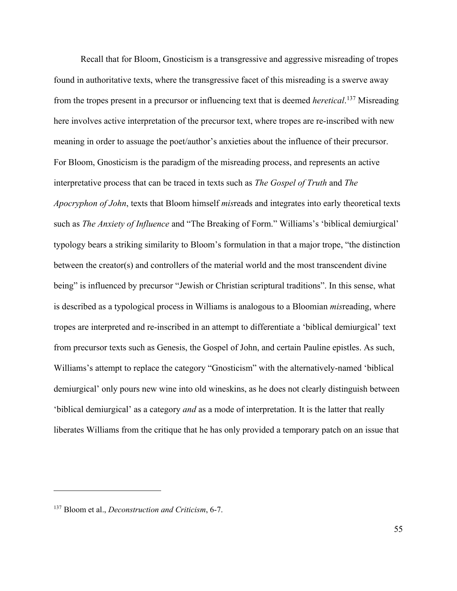Recall that for Bloom, Gnosticism is a transgressive and aggressive misreading of tropes found in authoritative texts, where the transgressive facet of this misreading is a swerve away from the tropes present in a precursor or influencing text that is deemed *heretical*. <sup>137</sup> Misreading here involves active interpretation of the precursor text, where tropes are re-inscribed with new meaning in order to assuage the poet/author's anxieties about the influence of their precursor. For Bloom, Gnosticism is the paradigm of the misreading process, and represents an active interpretative process that can be traced in texts such as *The Gospel of Truth* and *The Apocryphon of John*, texts that Bloom himself *mis*reads and integrates into early theoretical texts such as *The Anxiety of Influence* and "The Breaking of Form." Williams's 'biblical demiurgical' typology bears a striking similarity to Bloom's formulation in that a major trope, "the distinction between the creator(s) and controllers of the material world and the most transcendent divine being" is influenced by precursor "Jewish or Christian scriptural traditions". In this sense, what is described as a typological process in Williams is analogous to a Bloomian *mis*reading, where tropes are interpreted and re-inscribed in an attempt to differentiate a 'biblical demiurgical' text from precursor texts such as Genesis, the Gospel of John, and certain Pauline epistles. As such, Williams's attempt to replace the category "Gnosticism" with the alternatively-named 'biblical demiurgical' only pours new wine into old wineskins, as he does not clearly distinguish between 'biblical demiurgical' as a category *and* as a mode of interpretation. It is the latter that really liberates Williams from the critique that he has only provided a temporary patch on an issue that

<sup>137</sup> Bloom et al., *Deconstruction and Criticism*, 6-7.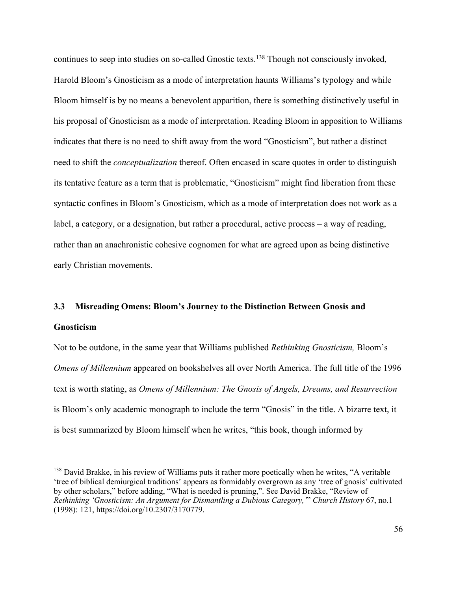continues to seep into studies on so-called Gnostic texts.<sup>138</sup> Though not consciously invoked, Harold Bloom's Gnosticism as a mode of interpretation haunts Williams's typology and while Bloom himself is by no means a benevolent apparition, there is something distinctively useful in his proposal of Gnosticism as a mode of interpretation. Reading Bloom in apposition to Williams indicates that there is no need to shift away from the word "Gnosticism", but rather a distinct need to shift the *conceptualization* thereof. Often encased in scare quotes in order to distinguish its tentative feature as a term that is problematic, "Gnosticism" might find liberation from these syntactic confines in Bloom's Gnosticism, which as a mode of interpretation does not work as a label, a category, or a designation, but rather a procedural, active process – a way of reading, rather than an anachronistic cohesive cognomen for what are agreed upon as being distinctive early Christian movements.

## **3.3 Misreading Omens: Bloom's Journey to the Distinction Between Gnosis and**

#### **Gnosticism**

Not to be outdone, in the same year that Williams published *Rethinking Gnosticism,* Bloom's *Omens of Millennium* appeared on bookshelves all over North America. The full title of the 1996 text is worth stating, as *Omens of Millennium: The Gnosis of Angels, Dreams, and Resurrection* is Bloom's only academic monograph to include the term "Gnosis" in the title. A bizarre text, it is best summarized by Bloom himself when he writes, "this book, though informed by

 $138$  David Brakke, in his review of Williams puts it rather more poetically when he writes, "A veritable 'tree of biblical demiurgical traditions' appears as formidably overgrown as any 'tree of gnosis' cultivated by other scholars," before adding, "What is needed is pruning,". See David Brakke, "Review of *Rethinking 'Gnosticism: An Argument for Dismantling a Dubious Category,'*" *Church History* 67, no.1 (1998): 121, https://doi.org/10.2307/3170779.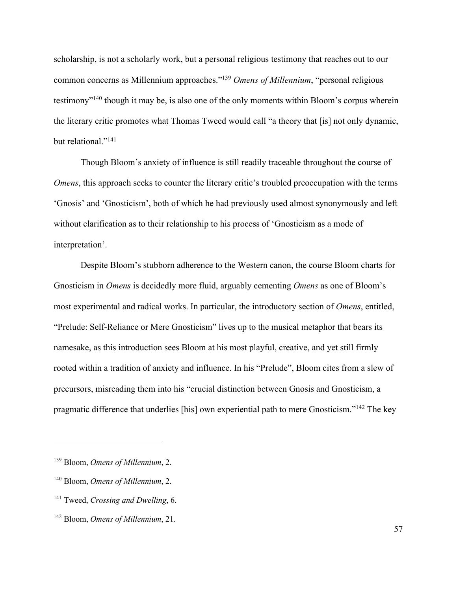scholarship, is not a scholarly work, but a personal religious testimony that reaches out to our common concerns as Millennium approaches."139 *Omens of Millennium*, "personal religious testimony"140 though it may be, is also one of the only moments within Bloom's corpus wherein the literary critic promotes what Thomas Tweed would call "a theory that [is] not only dynamic, but relational."141

Though Bloom's anxiety of influence is still readily traceable throughout the course of *Omens*, this approach seeks to counter the literary critic's troubled preoccupation with the terms 'Gnosis' and 'Gnosticism', both of which he had previously used almost synonymously and left without clarification as to their relationship to his process of 'Gnosticism as a mode of interpretation'.

Despite Bloom's stubborn adherence to the Western canon, the course Bloom charts for Gnosticism in *Omens* is decidedly more fluid, arguably cementing *Omens* as one of Bloom's most experimental and radical works. In particular, the introductory section of *Omens*, entitled, "Prelude: Self-Reliance or Mere Gnosticism" lives up to the musical metaphor that bears its namesake, as this introduction sees Bloom at his most playful, creative, and yet still firmly rooted within a tradition of anxiety and influence. In his "Prelude", Bloom cites from a slew of precursors, misreading them into his "crucial distinction between Gnosis and Gnosticism, a pragmatic difference that underlies [his] own experiential path to mere Gnosticism."142 The key

<sup>139</sup> Bloom, *Omens of Millennium*, 2.

<sup>140</sup> Bloom, *Omens of Millennium*, 2.

<sup>141</sup> Tweed, *Crossing and Dwelling*, 6.

<sup>142</sup> Bloom, *Omens of Millennium*, 21.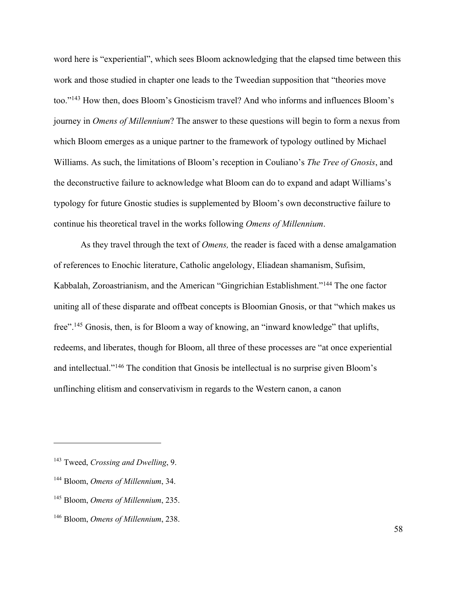word here is "experiential", which sees Bloom acknowledging that the elapsed time between this work and those studied in chapter one leads to the Tweedian supposition that "theories move too."143 How then, does Bloom's Gnosticism travel? And who informs and influences Bloom's journey in *Omens of Millennium*? The answer to these questions will begin to form a nexus from which Bloom emerges as a unique partner to the framework of typology outlined by Michael Williams. As such, the limitations of Bloom's reception in Couliano's *The Tree of Gnosis*, and the deconstructive failure to acknowledge what Bloom can do to expand and adapt Williams's typology for future Gnostic studies is supplemented by Bloom's own deconstructive failure to continue his theoretical travel in the works following *Omens of Millennium*.

As they travel through the text of *Omens,* the reader is faced with a dense amalgamation of references to Enochic literature, Catholic angelology, Eliadean shamanism, Sufisim, Kabbalah, Zoroastrianism, and the American "Gingrichian Establishment."144 The one factor uniting all of these disparate and offbeat concepts is Bloomian Gnosis, or that "which makes us free".145 Gnosis, then, is for Bloom a way of knowing, an "inward knowledge" that uplifts, redeems, and liberates, though for Bloom, all three of these processes are "at once experiential and intellectual."146 The condition that Gnosis be intellectual is no surprise given Bloom's unflinching elitism and conservativism in regards to the Western canon, a canon

<sup>143</sup> Tweed, *Crossing and Dwelling*, 9.

<sup>144</sup> Bloom, *Omens of Millennium*, 34.

<sup>145</sup> Bloom, *Omens of Millennium*, 235.

<sup>146</sup> Bloom, *Omens of Millennium*, 238.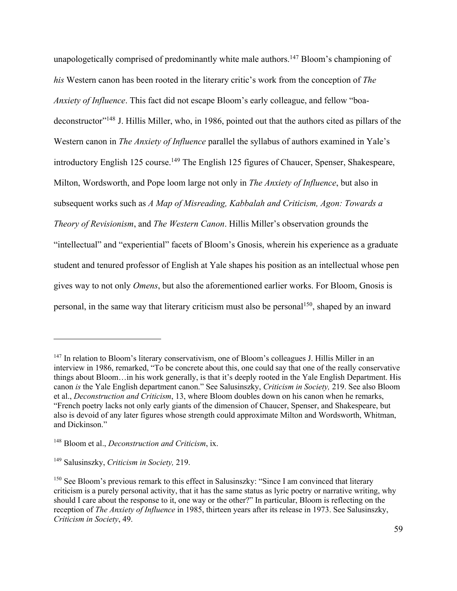unapologetically comprised of predominantly white male authors.<sup>147</sup> Bloom's championing of *his* Western canon has been rooted in the literary critic's work from the conception of *The Anxiety of Influence*. This fact did not escape Bloom's early colleague, and fellow "boadeconstructor"148 J. Hillis Miller, who, in 1986, pointed out that the authors cited as pillars of the Western canon in *The Anxiety of Influence* parallel the syllabus of authors examined in Yale's introductory English 125 course.<sup>149</sup> The English 125 figures of Chaucer, Spenser, Shakespeare, Milton, Wordsworth, and Pope loom large not only in *The Anxiety of Influence*, but also in subsequent works such as *A Map of Misreading, Kabbalah and Criticism, Agon: Towards a Theory of Revisionism*, and *The Western Canon*. Hillis Miller's observation grounds the "intellectual" and "experiential" facets of Bloom's Gnosis, wherein his experience as a graduate student and tenured professor of English at Yale shapes his position as an intellectual whose pen gives way to not only *Omens*, but also the aforementioned earlier works. For Bloom, Gnosis is personal, in the same way that literary criticism must also be personal<sup>150</sup>, shaped by an inward

<sup>&</sup>lt;sup>147</sup> In relation to Bloom's literary conservativism, one of Bloom's colleagues J. Hillis Miller in an interview in 1986, remarked, "To be concrete about this, one could say that one of the really conservative things about Bloom…in his work generally, is that it's deeply rooted in the Yale English Department. His canon *is* the Yale English department canon." See Salusinszky, *Criticism in Society,* 219. See also Bloom et al., *Deconstruction and Criticism*, 13, where Bloom doubles down on his canon when he remarks, "French poetry lacks not only early giants of the dimension of Chaucer, Spenser, and Shakespeare, but also is devoid of any later figures whose strength could approximate Milton and Wordsworth, Whitman, and Dickinson."

<sup>148</sup> Bloom et al., *Deconstruction and Criticism*, ix.

<sup>149</sup> Salusinszky, *Criticism in Society,* 219.

<sup>&</sup>lt;sup>150</sup> See Bloom's previous remark to this effect in Salusinszky: "Since I am convinced that literary criticism is a purely personal activity, that it has the same status as lyric poetry or narrative writing, why should I care about the response to it, one way or the other?" In particular, Bloom is reflecting on the reception of *The Anxiety of Influence* in 1985, thirteen years after its release in 1973. See Salusinszky, *Criticism in Society*, 49.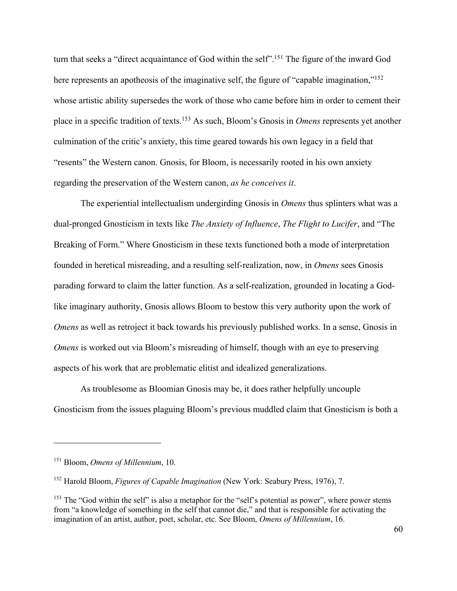turn that seeks a "direct acquaintance of God within the self".151 The figure of the inward God here represents an apotheosis of the imaginative self, the figure of "capable imagination,"<sup>152</sup> whose artistic ability supersedes the work of those who came before him in order to cement their place in a specific tradition of texts.153 As such, Bloom's Gnosis in *Omens* represents yet another culmination of the critic's anxiety, this time geared towards his own legacy in a field that "resents" the Western canon. Gnosis, for Bloom, is necessarily rooted in his own anxiety regarding the preservation of the Western canon, *as he conceives it*.

The experiential intellectualism undergirding Gnosis in *Omens* thus splinters what was a dual-pronged Gnosticism in texts like *The Anxiety of Influence*, *The Flight to Lucifer*, and "The Breaking of Form." Where Gnosticism in these texts functioned both a mode of interpretation founded in heretical misreading, and a resulting self-realization, now, in *Omens* sees Gnosis parading forward to claim the latter function. As a self-realization, grounded in locating a Godlike imaginary authority, Gnosis allows Bloom to bestow this very authority upon the work of *Omens* as well as retroject it back towards his previously published works. In a sense, Gnosis in *Omens* is worked out via Bloom's misreading of himself, though with an eye to preserving aspects of his work that are problematic elitist and idealized generalizations.

As troublesome as Bloomian Gnosis may be, it does rather helpfully uncouple Gnosticism from the issues plaguing Bloom's previous muddled claim that Gnosticism is both a

<sup>151</sup> Bloom, *Omens of Millennium*, 10.

<sup>152</sup> Harold Bloom, *Figures of Capable Imagination* (New York: Seabury Press, 1976), 7.

<sup>&</sup>lt;sup>153</sup> The "God within the self" is also a metaphor for the "self's potential as power", where power stems from "a knowledge of something in the self that cannot die," and that is responsible for activating the imagination of an artist, author, poet, scholar, etc. See Bloom, *Omens of Millennium*, 16.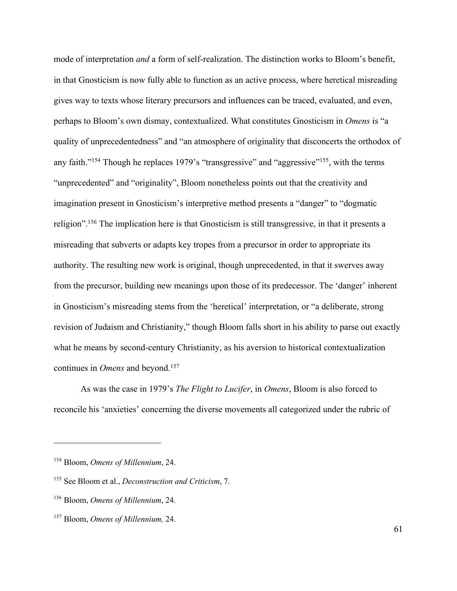mode of interpretation *and* a form of self-realization. The distinction works to Bloom's benefit, in that Gnosticism is now fully able to function as an active process, where heretical misreading gives way to texts whose literary precursors and influences can be traced, evaluated, and even, perhaps to Bloom's own dismay, contextualized. What constitutes Gnosticism in *Omens* is "a quality of unprecedentedness" and "an atmosphere of originality that disconcerts the orthodox of any faith."154 Though he replaces 1979's "transgressive" and "aggressive"155, with the terms "unprecedented" and "originality", Bloom nonetheless points out that the creativity and imagination present in Gnosticism's interpretive method presents a "danger" to "dogmatic religion".156 The implication here is that Gnosticism is still transgressive, in that it presents a misreading that subverts or adapts key tropes from a precursor in order to appropriate its authority. The resulting new work is original, though unprecedented, in that it swerves away from the precursor, building new meanings upon those of its predecessor. The 'danger' inherent in Gnosticism's misreading stems from the 'heretical' interpretation, or "a deliberate, strong revision of Judaism and Christianity," though Bloom falls short in his ability to parse out exactly what he means by second-century Christianity, as his aversion to historical contextualization continues in *Omens* and beyond.<sup>157</sup>

As was the case in 1979's *The Flight to Lucifer*, in *Omens*, Bloom is also forced to reconcile his 'anxieties' concerning the diverse movements all categorized under the rubric of

<sup>154</sup> Bloom, *Omens of Millennium*, 24.

<sup>155</sup> See Bloom et al., *Deconstruction and Criticism*, 7.

<sup>156</sup> Bloom, *Omens of Millennium*, 24.

<sup>157</sup> Bloom, *Omens of Millennium,* 24.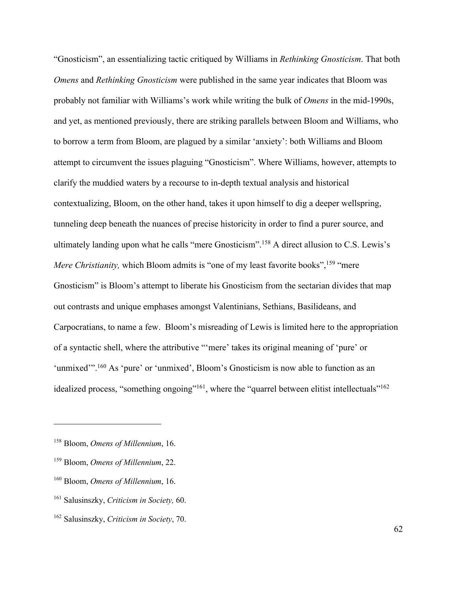"Gnosticism", an essentializing tactic critiqued by Williams in *Rethinking Gnosticism*. That both *Omens* and *Rethinking Gnosticism* were published in the same year indicates that Bloom was probably not familiar with Williams's work while writing the bulk of *Omens* in the mid-1990s, and yet, as mentioned previously, there are striking parallels between Bloom and Williams, who to borrow a term from Bloom, are plagued by a similar 'anxiety': both Williams and Bloom attempt to circumvent the issues plaguing "Gnosticism". Where Williams, however, attempts to clarify the muddied waters by a recourse to in-depth textual analysis and historical contextualizing, Bloom, on the other hand, takes it upon himself to dig a deeper wellspring, tunneling deep beneath the nuances of precise historicity in order to find a purer source, and ultimately landing upon what he calls "mere Gnosticism".158 A direct allusion to C.S. Lewis's *Mere Christianity, which Bloom admits is "one of my least favorite books",*<sup>159</sup> "mere Gnosticism" is Bloom's attempt to liberate his Gnosticism from the sectarian divides that map out contrasts and unique emphases amongst Valentinians, Sethians, Basilideans, and Carpocratians, to name a few. Bloom's misreading of Lewis is limited here to the appropriation of a syntactic shell, where the attributive "'mere' takes its original meaning of 'pure' or 'unmixed'".160 As 'pure' or 'unmixed', Bloom's Gnosticism is now able to function as an idealized process, "something ongoing"<sup>161</sup>, where the "quarrel between elitist intellectuals"<sup>162</sup>

<sup>158</sup> Bloom, *Omens of Millennium*, 16.

<sup>159</sup> Bloom, *Omens of Millennium*, 22.

<sup>160</sup> Bloom, *Omens of Millennium*, 16.

<sup>161</sup> Salusinszky, *Criticism in Society,* 60.

<sup>162</sup> Salusinszky, *Criticism in Society*, 70.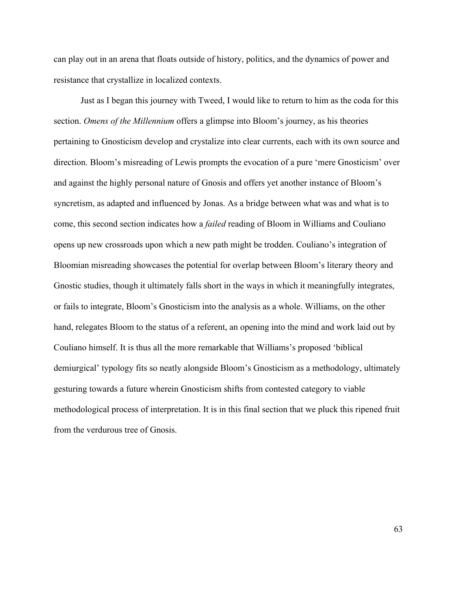can play out in an arena that floats outside of history, politics, and the dynamics of power and resistance that crystallize in localized contexts.

Just as I began this journey with Tweed, I would like to return to him as the coda for this section. *Omens of the Millennium* offers a glimpse into Bloom's journey, as his theories pertaining to Gnosticism develop and crystalize into clear currents, each with its own source and direction. Bloom's misreading of Lewis prompts the evocation of a pure 'mere Gnosticism' over and against the highly personal nature of Gnosis and offers yet another instance of Bloom's syncretism, as adapted and influenced by Jonas. As a bridge between what was and what is to come, this second section indicates how a *failed* reading of Bloom in Williams and Couliano opens up new crossroads upon which a new path might be trodden. Couliano's integration of Bloomian misreading showcases the potential for overlap between Bloom's literary theory and Gnostic studies, though it ultimately falls short in the ways in which it meaningfully integrates, or fails to integrate, Bloom's Gnosticism into the analysis as a whole. Williams, on the other hand, relegates Bloom to the status of a referent, an opening into the mind and work laid out by Couliano himself. It is thus all the more remarkable that Williams's proposed 'biblical demiurgical' typology fits so neatly alongside Bloom's Gnosticism as a methodology, ultimately gesturing towards a future wherein Gnosticism shifts from contested category to viable methodological process of interpretation. It is in this final section that we pluck this ripened fruit from the verdurous tree of Gnosis.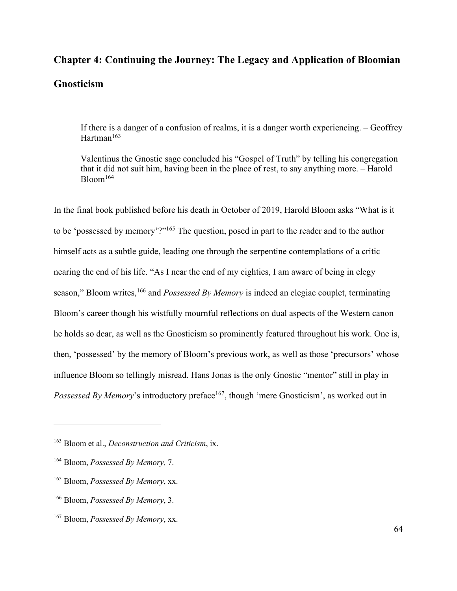## **Chapter 4: Continuing the Journey: The Legacy and Application of Bloomian Gnosticism**

If there is a danger of a confusion of realms, it is a danger worth experiencing. – Geoffrey Hartman<sup>163</sup>

Valentinus the Gnostic sage concluded his "Gospel of Truth" by telling his congregation that it did not suit him, having been in the place of rest, to say anything more. – Harold Bloom164

In the final book published before his death in October of 2019, Harold Bloom asks "What is it to be 'possessed by memory'?"165 The question, posed in part to the reader and to the author himself acts as a subtle guide, leading one through the serpentine contemplations of a critic nearing the end of his life. "As I near the end of my eighties, I am aware of being in elegy season," Bloom writes,<sup>166</sup> and *Possessed By Memory* is indeed an elegiac couplet, terminating Bloom's career though his wistfully mournful reflections on dual aspects of the Western canon he holds so dear, as well as the Gnosticism so prominently featured throughout his work. One is, then, 'possessed' by the memory of Bloom's previous work, as well as those 'precursors' whose influence Bloom so tellingly misread. Hans Jonas is the only Gnostic "mentor" still in play in *Possessed By Memory's* introductory preface<sup>167</sup>, though 'mere Gnosticism', as worked out in

<sup>163</sup> Bloom et al., *Deconstruction and Criticism*, ix.

<sup>164</sup> Bloom, *Possessed By Memory,* 7.

<sup>165</sup> Bloom, *Possessed By Memory*, xx.

<sup>166</sup> Bloom, *Possessed By Memory*, 3.

<sup>167</sup> Bloom, *Possessed By Memory*, xx.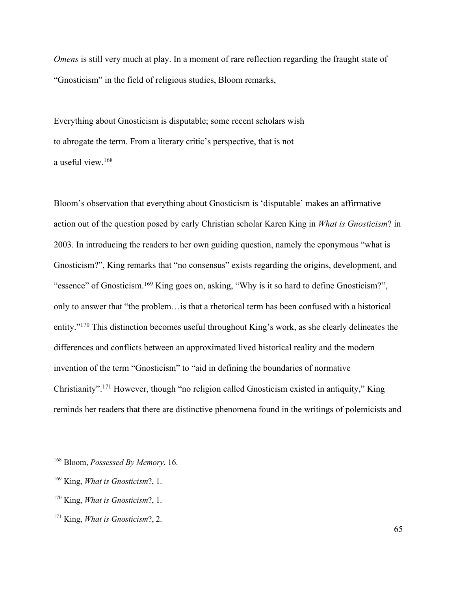*Omens* is still very much at play. In a moment of rare reflection regarding the fraught state of "Gnosticism" in the field of religious studies, Bloom remarks,

Everything about Gnosticism is disputable; some recent scholars wish to abrogate the term. From a literary critic's perspective, that is not a useful view.168

Bloom's observation that everything about Gnosticism is 'disputable' makes an affirmative action out of the question posed by early Christian scholar Karen King in *What is Gnosticism*? in 2003. In introducing the readers to her own guiding question, namely the eponymous "what is Gnosticism?", King remarks that "no consensus" exists regarding the origins, development, and "essence" of Gnosticism.169 King goes on, asking, "Why is it so hard to define Gnosticism?", only to answer that "the problem…is that a rhetorical term has been confused with a historical entity."170 This distinction becomes useful throughout King's work, as she clearly delineates the differences and conflicts between an approximated lived historical reality and the modern invention of the term "Gnosticism" to "aid in defining the boundaries of normative Christianity".171 However, though "no religion called Gnosticism existed in antiquity," King reminds her readers that there are distinctive phenomena found in the writings of polemicists and

<sup>168</sup> Bloom, *Possessed By Memory*, 16.

<sup>169</sup> King, *What is Gnosticism*?, 1.

<sup>170</sup> King, *What is Gnosticism*?, 1.

<sup>171</sup> King, *What is Gnosticism*?, 2.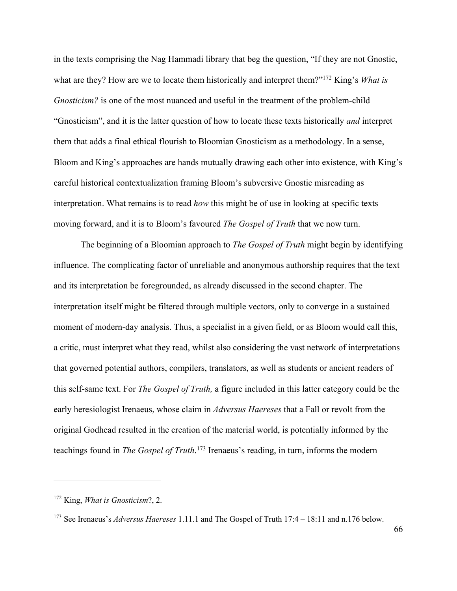in the texts comprising the Nag Hammadi library that beg the question, "If they are not Gnostic, what are they? How are we to locate them historically and interpret them?"<sup>172</sup> King's *What is Gnosticism?* is one of the most nuanced and useful in the treatment of the problem-child "Gnosticism", and it is the latter question of how to locate these texts historically *and* interpret them that adds a final ethical flourish to Bloomian Gnosticism as a methodology. In a sense, Bloom and King's approaches are hands mutually drawing each other into existence, with King's careful historical contextualization framing Bloom's subversive Gnostic misreading as interpretation. What remains is to read *how* this might be of use in looking at specific texts moving forward, and it is to Bloom's favoured *The Gospel of Truth* that we now turn.

The beginning of a Bloomian approach to *The Gospel of Truth* might begin by identifying influence. The complicating factor of unreliable and anonymous authorship requires that the text and its interpretation be foregrounded, as already discussed in the second chapter. The interpretation itself might be filtered through multiple vectors, only to converge in a sustained moment of modern-day analysis. Thus, a specialist in a given field, or as Bloom would call this, a critic, must interpret what they read, whilst also considering the vast network of interpretations that governed potential authors, compilers, translators, as well as students or ancient readers of this self-same text. For *The Gospel of Truth,* a figure included in this latter category could be the early heresiologist Irenaeus, whose claim in *Adversus Haereses* that a Fall or revolt from the original Godhead resulted in the creation of the material world, is potentially informed by the teachings found in *The Gospel of Truth*. <sup>173</sup> Irenaeus's reading, in turn, informs the modern

<sup>172</sup> King, *What is Gnosticism*?, 2.

<sup>173</sup> See Irenaeus's *Adversus Haereses* 1.11.1 and The Gospel of Truth 17:4 – 18:11 and n.176 below.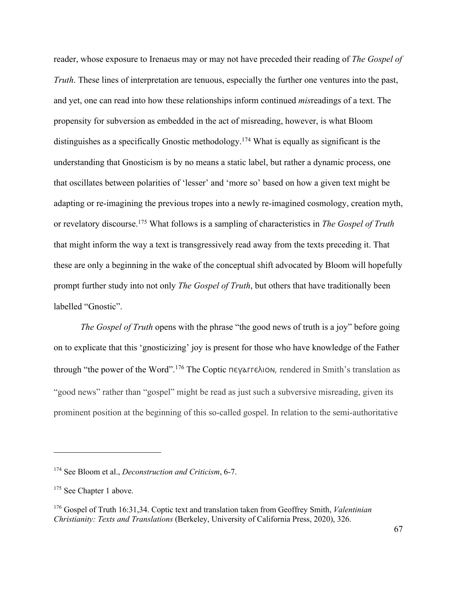reader, whose exposure to Irenaeus may or may not have preceded their reading of *The Gospel of Truth*. These lines of interpretation are tenuous, especially the further one ventures into the past, and yet, one can read into how these relationships inform continued *mis*readings of a text. The propensity for subversion as embedded in the act of misreading, however, is what Bloom distinguishes as a specifically Gnostic methodology.<sup>174</sup> What is equally as significant is the understanding that Gnosticism is by no means a static label, but rather a dynamic process, one that oscillates between polarities of 'lesser' and 'more so' based on how a given text might be adapting or re-imagining the previous tropes into a newly re-imagined cosmology, creation myth, or revelatory discourse.175 What follows is a sampling of characteristics in *The Gospel of Truth* that might inform the way a text is transgressively read away from the texts preceding it. That these are only a beginning in the wake of the conceptual shift advocated by Bloom will hopefully prompt further study into not only *The Gospel of Truth*, but others that have traditionally been labelled "Gnostic".

*The Gospel of Truth* opens with the phrase "the good news of truth is a joy" before going on to explicate that this 'gnosticizing' joy is present for those who have knowledge of the Father through "the power of the Word".<sup>176</sup> The Coptic πεγλειτελιον, rendered in Smith's translation as "good news" rather than "gospel" might be read as just such a subversive misreading, given its prominent position at the beginning of this so-called gospel. In relation to the semi-authoritative

<sup>174</sup> See Bloom et al., *Deconstruction and Criticism*, 6-7.

<sup>&</sup>lt;sup>175</sup> See Chapter 1 above.

<sup>176</sup> Gospel of Truth 16:31,34. Coptic text and translation taken from Geoffrey Smith, *Valentinian Christianity: Texts and Translations* (Berkeley, University of California Press, 2020), 326.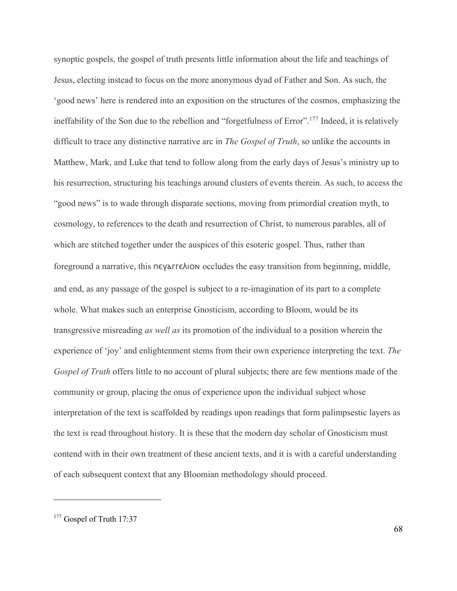synoptic gospels, the gospel of truth presents little information about the life and teachings of Jesus, electing instead to focus on the more anonymous dyad of Father and Son. As such, the 'good news' here is rendered into an exposition on the structures of the cosmos, emphasizing the ineffability of the Son due to the rebellion and "forgetfulness of Error".177 Indeed, it is relatively difficult to trace any distinctive narrative arc in *The Gospel of Truth*, so unlike the accounts in Matthew, Mark, and Luke that tend to follow along from the early days of Jesus's ministry up to his resurrection, structuring his teachings around clusters of events therein. As such, to access the "good news" is to wade through disparate sections, moving from primordial creation myth, to cosmology, to references to the death and resurrection of Christ, to numerous parables, all of which are stitched together under the auspices of this esoteric gospel. Thus, rather than foreground a narrative, this πεγλητελιο occludes the easy transition from beginning, middle, and end, as any passage of the gospel is subject to a re-imagination of its part to a complete whole. What makes such an enterprise Gnosticism, according to Bloom, would be its transgressive misreading *as well as* its promotion of the individual to a position wherein the experience of 'joy' and enlightenment stems from their own experience interpreting the text. *The Gospel of Truth* offers little to no account of plural subjects; there are few mentions made of the community or group, placing the onus of experience upon the individual subject whose interpretation of the text is scaffolded by readings upon readings that form palimpsestic layers as the text is read throughout history. It is these that the modern day scholar of Gnosticism must contend with in their own treatment of these ancient texts, and it is with a careful understanding of each subsequent context that any Bloomian methodology should proceed.

<sup>&</sup>lt;sup>177</sup> Gospel of Truth 17:37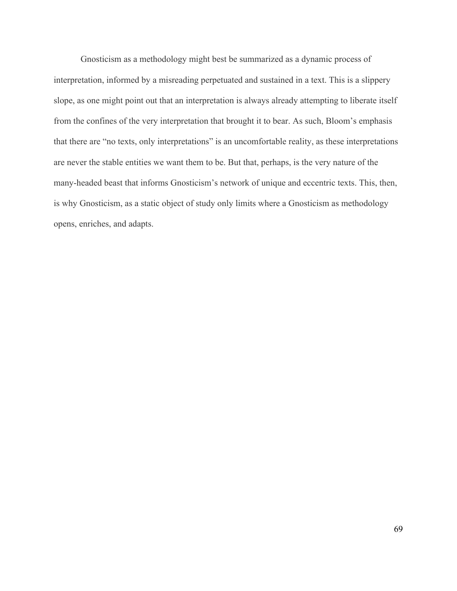Gnosticism as a methodology might best be summarized as a dynamic process of interpretation, informed by a misreading perpetuated and sustained in a text. This is a slippery slope, as one might point out that an interpretation is always already attempting to liberate itself from the confines of the very interpretation that brought it to bear. As such, Bloom's emphasis that there are "no texts, only interpretations" is an uncomfortable reality, as these interpretations are never the stable entities we want them to be. But that, perhaps, is the very nature of the many-headed beast that informs Gnosticism's network of unique and eccentric texts. This, then, is why Gnosticism, as a static object of study only limits where a Gnosticism as methodology opens, enriches, and adapts.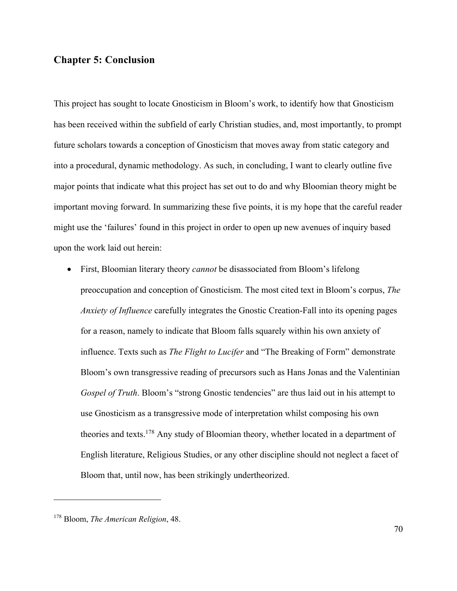## **Chapter 5: Conclusion**

This project has sought to locate Gnosticism in Bloom's work, to identify how that Gnosticism has been received within the subfield of early Christian studies, and, most importantly, to prompt future scholars towards a conception of Gnosticism that moves away from static category and into a procedural, dynamic methodology. As such, in concluding, I want to clearly outline five major points that indicate what this project has set out to do and why Bloomian theory might be important moving forward. In summarizing these five points, it is my hope that the careful reader might use the 'failures' found in this project in order to open up new avenues of inquiry based upon the work laid out herein:

• First, Bloomian literary theory *cannot* be disassociated from Bloom's lifelong preoccupation and conception of Gnosticism. The most cited text in Bloom's corpus, *The Anxiety of Influence* carefully integrates the Gnostic Creation-Fall into its opening pages for a reason, namely to indicate that Bloom falls squarely within his own anxiety of influence. Texts such as *The Flight to Lucifer* and "The Breaking of Form" demonstrate Bloom's own transgressive reading of precursors such as Hans Jonas and the Valentinian *Gospel of Truth*. Bloom's "strong Gnostic tendencies" are thus laid out in his attempt to use Gnosticism as a transgressive mode of interpretation whilst composing his own theories and texts.178 Any study of Bloomian theory, whether located in a department of English literature, Religious Studies, or any other discipline should not neglect a facet of Bloom that, until now, has been strikingly undertheorized.

<sup>178</sup> Bloom, *The American Religion*, 48.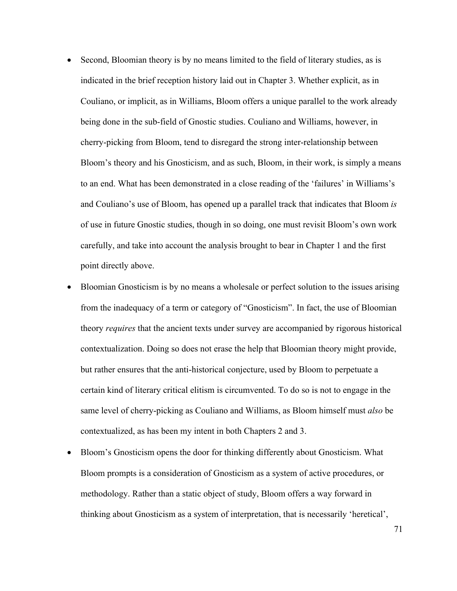- Second, Bloomian theory is by no means limited to the field of literary studies, as is indicated in the brief reception history laid out in Chapter 3. Whether explicit, as in Couliano, or implicit, as in Williams, Bloom offers a unique parallel to the work already being done in the sub-field of Gnostic studies. Couliano and Williams, however, in cherry-picking from Bloom, tend to disregard the strong inter-relationship between Bloom's theory and his Gnosticism, and as such, Bloom, in their work, is simply a means to an end. What has been demonstrated in a close reading of the 'failures' in Williams's and Couliano's use of Bloom, has opened up a parallel track that indicates that Bloom *is*  of use in future Gnostic studies, though in so doing, one must revisit Bloom's own work carefully, and take into account the analysis brought to bear in Chapter 1 and the first point directly above.
- Bloomian Gnosticism is by no means a wholesale or perfect solution to the issues arising from the inadequacy of a term or category of "Gnosticism". In fact, the use of Bloomian theory *requires* that the ancient texts under survey are accompanied by rigorous historical contextualization. Doing so does not erase the help that Bloomian theory might provide, but rather ensures that the anti-historical conjecture, used by Bloom to perpetuate a certain kind of literary critical elitism is circumvented. To do so is not to engage in the same level of cherry-picking as Couliano and Williams, as Bloom himself must *also* be contextualized, as has been my intent in both Chapters 2 and 3.
- Bloom's Gnosticism opens the door for thinking differently about Gnosticism. What Bloom prompts is a consideration of Gnosticism as a system of active procedures, or methodology. Rather than a static object of study, Bloom offers a way forward in thinking about Gnosticism as a system of interpretation, that is necessarily 'heretical',

71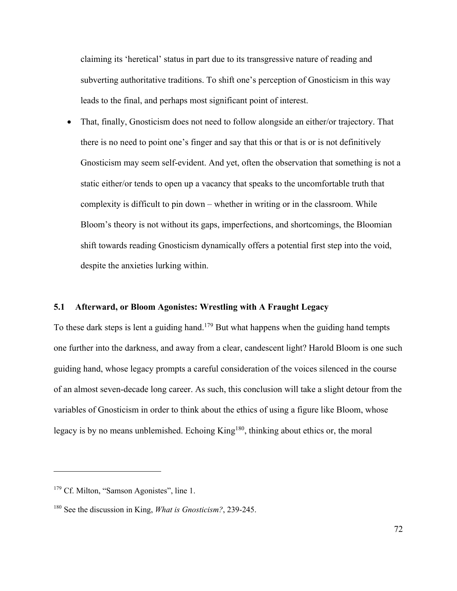claiming its 'heretical' status in part due to its transgressive nature of reading and subverting authoritative traditions. To shift one's perception of Gnosticism in this way leads to the final, and perhaps most significant point of interest.

• That, finally, Gnosticism does not need to follow alongside an either/or trajectory. That there is no need to point one's finger and say that this or that is or is not definitively Gnosticism may seem self-evident. And yet, often the observation that something is not a static either/or tends to open up a vacancy that speaks to the uncomfortable truth that complexity is difficult to pin down – whether in writing or in the classroom. While Bloom's theory is not without its gaps, imperfections, and shortcomings, the Bloomian shift towards reading Gnosticism dynamically offers a potential first step into the void, despite the anxieties lurking within.

## **5.1 Afterward, or Bloom Agonistes: Wrestling with A Fraught Legacy**

To these dark steps is lent a guiding hand.<sup>179</sup> But what happens when the guiding hand tempts one further into the darkness, and away from a clear, candescent light? Harold Bloom is one such guiding hand, whose legacy prompts a careful consideration of the voices silenced in the course of an almost seven-decade long career. As such, this conclusion will take a slight detour from the variables of Gnosticism in order to think about the ethics of using a figure like Bloom, whose legacy is by no means unblemished. Echoing King<sup>180</sup>, thinking about ethics or, the moral

<sup>&</sup>lt;sup>179</sup> Cf. Milton, "Samson Agonistes", line 1.

<sup>180</sup> See the discussion in King, *What is Gnosticism?*, 239-245.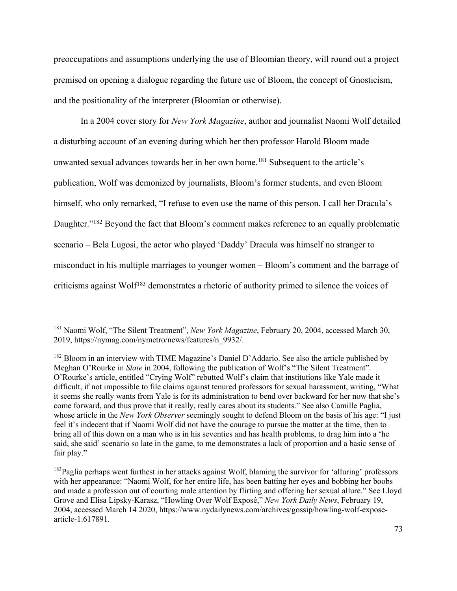preoccupations and assumptions underlying the use of Bloomian theory, will round out a project premised on opening a dialogue regarding the future use of Bloom, the concept of Gnosticism, and the positionality of the interpreter (Bloomian or otherwise).

In a 2004 cover story for *New York Magazine*, author and journalist Naomi Wolf detailed a disturbing account of an evening during which her then professor Harold Bloom made unwanted sexual advances towards her in her own home.181 Subsequent to the article's publication, Wolf was demonized by journalists, Bloom's former students, and even Bloom himself, who only remarked, "I refuse to even use the name of this person. I call her Dracula's Daughter."<sup>182</sup> Beyond the fact that Bloom's comment makes reference to an equally problematic scenario – Bela Lugosi, the actor who played 'Daddy' Dracula was himself no stranger to misconduct in his multiple marriages to younger women – Bloom's comment and the barrage of criticisms against Wolf<sup>183</sup> demonstrates a rhetoric of authority primed to silence the voices of

<sup>181</sup> Naomi Wolf, "The Silent Treatment", *New York Magazine*, February 20, 2004, accessed March 30, 2019, https://nymag.com/nymetro/news/features/n\_9932/.

<sup>&</sup>lt;sup>182</sup> Bloom in an interview with TIME Magazine's Daniel D'Addario. See also the article published by Meghan O'Rourke in *Slate* in 2004, following the publication of Wolf's "The Silent Treatment". O'Rourke's article, entitled "Crying Wolf" rebutted Wolf's claim that institutions like Yale made it difficult, if not impossible to file claims against tenured professors for sexual harassment, writing, "What it seems she really wants from Yale is for its administration to bend over backward for her now that she's come forward, and thus prove that it really, really cares about its students." See also Camille Paglia, whose article in the *New York Observer* seemingly sought to defend Bloom on the basis of his age: "I just feel it's indecent that if Naomi Wolf did not have the courage to pursue the matter at the time, then to bring all of this down on a man who is in his seventies and has health problems, to drag him into a 'he said, she said' scenario so late in the game, to me demonstrates a lack of proportion and a basic sense of fair play."

<sup>&</sup>lt;sup>183</sup>Paglia perhaps went furthest in her attacks against Wolf, blaming the survivor for 'alluring' professors with her appearance: "Naomi Wolf, for her entire life, has been batting her eyes and bobbing her boobs and made a profession out of courting male attention by flirting and offering her sexual allure." See Lloyd Grove and Elisa Lipsky-Karasz, "Howling Over Wolf Exposé," *New York Daily News*, February 19, 2004, accessed March 14 2020, https://www.nydailynews.com/archives/gossip/howling-wolf-exposearticle-1.617891.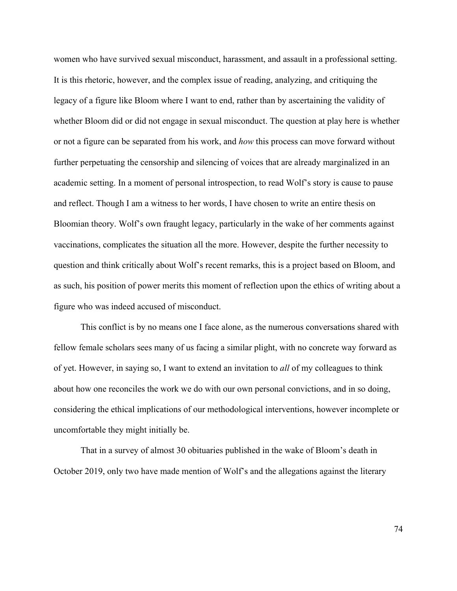women who have survived sexual misconduct, harassment, and assault in a professional setting. It is this rhetoric, however, and the complex issue of reading, analyzing, and critiquing the legacy of a figure like Bloom where I want to end, rather than by ascertaining the validity of whether Bloom did or did not engage in sexual misconduct. The question at play here is whether or not a figure can be separated from his work, and *how* this process can move forward without further perpetuating the censorship and silencing of voices that are already marginalized in an academic setting. In a moment of personal introspection, to read Wolf's story is cause to pause and reflect. Though I am a witness to her words, I have chosen to write an entire thesis on Bloomian theory. Wolf's own fraught legacy, particularly in the wake of her comments against vaccinations, complicates the situation all the more. However, despite the further necessity to question and think critically about Wolf's recent remarks, this is a project based on Bloom, and as such, his position of power merits this moment of reflection upon the ethics of writing about a figure who was indeed accused of misconduct.

This conflict is by no means one I face alone, as the numerous conversations shared with fellow female scholars sees many of us facing a similar plight, with no concrete way forward as of yet. However, in saying so, I want to extend an invitation to *all* of my colleagues to think about how one reconciles the work we do with our own personal convictions, and in so doing, considering the ethical implications of our methodological interventions, however incomplete or uncomfortable they might initially be.

That in a survey of almost 30 obituaries published in the wake of Bloom's death in October 2019, only two have made mention of Wolf's and the allegations against the literary

74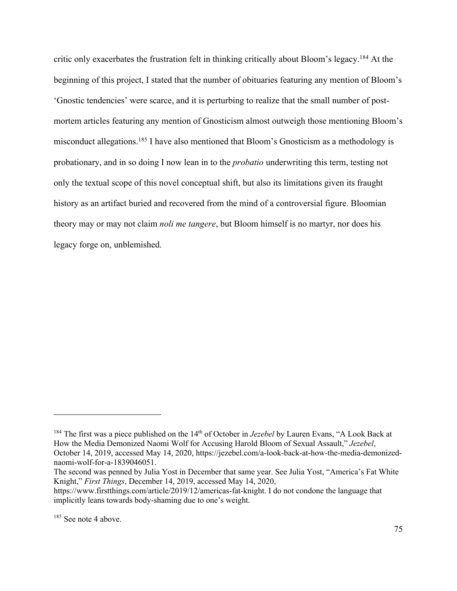critic only exacerbates the frustration felt in thinking critically about Bloom's legacy.184 At the beginning of this project, I stated that the number of obituaries featuring any mention of Bloom's 'Gnostic tendencies' were scarce, and it is perturbing to realize that the small number of postmortem articles featuring any mention of Gnosticism almost outweigh those mentioning Bloom's misconduct allegations.185 I have also mentioned that Bloom's Gnosticism as a methodology is probationary, and in so doing I now lean in to the *probatio* underwriting this term, testing not only the textual scope of this novel conceptual shift, but also its limitations given its fraught history as an artifact buried and recovered from the mind of a controversial figure. Bloomian theory may or may not claim *noli me tangere*, but Bloom himself is no martyr, nor does his legacy forge on, unblemished.

<sup>&</sup>lt;sup>184</sup> The first was a piece published on the 14<sup>th</sup> of October in *Jezebel* by Lauren Evans, "A Look Back at How the Media Demonized Naomi Wolf for Accusing Harold Bloom of Sexual Assault," *Jezebel*, October 14, 2019, accessed May 14, 2020, https://jezebel.com/a-look-back-at-how-the-media-demonizednaomi-wolf-for-a-1839046051.

The second was penned by Julia Yost in December that same year. See Julia Yost, "America's Fat White Knight," *First Things*, December 14, 2019, accessed May 14, 2020,

https://www.firstthings.com/article/2019/12/americas-fat-knight. I do not condone the language that implicitly leans towards body-shaming due to one's weight.

<sup>185</sup> See note 4 above.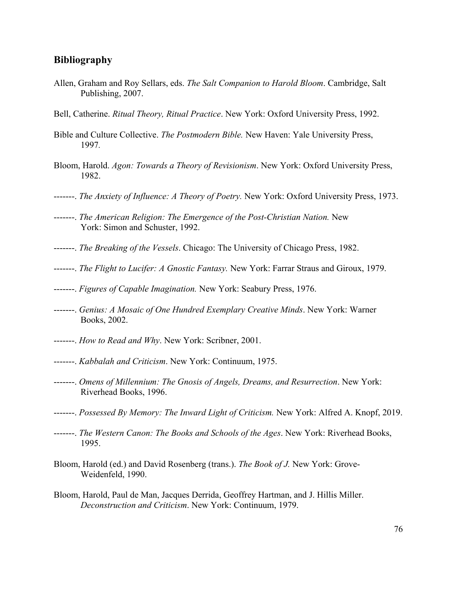## **Bibliography**

- Allen, Graham and Roy Sellars, eds. *The Salt Companion to Harold Bloom*. Cambridge, Salt Publishing, 2007.
- Bell, Catherine. *Ritual Theory, Ritual Practice*. New York: Oxford University Press, 1992.
- Bible and Culture Collective. *The Postmodern Bible.* New Haven: Yale University Press, 1997*.*
- Bloom, Harold. *Agon: Towards a Theory of Revisionism*. New York: Oxford University Press, 1982.
- -------. *The Anxiety of Influence: A Theory of Poetry.* New York: Oxford University Press, 1973.
- -------. *The American Religion: The Emergence of the Post-Christian Nation.* New York: Simon and Schuster, 1992.
- -------. *The Breaking of the Vessels*. Chicago: The University of Chicago Press, 1982.
- -------. *The Flight to Lucifer: A Gnostic Fantasy.* New York: Farrar Straus and Giroux, 1979.
- -------. *Figures of Capable Imagination.* New York: Seabury Press, 1976.
- -------. *Genius: A Mosaic of One Hundred Exemplary Creative Minds*. New York: Warner Books, 2002.
- -------. *How to Read and Why*. New York: Scribner, 2001.
- -------. *Kabbalah and Criticism*. New York: Continuum, 1975.
- -------. *Omens of Millennium: The Gnosis of Angels, Dreams, and Resurrection*. New York: Riverhead Books, 1996.
- -------. *Possessed By Memory: The Inward Light of Criticism.* New York: Alfred A. Knopf, 2019.
- -------. *The Western Canon: The Books and Schools of the Ages*. New York: Riverhead Books, 1995.
- Bloom, Harold (ed.) and David Rosenberg (trans.). *The Book of J.* New York: Grove-Weidenfeld, 1990.
- Bloom, Harold, Paul de Man, Jacques Derrida, Geoffrey Hartman, and J. Hillis Miller. *Deconstruction and Criticism*. New York: Continuum, 1979.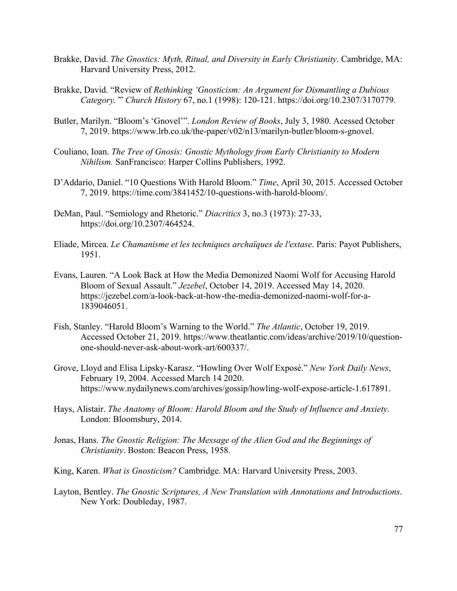- Brakke, David. *The Gnostics: Myth, Ritual, and Diversity in Early Christianity*. Cambridge, MA: Harvard University Press, 2012.
- Brakke, David. "Review of *Rethinking 'Gnosticism: An Argument for Dismantling a Dubious Category.'*" *Church History* 67, no.1 (1998): 120-121. https://doi.org/10.2307/3170779.
- Butler, Marilyn. "Bloom's 'Gnovel'". *London Review of Books*, July 3, 1980. Acessed October 7, 2019. https://www.lrb.co.uk/the-paper/v02/n13/marilyn-butler/bloom-s-gnovel.
- Couliano, Ioan. *The Tree of Gnosis: Gnostic Mythology from Early Christianity to Modern Nihilism.* SanFrancisco: Harper Collins Publishers, 1992.
- D'Addario, Daniel. "10 Questions With Harold Bloom." *Time*, April 30, 2015. Accessed October 7, 2019. https://time.com/3841452/10-questions-with-harold-bloom/.
- DeMan, Paul. "Semiology and Rhetoric." *Diacritics* 3, no.3 (1973): 27-33, https://doi.org/10.2307/464524.
- Eliade, Mircea. *Le Chamanisme et les techniques archaïques de l'extase*. Paris: Payot Publishers, 1951.
- Evans, Lauren. "A Look Back at How the Media Demonized Naomi Wolf for Accusing Harold Bloom of Sexual Assault." *Jezebel*, October 14, 2019. Accessed May 14, 2020. https://jezebel.com/a-look-back-at-how-the-media-demonized-naomi-wolf-for-a-1839046051.
- Fish, Stanley. "Harold Bloom's Warning to the World." *The Atlantic*, October 19, 2019. Accessed October 21, 2019. https://www.theatlantic.com/ideas/archive/2019/10/questionone-should-never-ask-about-work-art/600337/.
- Grove, Lloyd and Elisa Lipsky-Karasz. "Howling Over Wolf Exposé." *New York Daily News*, February 19, 2004. Accessed March 14 2020. https://www.nydailynews.com/archives/gossip/howling-wolf-expose-article-1.617891.
- Hays, Alistair. *The Anatomy of Bloom: Harold Bloom and the Study of Influence and Anxiety*. London: Bloomsbury, 2014.
- Jonas, Hans. *The Gnostic Religion: The Message of the Alien God and the Beginnings of Christianity*. Boston: Beacon Press, 1958.
- King, Karen. *What is Gnosticism?* Cambridge. MA: Harvard University Press, 2003.
- Layton, Bentley. *The Gnostic Scriptures, A New Translation with Annotations and Introductions*. New York: Doubleday, 1987.